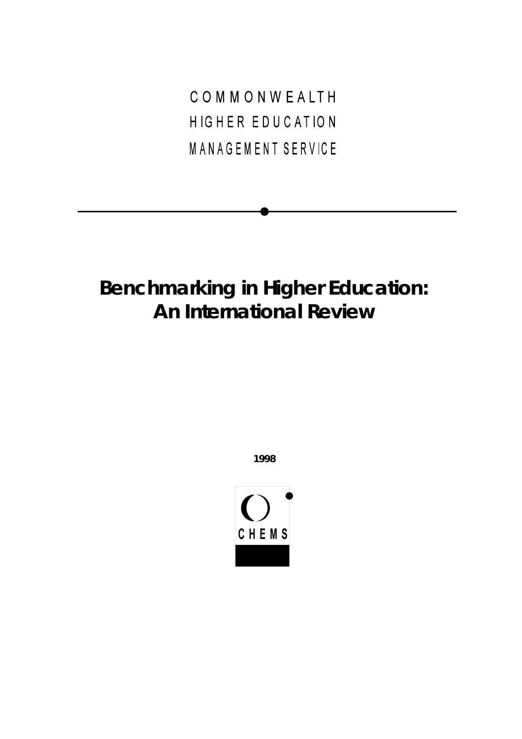COMMONWEALTH HIGHER EDUCATION MANAGEMENT SERVICE

# **Benchmarking in Higher Education: An International Review**

**1998**

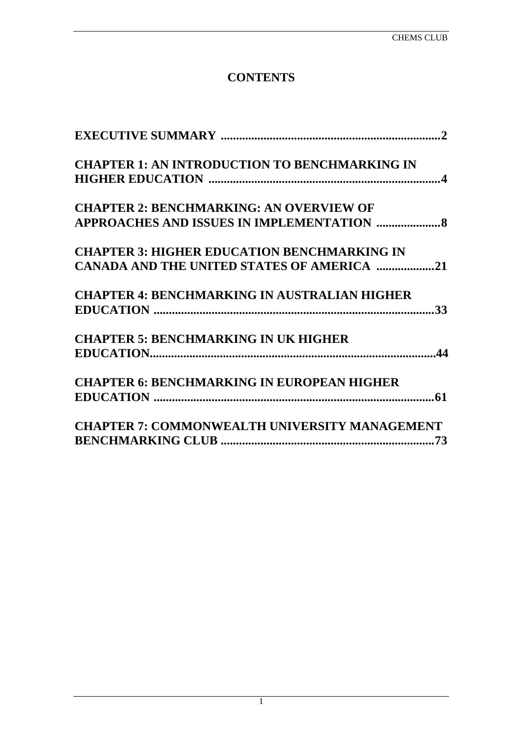# **CONTENTS**

| <b>CHAPTER 1: AN INTRODUCTION TO BENCHMARKING IN</b> |
|------------------------------------------------------|
|                                                      |
| <b>CHAPTER 2: BENCHMARKING: AN OVERVIEW OF</b>       |
| APPROACHES AND ISSUES IN IMPLEMENTATION  8           |
| <b>CHAPTER 3: HIGHER EDUCATION BENCHMARKING IN</b>   |
| CANADA AND THE UNITED STATES OF AMERICA 21           |
| <b>CHAPTER 4: BENCHMARKING IN AUSTRALIAN HIGHER</b>  |
|                                                      |
| <b>CHAPTER 5: BENCHMARKING IN UK HIGHER</b>          |
|                                                      |
| <b>CHAPTER 6: BENCHMARKING IN EUROPEAN HIGHER</b>    |
|                                                      |
| <b>CHAPTER 7: COMMONWEALTH UNIVERSITY MANAGEMENT</b> |
|                                                      |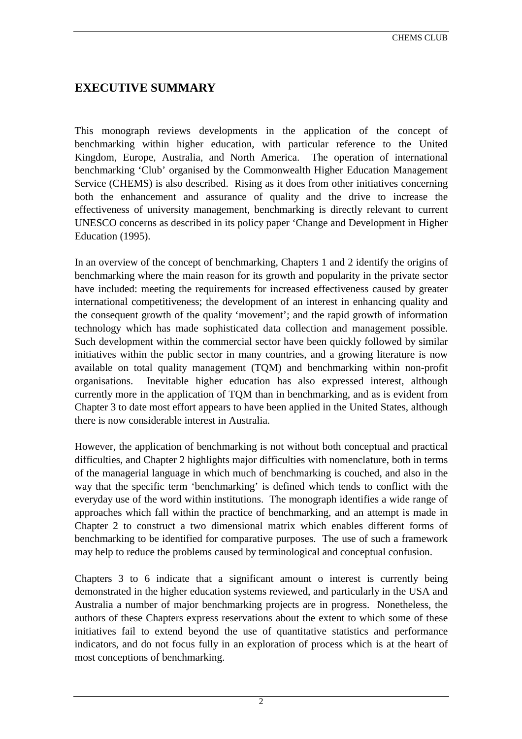# <span id="page-2-0"></span>**EXECUTIVE SUMMARY**

This monograph reviews developments in the application of the concept of benchmarking within higher education, with particular reference to the United Kingdom, Europe, Australia, and North America. The operation of international benchmarking 'Club' organised by the Commonwealth Higher Education Management Service (CHEMS) is also described. Rising as it does from other initiatives concerning both the enhancement and assurance of quality and the drive to increase the effectiveness of university management, benchmarking is directly relevant to current UNESCO concerns as described in its policy paper 'Change and Development in Higher Education (1995).

In an overview of the concept of benchmarking, Chapters 1 and 2 identify the origins of benchmarking where the main reason for its growth and popularity in the private sector have included: meeting the requirements for increased effectiveness caused by greater international competitiveness; the development of an interest in enhancing quality and the consequent growth of the quality 'movement'; and the rapid growth of information technology which has made sophisticated data collection and management possible. Such development within the commercial sector have been quickly followed by similar initiatives within the public sector in many countries, and a growing literature is now available on total quality management (TQM) and benchmarking within non-profit organisations. Inevitable higher education has also expressed interest, although currently more in the application of TQM than in benchmarking, and as is evident from Chapter 3 to date most effort appears to have been applied in the United States, although there is now considerable interest in Australia.

However, the application of benchmarking is not without both conceptual and practical difficulties, and Chapter 2 highlights major difficulties with nomenclature, both in terms of the managerial language in which much of benchmarking is couched, and also in the way that the specific term 'benchmarking' is defined which tends to conflict with the everyday use of the word within institutions. The monograph identifies a wide range of approaches which fall within the practice of benchmarking, and an attempt is made in Chapter 2 to construct a two dimensional matrix which enables different forms of benchmarking to be identified for comparative purposes. The use of such a framework may help to reduce the problems caused by terminological and conceptual confusion.

Chapters 3 to 6 indicate that a significant amount o interest is currently being demonstrated in the higher education systems reviewed, and particularly in the USA and Australia a number of major benchmarking projects are in progress. Nonetheless, the authors of these Chapters express reservations about the extent to which some of these initiatives fail to extend beyond the use of quantitative statistics and performance indicators, and do not focus fully in an exploration of process which is at the heart of most conceptions of benchmarking.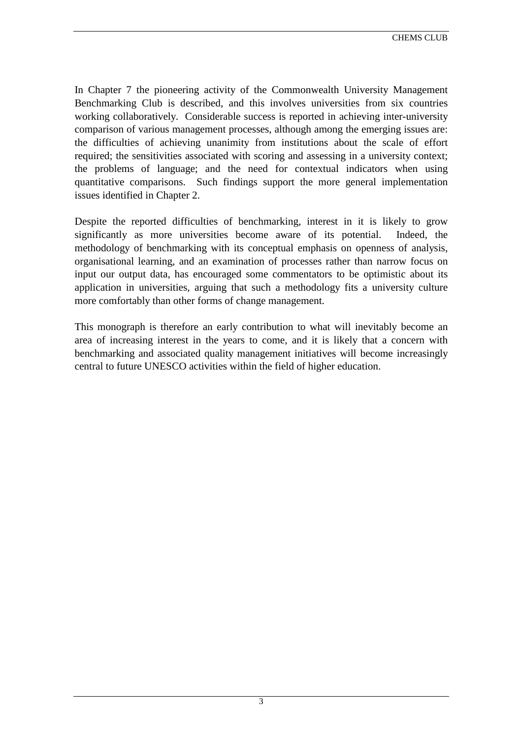In Chapter 7 the pioneering activity of the Commonwealth University Management Benchmarking Club is described, and this involves universities from six countries working collaboratively. Considerable success is reported in achieving inter-university comparison of various management processes, although among the emerging issues are: the difficulties of achieving unanimity from institutions about the scale of effort required; the sensitivities associated with scoring and assessing in a university context; the problems of language; and the need for contextual indicators when using quantitative comparisons. Such findings support the more general implementation issues identified in Chapter 2.

Despite the reported difficulties of benchmarking, interest in it is likely to grow significantly as more universities become aware of its potential. Indeed, the methodology of benchmarking with its conceptual emphasis on openness of analysis, organisational learning, and an examination of processes rather than narrow focus on input our output data, has encouraged some commentators to be optimistic about its application in universities, arguing that such a methodology fits a university culture more comfortably than other forms of change management.

This monograph is therefore an early contribution to what will inevitably become an area of increasing interest in the years to come, and it is likely that a concern with benchmarking and associated quality management initiatives will become increasingly central to future UNESCO activities within the field of higher education.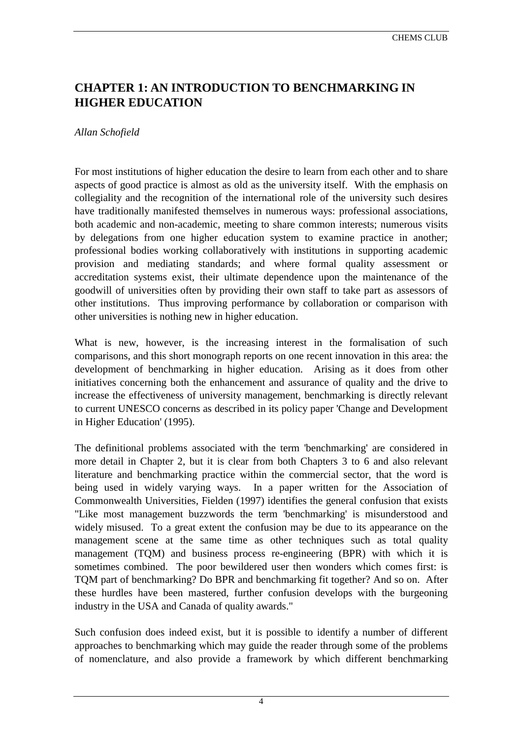# <span id="page-4-0"></span>**CHAPTER 1: AN INTRODUCTION TO BENCHMARKING IN HIGHER EDUCATION**

#### *Allan Schofield*

For most institutions of higher education the desire to learn from each other and to share aspects of good practice is almost as old as the university itself. With the emphasis on collegiality and the recognition of the international role of the university such desires have traditionally manifested themselves in numerous ways: professional associations, both academic and non-academic, meeting to share common interests; numerous visits by delegations from one higher education system to examine practice in another; professional bodies working collaboratively with institutions in supporting academic provision and mediating standards; and where formal quality assessment or accreditation systems exist, their ultimate dependence upon the maintenance of the goodwill of universities often by providing their own staff to take part as assessors of other institutions. Thus improving performance by collaboration or comparison with other universities is nothing new in higher education.

What is new, however, is the increasing interest in the formalisation of such comparisons, and this short monograph reports on one recent innovation in this area: the development of benchmarking in higher education. Arising as it does from other initiatives concerning both the enhancement and assurance of quality and the drive to increase the effectiveness of university management, benchmarking is directly relevant to current UNESCO concerns as described in its policy paper 'Change and Development in Higher Education' (1995).

The definitional problems associated with the term 'benchmarking' are considered in more detail in Chapter 2, but it is clear from both Chapters 3 to 6 and also relevant literature and benchmarking practice within the commercial sector, that the word is being used in widely varying ways. In a paper written for the Association of Commonwealth Universities, Fielden (1997) identifies the general confusion that exists "Like most management buzzwords the term 'benchmarking' is misunderstood and widely misused. To a great extent the confusion may be due to its appearance on the management scene at the same time as other techniques such as total quality management (TQM) and business process re-engineering (BPR) with which it is sometimes combined. The poor bewildered user then wonders which comes first: is TQM part of benchmarking? Do BPR and benchmarking fit together? And so on. After these hurdles have been mastered, further confusion develops with the burgeoning industry in the USA and Canada of quality awards."

Such confusion does indeed exist, but it is possible to identify a number of different approaches to benchmarking which may guide the reader through some of the problems of nomenclature, and also provide a framework by which different benchmarking

4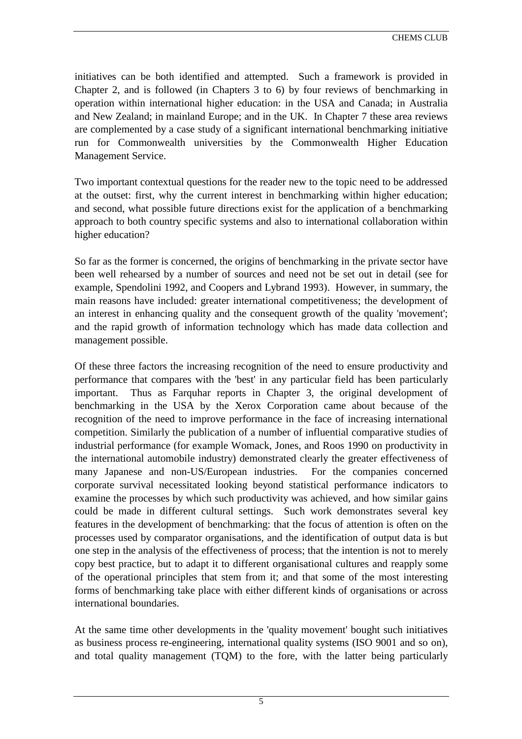initiatives can be both identified and attempted. Such a framework is provided in Chapter 2, and is followed (in Chapters 3 to 6) by four reviews of benchmarking in operation within international higher education: in the USA and Canada; in Australia and New Zealand; in mainland Europe; and in the UK. In Chapter 7 these area reviews are complemented by a case study of a significant international benchmarking initiative run for Commonwealth universities by the Commonwealth Higher Education Management Service.

Two important contextual questions for the reader new to the topic need to be addressed at the outset: first, why the current interest in benchmarking within higher education; and second, what possible future directions exist for the application of a benchmarking approach to both country specific systems and also to international collaboration within higher education?

So far as the former is concerned, the origins of benchmarking in the private sector have been well rehearsed by a number of sources and need not be set out in detail (see for example, Spendolini 1992, and Coopers and Lybrand 1993). However, in summary, the main reasons have included: greater international competitiveness; the development of an interest in enhancing quality and the consequent growth of the quality 'movement'; and the rapid growth of information technology which has made data collection and management possible.

Of these three factors the increasing recognition of the need to ensure productivity and performance that compares with the 'best' in any particular field has been particularly important. Thus as Farquhar reports in Chapter 3, the original development of benchmarking in the USA by the Xerox Corporation came about because of the recognition of the need to improve performance in the face of increasing international competition. Similarly the publication of a number of influential comparative studies of industrial performance (for example Womack, Jones, and Roos 1990 on productivity in the international automobile industry) demonstrated clearly the greater effectiveness of many Japanese and non-US/European industries. For the companies concerned corporate survival necessitated looking beyond statistical performance indicators to examine the processes by which such productivity was achieved, and how similar gains could be made in different cultural settings. Such work demonstrates several key features in the development of benchmarking: that the focus of attention is often on the processes used by comparator organisations, and the identification of output data is but one step in the analysis of the effectiveness of process; that the intention is not to merely copy best practice, but to adapt it to different organisational cultures and reapply some of the operational principles that stem from it; and that some of the most interesting forms of benchmarking take place with either different kinds of organisations or across international boundaries.

At the same time other developments in the 'quality movement' bought such initiatives as business process re-engineering, international quality systems (ISO 9001 and so on), and total quality management (TQM) to the fore, with the latter being particularly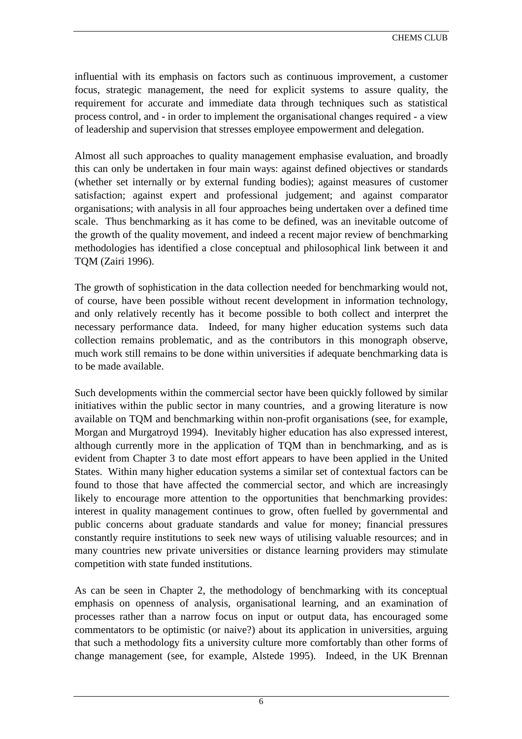influential with its emphasis on factors such as continuous improvement, a customer focus, strategic management, the need for explicit systems to assure quality, the requirement for accurate and immediate data through techniques such as statistical process control, and - in order to implement the organisational changes required - a view of leadership and supervision that stresses employee empowerment and delegation.

Almost all such approaches to quality management emphasise evaluation, and broadly this can only be undertaken in four main ways: against defined objectives or standards (whether set internally or by external funding bodies); against measures of customer satisfaction; against expert and professional judgement; and against comparator organisations; with analysis in all four approaches being undertaken over a defined time scale. Thus benchmarking as it has come to be defined, was an inevitable outcome of the growth of the quality movement, and indeed a recent major review of benchmarking methodologies has identified a close conceptual and philosophical link between it and TQM (Zairi 1996).

The growth of sophistication in the data collection needed for benchmarking would not, of course, have been possible without recent development in information technology, and only relatively recently has it become possible to both collect and interpret the necessary performance data. Indeed, for many higher education systems such data collection remains problematic, and as the contributors in this monograph observe, much work still remains to be done within universities if adequate benchmarking data is to be made available.

Such developments within the commercial sector have been quickly followed by similar initiatives within the public sector in many countries, and a growing literature is now available on TQM and benchmarking within non-profit organisations (see, for example, Morgan and Murgatroyd 1994). Inevitably higher education has also expressed interest, although currently more in the application of TQM than in benchmarking, and as is evident from Chapter 3 to date most effort appears to have been applied in the United States. Within many higher education systems a similar set of contextual factors can be found to those that have affected the commercial sector, and which are increasingly likely to encourage more attention to the opportunities that benchmarking provides: interest in quality management continues to grow, often fuelled by governmental and public concerns about graduate standards and value for money; financial pressures constantly require institutions to seek new ways of utilising valuable resources; and in many countries new private universities or distance learning providers may stimulate competition with state funded institutions.

As can be seen in Chapter 2, the methodology of benchmarking with its conceptual emphasis on openness of analysis, organisational learning, and an examination of processes rather than a narrow focus on input or output data, has encouraged some commentators to be optimistic (or naive?) about its application in universities, arguing that such a methodology fits a university culture more comfortably than other forms of change management (see, for example, Alstede 1995). Indeed, in the UK Brennan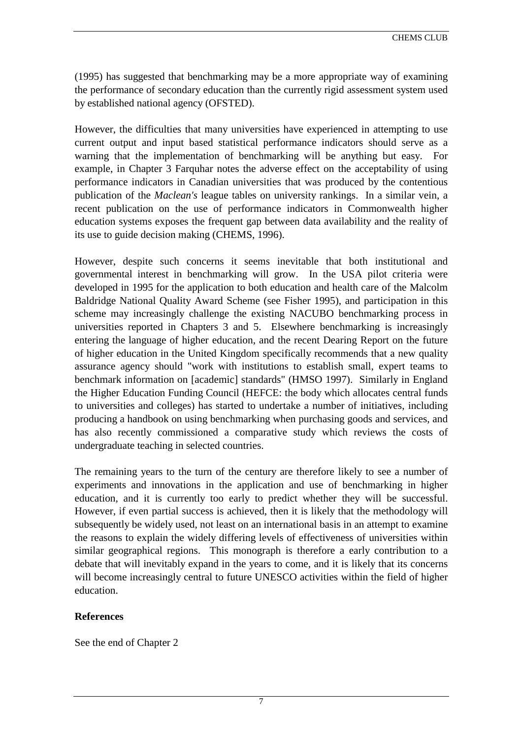(1995) has suggested that benchmarking may be a more appropriate way of examining the performance of secondary education than the currently rigid assessment system used by established national agency (OFSTED).

However, the difficulties that many universities have experienced in attempting to use current output and input based statistical performance indicators should serve as a warning that the implementation of benchmarking will be anything but easy. For example, in Chapter 3 Farquhar notes the adverse effect on the acceptability of using performance indicators in Canadian universities that was produced by the contentious publication of the *Maclean's* league tables on university rankings. In a similar vein, a recent publication on the use of performance indicators in Commonwealth higher education systems exposes the frequent gap between data availability and the reality of its use to guide decision making (CHEMS, 1996).

However, despite such concerns it seems inevitable that both institutional and governmental interest in benchmarking will grow. In the USA pilot criteria were developed in 1995 for the application to both education and health care of the Malcolm Baldridge National Quality Award Scheme (see Fisher 1995), and participation in this scheme may increasingly challenge the existing NACUBO benchmarking process in universities reported in Chapters 3 and 5. Elsewhere benchmarking is increasingly entering the language of higher education, and the recent Dearing Report on the future of higher education in the United Kingdom specifically recommends that a new quality assurance agency should "work with institutions to establish small, expert teams to benchmark information on [academic] standards" (HMSO 1997). Similarly in England the Higher Education Funding Council (HEFCE: the body which allocates central funds to universities and colleges) has started to undertake a number of initiatives, including producing a handbook on using benchmarking when purchasing goods and services, and has also recently commissioned a comparative study which reviews the costs of undergraduate teaching in selected countries.

The remaining years to the turn of the century are therefore likely to see a number of experiments and innovations in the application and use of benchmarking in higher education, and it is currently too early to predict whether they will be successful. However, if even partial success is achieved, then it is likely that the methodology will subsequently be widely used, not least on an international basis in an attempt to examine the reasons to explain the widely differing levels of effectiveness of universities within similar geographical regions. This monograph is therefore a early contribution to a debate that will inevitably expand in the years to come, and it is likely that its concerns will become increasingly central to future UNESCO activities within the field of higher education.

## **References**

See the end of Chapter 2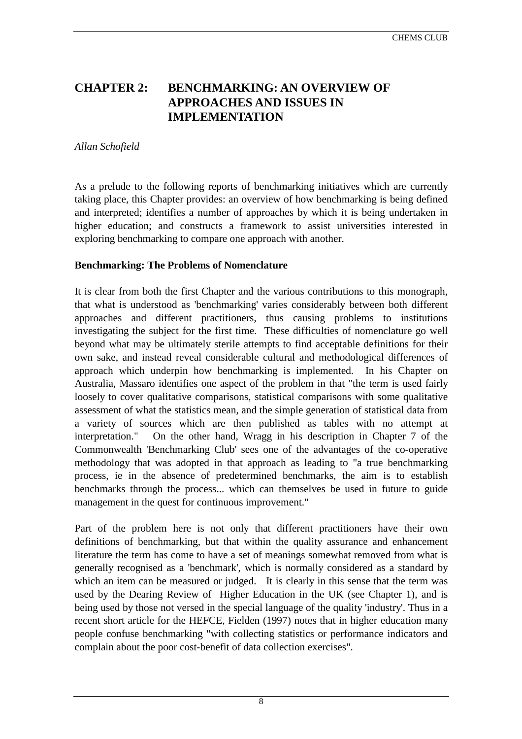# <span id="page-8-0"></span>**CHAPTER 2: BENCHMARKING: AN OVERVIEW OF APPROACHES AND ISSUES IN IMPLEMENTATION**

#### *Allan Schofield*

As a prelude to the following reports of benchmarking initiatives which are currently taking place, this Chapter provides: an overview of how benchmarking is being defined and interpreted; identifies a number of approaches by which it is being undertaken in higher education; and constructs a framework to assist universities interested in exploring benchmarking to compare one approach with another.

## **Benchmarking: The Problems of Nomenclature**

It is clear from both the first Chapter and the various contributions to this monograph, that what is understood as 'benchmarking' varies considerably between both different approaches and different practitioners, thus causing problems to institutions investigating the subject for the first time. These difficulties of nomenclature go well beyond what may be ultimately sterile attempts to find acceptable definitions for their own sake, and instead reveal considerable cultural and methodological differences of approach which underpin how benchmarking is implemented. In his Chapter on Australia, Massaro identifies one aspect of the problem in that "the term is used fairly loosely to cover qualitative comparisons, statistical comparisons with some qualitative assessment of what the statistics mean, and the simple generation of statistical data from a variety of sources which are then published as tables with no attempt at interpretation." On the other hand, Wragg in his description in Chapter 7 of the Commonwealth 'Benchmarking Club' sees one of the advantages of the co-operative methodology that was adopted in that approach as leading to "a true benchmarking process, ie in the absence of predetermined benchmarks, the aim is to establish benchmarks through the process... which can themselves be used in future to guide management in the quest for continuous improvement."

Part of the problem here is not only that different practitioners have their own definitions of benchmarking, but that within the quality assurance and enhancement literature the term has come to have a set of meanings somewhat removed from what is generally recognised as a 'benchmark', which is normally considered as a standard by which an item can be measured or judged. It is clearly in this sense that the term was used by the Dearing Review of Higher Education in the UK (see Chapter 1), and is being used by those not versed in the special language of the quality 'industry'. Thus in a recent short article for the HEFCE, Fielden (1997) notes that in higher education many people confuse benchmarking "with collecting statistics or performance indicators and complain about the poor cost-benefit of data collection exercises".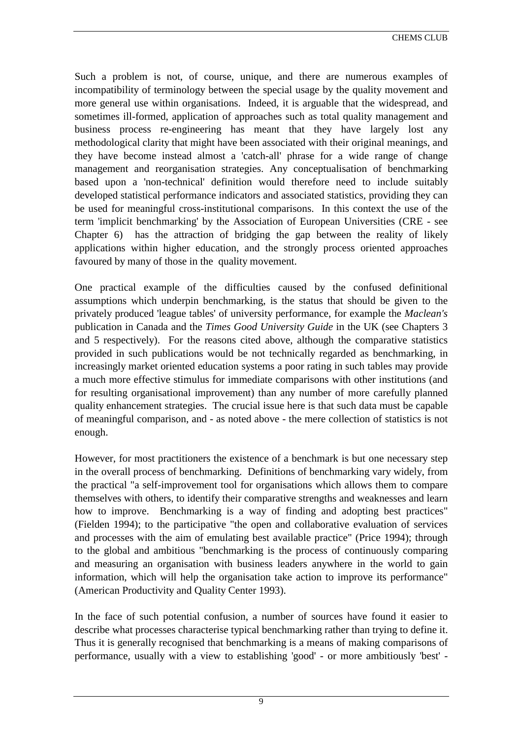CHEMS CLUB

Such a problem is not, of course, unique, and there are numerous examples of incompatibility of terminology between the special usage by the quality movement and more general use within organisations. Indeed, it is arguable that the widespread, and sometimes ill-formed, application of approaches such as total quality management and business process re-engineering has meant that they have largely lost any methodological clarity that might have been associated with their original meanings, and they have become instead almost a 'catch-all' phrase for a wide range of change management and reorganisation strategies. Any conceptualisation of benchmarking based upon a 'non-technical' definition would therefore need to include suitably developed statistical performance indicators and associated statistics, providing they can be used for meaningful cross-institutional comparisons. In this context the use of the term 'implicit benchmarking' by the Association of European Universities (CRE - see Chapter 6) has the attraction of bridging the gap between the reality of likely applications within higher education, and the strongly process oriented approaches favoured by many of those in the quality movement.

One practical example of the difficulties caused by the confused definitional assumptions which underpin benchmarking, is the status that should be given to the privately produced 'league tables' of university performance, for example the *Maclean's* publication in Canada and the *Times Good University Guide* in the UK (see Chapters 3 and 5 respectively). For the reasons cited above, although the comparative statistics provided in such publications would be not technically regarded as benchmarking, in increasingly market oriented education systems a poor rating in such tables may provide a much more effective stimulus for immediate comparisons with other institutions (and for resulting organisational improvement) than any number of more carefully planned quality enhancement strategies. The crucial issue here is that such data must be capable of meaningful comparison, and - as noted above - the mere collection of statistics is not enough.

However, for most practitioners the existence of a benchmark is but one necessary step in the overall process of benchmarking. Definitions of benchmarking vary widely, from the practical "a self-improvement tool for organisations which allows them to compare themselves with others, to identify their comparative strengths and weaknesses and learn how to improve. Benchmarking is a way of finding and adopting best practices" (Fielden 1994); to the participative "the open and collaborative evaluation of services and processes with the aim of emulating best available practice" (Price 1994); through to the global and ambitious "benchmarking is the process of continuously comparing and measuring an organisation with business leaders anywhere in the world to gain information, which will help the organisation take action to improve its performance" (American Productivity and Quality Center 1993).

In the face of such potential confusion, a number of sources have found it easier to describe what processes characterise typical benchmarking rather than trying to define it. Thus it is generally recognised that benchmarking is a means of making comparisons of performance, usually with a view to establishing 'good' - or more ambitiously 'best' -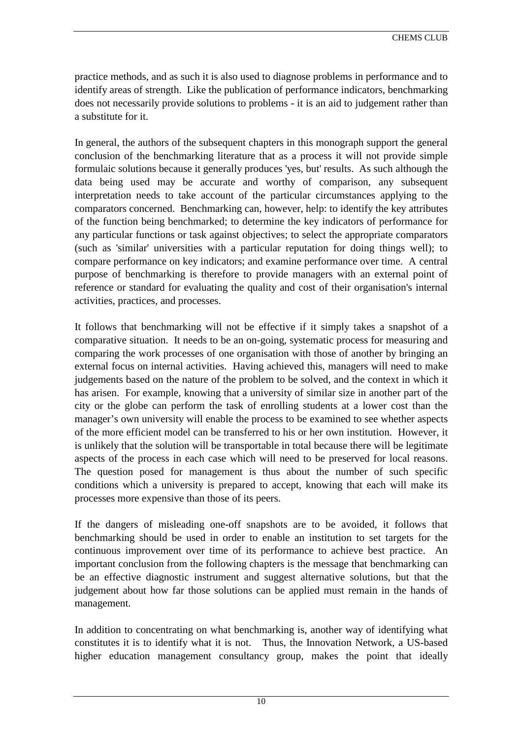practice methods, and as such it is also used to diagnose problems in performance and to identify areas of strength. Like the publication of performance indicators, benchmarking does not necessarily provide solutions to problems - it is an aid to judgement rather than a substitute for it.

In general, the authors of the subsequent chapters in this monograph support the general conclusion of the benchmarking literature that as a process it will not provide simple formulaic solutions because it generally produces 'yes, but' results. As such although the data being used may be accurate and worthy of comparison, any subsequent interpretation needs to take account of the particular circumstances applying to the comparators concerned. Benchmarking can, however, help: to identify the key attributes of the function being benchmarked; to determine the key indicators of performance for any particular functions or task against objectives; to select the appropriate comparators (such as 'similar' universities with a particular reputation for doing things well); to compare performance on key indicators; and examine performance over time. A central purpose of benchmarking is therefore to provide managers with an external point of reference or standard for evaluating the quality and cost of their organisation's internal activities, practices, and processes.

It follows that benchmarking will not be effective if it simply takes a snapshot of a comparative situation. It needs to be an on-going, systematic process for measuring and comparing the work processes of one organisation with those of another by bringing an external focus on internal activities. Having achieved this, managers will need to make judgements based on the nature of the problem to be solved, and the context in which it has arisen. For example, knowing that a university of similar size in another part of the city or the globe can perform the task of enrolling students at a lower cost than the manager's own university will enable the process to be examined to see whether aspects of the more efficient model can be transferred to his or her own institution. However, it is unlikely that the solution will be transportable in total because there will be legitimate aspects of the process in each case which will need to be preserved for local reasons. The question posed for management is thus about the number of such specific conditions which a university is prepared to accept, knowing that each will make its processes more expensive than those of its peers.

If the dangers of misleading one-off snapshots are to be avoided, it follows that benchmarking should be used in order to enable an institution to set targets for the continuous improvement over time of its performance to achieve best practice. An important conclusion from the following chapters is the message that benchmarking can be an effective diagnostic instrument and suggest alternative solutions, but that the judgement about how far those solutions can be applied must remain in the hands of management.

In addition to concentrating on what benchmarking is, another way of identifying what constitutes it is to identify what it is not. Thus, the Innovation Network, a US-based higher education management consultancy group, makes the point that ideally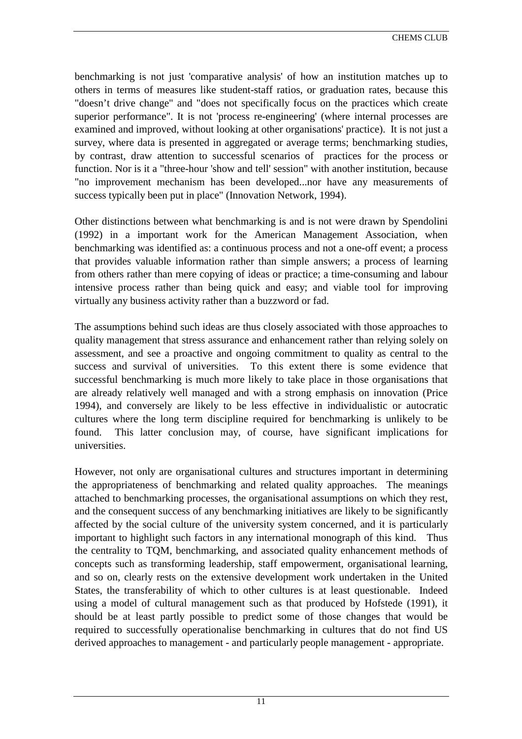CHEMS CLUB

benchmarking is not just 'comparative analysis' of how an institution matches up to others in terms of measures like student-staff ratios, or graduation rates, because this "doesn't drive change" and "does not specifically focus on the practices which create superior performance". It is not 'process re-engineering' (where internal processes are examined and improved, without looking at other organisations' practice). It is not just a survey, where data is presented in aggregated or average terms; benchmarking studies, by contrast, draw attention to successful scenarios of practices for the process or function. Nor is it a "three-hour 'show and tell' session" with another institution, because "no improvement mechanism has been developed...nor have any measurements of success typically been put in place" (Innovation Network, 1994).

Other distinctions between what benchmarking is and is not were drawn by Spendolini (1992) in a important work for the American Management Association, when benchmarking was identified as: a continuous process and not a one-off event; a process that provides valuable information rather than simple answers; a process of learning from others rather than mere copying of ideas or practice; a time-consuming and labour intensive process rather than being quick and easy; and viable tool for improving virtually any business activity rather than a buzzword or fad.

The assumptions behind such ideas are thus closely associated with those approaches to quality management that stress assurance and enhancement rather than relying solely on assessment, and see a proactive and ongoing commitment to quality as central to the success and survival of universities. To this extent there is some evidence that successful benchmarking is much more likely to take place in those organisations that are already relatively well managed and with a strong emphasis on innovation (Price 1994), and conversely are likely to be less effective in individualistic or autocratic cultures where the long term discipline required for benchmarking is unlikely to be found. This latter conclusion may, of course, have significant implications for universities.

However, not only are organisational cultures and structures important in determining the appropriateness of benchmarking and related quality approaches. The meanings attached to benchmarking processes, the organisational assumptions on which they rest, and the consequent success of any benchmarking initiatives are likely to be significantly affected by the social culture of the university system concerned, and it is particularly important to highlight such factors in any international monograph of this kind. Thus the centrality to TQM, benchmarking, and associated quality enhancement methods of concepts such as transforming leadership, staff empowerment, organisational learning, and so on, clearly rests on the extensive development work undertaken in the United States, the transferability of which to other cultures is at least questionable. Indeed using a model of cultural management such as that produced by Hofstede (1991), it should be at least partly possible to predict some of those changes that would be required to successfully operationalise benchmarking in cultures that do not find US derived approaches to management - and particularly people management - appropriate.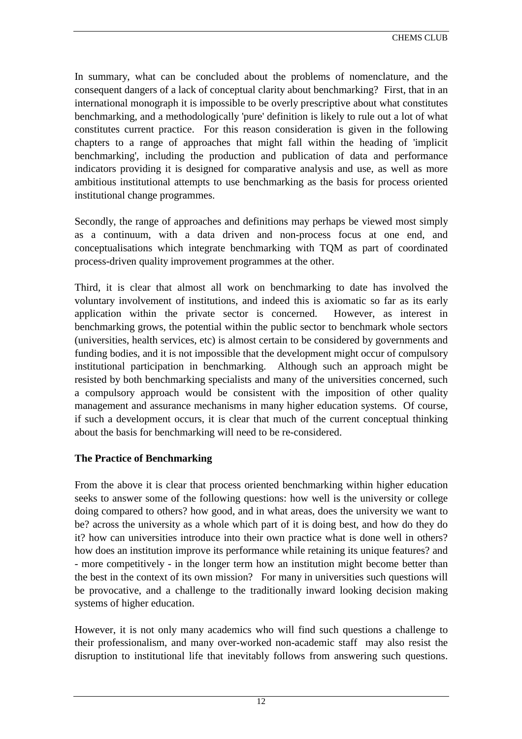In summary, what can be concluded about the problems of nomenclature, and the consequent dangers of a lack of conceptual clarity about benchmarking? First, that in an international monograph it is impossible to be overly prescriptive about what constitutes benchmarking, and a methodologically 'pure' definition is likely to rule out a lot of what constitutes current practice. For this reason consideration is given in the following chapters to a range of approaches that might fall within the heading of 'implicit benchmarking', including the production and publication of data and performance indicators providing it is designed for comparative analysis and use, as well as more ambitious institutional attempts to use benchmarking as the basis for process oriented institutional change programmes.

Secondly, the range of approaches and definitions may perhaps be viewed most simply as a continuum, with a data driven and non-process focus at one end, and conceptualisations which integrate benchmarking with TQM as part of coordinated process-driven quality improvement programmes at the other.

Third, it is clear that almost all work on benchmarking to date has involved the voluntary involvement of institutions, and indeed this is axiomatic so far as its early application within the private sector is concerned. However, as interest in benchmarking grows, the potential within the public sector to benchmark whole sectors (universities, health services, etc) is almost certain to be considered by governments and funding bodies, and it is not impossible that the development might occur of compulsory institutional participation in benchmarking. Although such an approach might be resisted by both benchmarking specialists and many of the universities concerned, such a compulsory approach would be consistent with the imposition of other quality management and assurance mechanisms in many higher education systems. Of course, if such a development occurs, it is clear that much of the current conceptual thinking about the basis for benchmarking will need to be re-considered.

## **The Practice of Benchmarking**

From the above it is clear that process oriented benchmarking within higher education seeks to answer some of the following questions: how well is the university or college doing compared to others? how good, and in what areas, does the university we want to be? across the university as a whole which part of it is doing best, and how do they do it? how can universities introduce into their own practice what is done well in others? how does an institution improve its performance while retaining its unique features? and - more competitively - in the longer term how an institution might become better than the best in the context of its own mission? For many in universities such questions will be provocative, and a challenge to the traditionally inward looking decision making systems of higher education.

However, it is not only many academics who will find such questions a challenge to their professionalism, and many over-worked non-academic staff may also resist the disruption to institutional life that inevitably follows from answering such questions.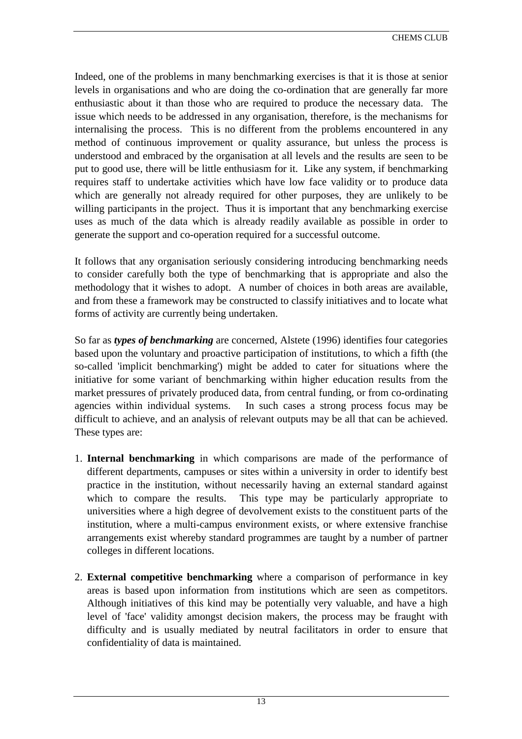Indeed, one of the problems in many benchmarking exercises is that it is those at senior levels in organisations and who are doing the co-ordination that are generally far more enthusiastic about it than those who are required to produce the necessary data. The issue which needs to be addressed in any organisation, therefore, is the mechanisms for internalising the process. This is no different from the problems encountered in any method of continuous improvement or quality assurance, but unless the process is understood and embraced by the organisation at all levels and the results are seen to be put to good use, there will be little enthusiasm for it. Like any system, if benchmarking requires staff to undertake activities which have low face validity or to produce data which are generally not already required for other purposes, they are unlikely to be willing participants in the project. Thus it is important that any benchmarking exercise uses as much of the data which is already readily available as possible in order to generate the support and co-operation required for a successful outcome.

It follows that any organisation seriously considering introducing benchmarking needs to consider carefully both the type of benchmarking that is appropriate and also the methodology that it wishes to adopt. A number of choices in both areas are available, and from these a framework may be constructed to classify initiatives and to locate what forms of activity are currently being undertaken.

So far as *types of benchmarking* are concerned, Alstete (1996) identifies four categories based upon the voluntary and proactive participation of institutions, to which a fifth (the so-called 'implicit benchmarking') might be added to cater for situations where the initiative for some variant of benchmarking within higher education results from the market pressures of privately produced data, from central funding, or from co-ordinating agencies within individual systems. In such cases a strong process focus may be difficult to achieve, and an analysis of relevant outputs may be all that can be achieved. These types are:

- 1. **Internal benchmarking** in which comparisons are made of the performance of different departments, campuses or sites within a university in order to identify best practice in the institution, without necessarily having an external standard against which to compare the results. This type may be particularly appropriate to universities where a high degree of devolvement exists to the constituent parts of the institution, where a multi-campus environment exists, or where extensive franchise arrangements exist whereby standard programmes are taught by a number of partner colleges in different locations.
- 2. **External competitive benchmarking** where a comparison of performance in key areas is based upon information from institutions which are seen as competitors. Although initiatives of this kind may be potentially very valuable, and have a high level of 'face' validity amongst decision makers, the process may be fraught with difficulty and is usually mediated by neutral facilitators in order to ensure that confidentiality of data is maintained.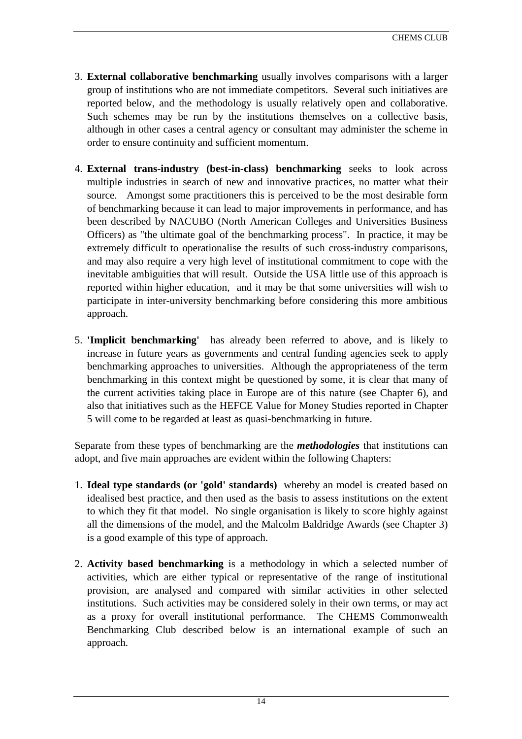- 3. **External collaborative benchmarking** usually involves comparisons with a larger group of institutions who are not immediate competitors. Several such initiatives are reported below, and the methodology is usually relatively open and collaborative. Such schemes may be run by the institutions themselves on a collective basis, although in other cases a central agency or consultant may administer the scheme in order to ensure continuity and sufficient momentum.
- 4. **External trans-industry (best-in-class) benchmarking** seeks to look across multiple industries in search of new and innovative practices, no matter what their source. Amongst some practitioners this is perceived to be the most desirable form of benchmarking because it can lead to major improvements in performance, and has been described by NACUBO (North American Colleges and Universities Business Officers) as "the ultimate goal of the benchmarking process". In practice, it may be extremely difficult to operationalise the results of such cross-industry comparisons, and may also require a very high level of institutional commitment to cope with the inevitable ambiguities that will result. Outside the USA little use of this approach is reported within higher education, and it may be that some universities will wish to participate in inter-university benchmarking before considering this more ambitious approach.
- 5. **'Implicit benchmarking'** has already been referred to above, and is likely to increase in future years as governments and central funding agencies seek to apply benchmarking approaches to universities. Although the appropriateness of the term benchmarking in this context might be questioned by some, it is clear that many of the current activities taking place in Europe are of this nature (see Chapter 6), and also that initiatives such as the HEFCE Value for Money Studies reported in Chapter 5 will come to be regarded at least as quasi-benchmarking in future.

Separate from these types of benchmarking are the *methodologies* that institutions can adopt, and five main approaches are evident within the following Chapters:

- 1. **Ideal type standards (or 'gold' standards)** whereby an model is created based on idealised best practice, and then used as the basis to assess institutions on the extent to which they fit that model. No single organisation is likely to score highly against all the dimensions of the model, and the Malcolm Baldridge Awards (see Chapter 3) is a good example of this type of approach.
- 2. **Activity based benchmarking** is a methodology in which a selected number of activities, which are either typical or representative of the range of institutional provision, are analysed and compared with similar activities in other selected institutions. Such activities may be considered solely in their own terms, or may act as a proxy for overall institutional performance. The CHEMS Commonwealth Benchmarking Club described below is an international example of such an approach.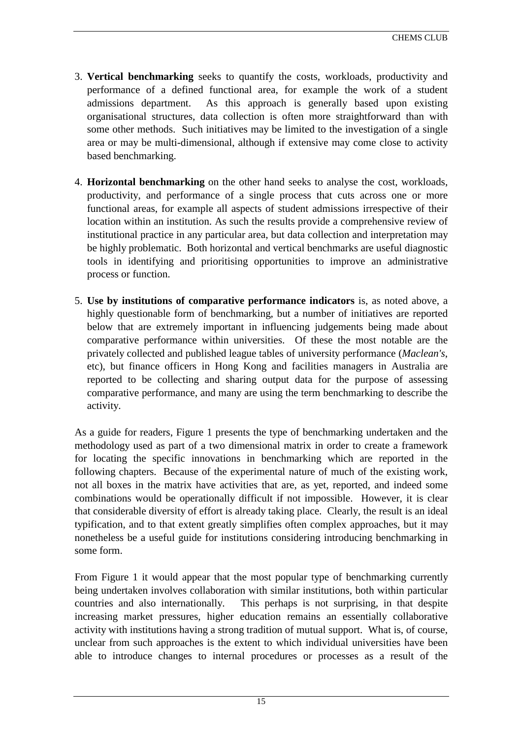- 3. **Vertical benchmarking** seeks to quantify the costs, workloads, productivity and performance of a defined functional area, for example the work of a student admissions department. As this approach is generally based upon existing organisational structures, data collection is often more straightforward than with some other methods. Such initiatives may be limited to the investigation of a single area or may be multi-dimensional, although if extensive may come close to activity based benchmarking.
- 4. **Horizontal benchmarking** on the other hand seeks to analyse the cost, workloads, productivity, and performance of a single process that cuts across one or more functional areas, for example all aspects of student admissions irrespective of their location within an institution. As such the results provide a comprehensive review of institutional practice in any particular area, but data collection and interpretation may be highly problematic. Both horizontal and vertical benchmarks are useful diagnostic tools in identifying and prioritising opportunities to improve an administrative process or function.
- 5. **Use by institutions of comparative performance indicators** is, as noted above, a highly questionable form of benchmarking, but a number of initiatives are reported below that are extremely important in influencing judgements being made about comparative performance within universities. Of these the most notable are the privately collected and published league tables of university performance (*Maclean's*, etc), but finance officers in Hong Kong and facilities managers in Australia are reported to be collecting and sharing output data for the purpose of assessing comparative performance, and many are using the term benchmarking to describe the activity.

As a guide for readers, Figure 1 presents the type of benchmarking undertaken and the methodology used as part of a two dimensional matrix in order to create a framework for locating the specific innovations in benchmarking which are reported in the following chapters. Because of the experimental nature of much of the existing work, not all boxes in the matrix have activities that are, as yet, reported, and indeed some combinations would be operationally difficult if not impossible. However, it is clear that considerable diversity of effort is already taking place. Clearly, the result is an ideal typification, and to that extent greatly simplifies often complex approaches, but it may nonetheless be a useful guide for institutions considering introducing benchmarking in some form.

From Figure 1 it would appear that the most popular type of benchmarking currently being undertaken involves collaboration with similar institutions, both within particular countries and also internationally. This perhaps is not surprising, in that despite increasing market pressures, higher education remains an essentially collaborative activity with institutions having a strong tradition of mutual support. What is, of course, unclear from such approaches is the extent to which individual universities have been able to introduce changes to internal procedures or processes as a result of the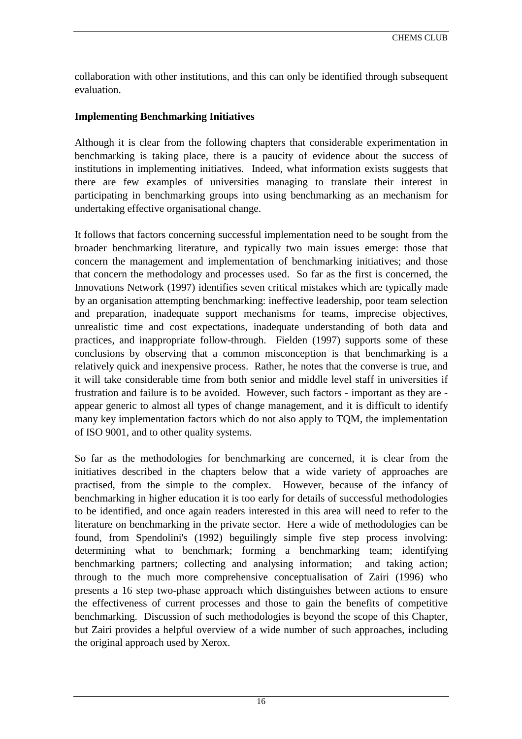collaboration with other institutions, and this can only be identified through subsequent evaluation.

## **Implementing Benchmarking Initiatives**

Although it is clear from the following chapters that considerable experimentation in benchmarking is taking place, there is a paucity of evidence about the success of institutions in implementing initiatives. Indeed, what information exists suggests that there are few examples of universities managing to translate their interest in participating in benchmarking groups into using benchmarking as an mechanism for undertaking effective organisational change.

It follows that factors concerning successful implementation need to be sought from the broader benchmarking literature, and typically two main issues emerge: those that concern the management and implementation of benchmarking initiatives; and those that concern the methodology and processes used. So far as the first is concerned, the Innovations Network (1997) identifies seven critical mistakes which are typically made by an organisation attempting benchmarking: ineffective leadership, poor team selection and preparation, inadequate support mechanisms for teams, imprecise objectives, unrealistic time and cost expectations, inadequate understanding of both data and practices, and inappropriate follow-through. Fielden (1997) supports some of these conclusions by observing that a common misconception is that benchmarking is a relatively quick and inexpensive process. Rather, he notes that the converse is true, and it will take considerable time from both senior and middle level staff in universities if frustration and failure is to be avoided. However, such factors - important as they are appear generic to almost all types of change management, and it is difficult to identify many key implementation factors which do not also apply to TQM, the implementation of ISO 9001, and to other quality systems.

So far as the methodologies for benchmarking are concerned, it is clear from the initiatives described in the chapters below that a wide variety of approaches are practised, from the simple to the complex. However, because of the infancy of benchmarking in higher education it is too early for details of successful methodologies to be identified, and once again readers interested in this area will need to refer to the literature on benchmarking in the private sector. Here a wide of methodologies can be found, from Spendolini's (1992) beguilingly simple five step process involving: determining what to benchmark; forming a benchmarking team; identifying benchmarking partners; collecting and analysing information; and taking action; through to the much more comprehensive conceptualisation of Zairi (1996) who presents a 16 step two-phase approach which distinguishes between actions to ensure the effectiveness of current processes and those to gain the benefits of competitive benchmarking. Discussion of such methodologies is beyond the scope of this Chapter, but Zairi provides a helpful overview of a wide number of such approaches, including the original approach used by Xerox.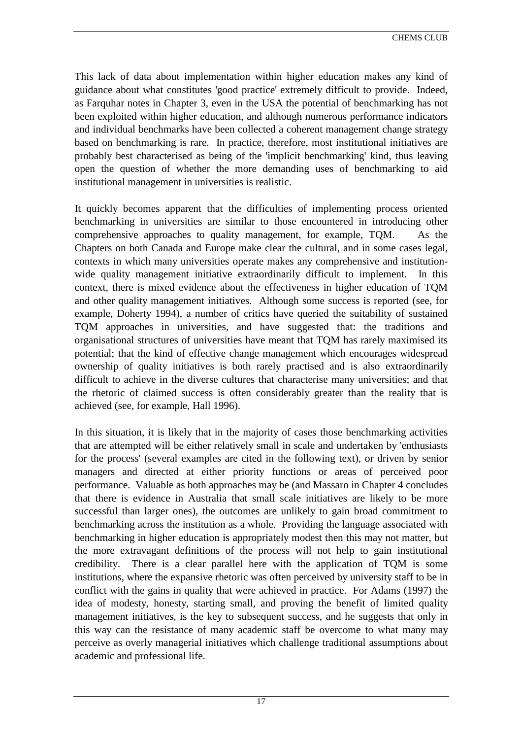This lack of data about implementation within higher education makes any kind of guidance about what constitutes 'good practice' extremely difficult to provide. Indeed, as Farquhar notes in Chapter 3, even in the USA the potential of benchmarking has not been exploited within higher education, and although numerous performance indicators and individual benchmarks have been collected a coherent management change strategy based on benchmarking is rare. In practice, therefore, most institutional initiatives are probably best characterised as being of the 'implicit benchmarking' kind, thus leaving open the question of whether the more demanding uses of benchmarking to aid institutional management in universities is realistic.

It quickly becomes apparent that the difficulties of implementing process oriented benchmarking in universities are similar to those encountered in introducing other comprehensive approaches to quality management, for example, TQM. As the Chapters on both Canada and Europe make clear the cultural, and in some cases legal, contexts in which many universities operate makes any comprehensive and institutionwide quality management initiative extraordinarily difficult to implement. In this context, there is mixed evidence about the effectiveness in higher education of TQM and other quality management initiatives. Although some success is reported (see, for example, Doherty 1994), a number of critics have queried the suitability of sustained TQM approaches in universities, and have suggested that: the traditions and organisational structures of universities have meant that TQM has rarely maximised its potential; that the kind of effective change management which encourages widespread ownership of quality initiatives is both rarely practised and is also extraordinarily difficult to achieve in the diverse cultures that characterise many universities; and that the rhetoric of claimed success is often considerably greater than the reality that is achieved (see, for example, Hall 1996).

In this situation, it is likely that in the majority of cases those benchmarking activities that are attempted will be either relatively small in scale and undertaken by 'enthusiasts for the process' (several examples are cited in the following text), or driven by senior managers and directed at either priority functions or areas of perceived poor performance. Valuable as both approaches may be (and Massaro in Chapter 4 concludes that there is evidence in Australia that small scale initiatives are likely to be more successful than larger ones), the outcomes are unlikely to gain broad commitment to benchmarking across the institution as a whole. Providing the language associated with benchmarking in higher education is appropriately modest then this may not matter, but the more extravagant definitions of the process will not help to gain institutional credibility. There is a clear parallel here with the application of TQM is some institutions, where the expansive rhetoric was often perceived by university staff to be in conflict with the gains in quality that were achieved in practice. For Adams (1997) the idea of modesty, honesty, starting small, and proving the benefit of limited quality management initiatives, is the key to subsequent success, and he suggests that only in this way can the resistance of many academic staff be overcome to what many may perceive as overly managerial initiatives which challenge traditional assumptions about academic and professional life.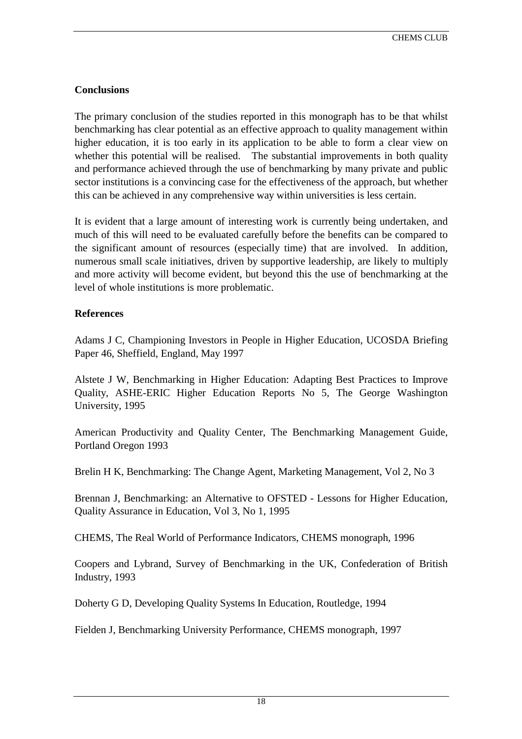# **Conclusions**

The primary conclusion of the studies reported in this monograph has to be that whilst benchmarking has clear potential as an effective approach to quality management within higher education, it is too early in its application to be able to form a clear view on whether this potential will be realised. The substantial improvements in both quality and performance achieved through the use of benchmarking by many private and public sector institutions is a convincing case for the effectiveness of the approach, but whether this can be achieved in any comprehensive way within universities is less certain.

It is evident that a large amount of interesting work is currently being undertaken, and much of this will need to be evaluated carefully before the benefits can be compared to the significant amount of resources (especially time) that are involved. In addition, numerous small scale initiatives, driven by supportive leadership, are likely to multiply and more activity will become evident, but beyond this the use of benchmarking at the level of whole institutions is more problematic.

# **References**

Adams J C, Championing Investors in People in Higher Education, UCOSDA Briefing Paper 46, Sheffield, England, May 1997

Alstete J W, Benchmarking in Higher Education: Adapting Best Practices to Improve Quality, ASHE-ERIC Higher Education Reports No 5, The George Washington University, 1995

American Productivity and Quality Center, The Benchmarking Management Guide, Portland Oregon 1993

Brelin H K, Benchmarking: The Change Agent, Marketing Management, Vol 2, No 3

Brennan J, Benchmarking: an Alternative to OFSTED - Lessons for Higher Education, Quality Assurance in Education, Vol 3, No 1, 1995

CHEMS, The Real World of Performance Indicators, CHEMS monograph, 1996

Coopers and Lybrand, Survey of Benchmarking in the UK, Confederation of British Industry, 1993

Doherty G D, Developing Quality Systems In Education, Routledge, 1994

Fielden J, Benchmarking University Performance, CHEMS monograph, 1997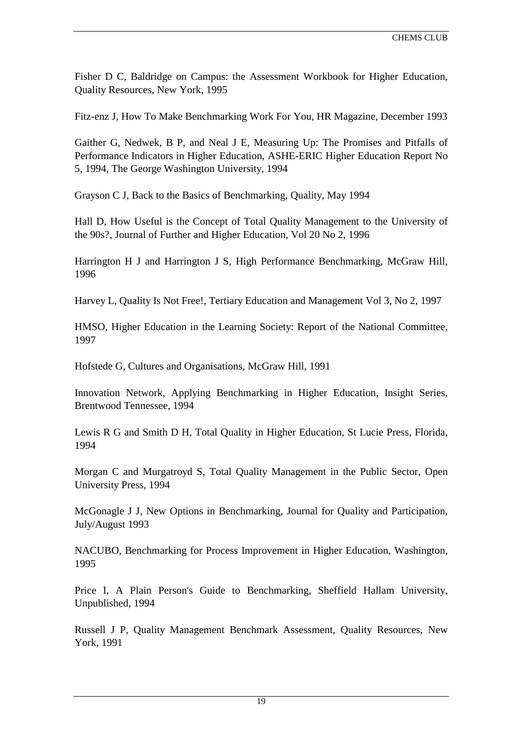Fisher D C, Baldridge on Campus: the Assessment Workbook for Higher Education, Quality Resources, New York, 1995

Fitz-enz J, How To Make Benchmarking Work For You, HR Magazine, December 1993

Gaither G, Nedwek, B P, and Neal J E, Measuring Up: The Promises and Pitfalls of Performance Indicators in Higher Education, ASHE-ERIC Higher Education Report No 5, 1994, The George Washington University, 1994

Grayson C J, Back to the Basics of Benchmarking, Quality, May 1994

Hall D, How Useful is the Concept of Total Quality Management to the University of the 90s?, Journal of Further and Higher Education, Vol 20 No 2, 1996

Harrington H J and Harrington J S, High Performance Benchmarking, McGraw Hill, 1996

Harvey L, Quality Is Not Free!, Tertiary Education and Management Vol 3, No 2, 1997

HMSO, Higher Education in the Learning Society: Report of the National Committee, 1997

Hofstede G, Cultures and Organisations, McGraw Hill, 1991

Innovation Network, Applying Benchmarking in Higher Education, Insight Series, Brentwood Tennessee, 1994

Lewis R G and Smith D H, Total Quality in Higher Education, St Lucie Press, Florida, 1994

Morgan C and Murgatroyd S, Total Quality Management in the Public Sector, Open University Press, 1994

McGonagle J J, New Options in Benchmarking, Journal for Quality and Participation, July/August 1993

NACUBO, Benchmarking for Process Improvement in Higher Education, Washington, 1995

Price I, A Plain Person's Guide to Benchmarking, Sheffield Hallam University, Unpublished, 1994

Russell J P, Quality Management Benchmark Assessment, Quality Resources, New York, 1991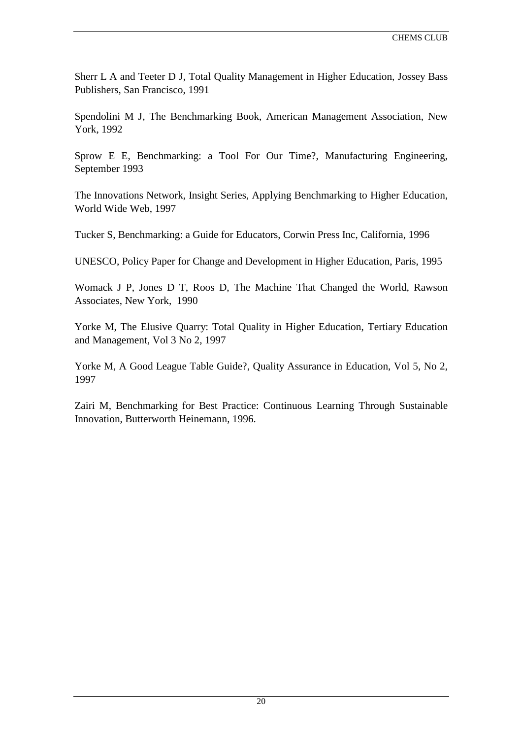Sherr L A and Teeter D J, Total Quality Management in Higher Education, Jossey Bass Publishers, San Francisco, 1991

Spendolini M J, The Benchmarking Book, American Management Association, New York, 1992

Sprow E E, Benchmarking: a Tool For Our Time?, Manufacturing Engineering, September 1993

The Innovations Network, Insight Series, Applying Benchmarking to Higher Education, World Wide Web, 1997

Tucker S, Benchmarking: a Guide for Educators, Corwin Press Inc, California, 1996

UNESCO, Policy Paper for Change and Development in Higher Education, Paris, 1995

Womack J P, Jones D T, Roos D, The Machine That Changed the World, Rawson Associates, New York, 1990

Yorke M, The Elusive Quarry: Total Quality in Higher Education, Tertiary Education and Management, Vol 3 No 2, 1997

Yorke M, A Good League Table Guide?, Quality Assurance in Education, Vol 5, No 2, 1997

Zairi M, Benchmarking for Best Practice: Continuous Learning Through Sustainable Innovation, Butterworth Heinemann, 1996.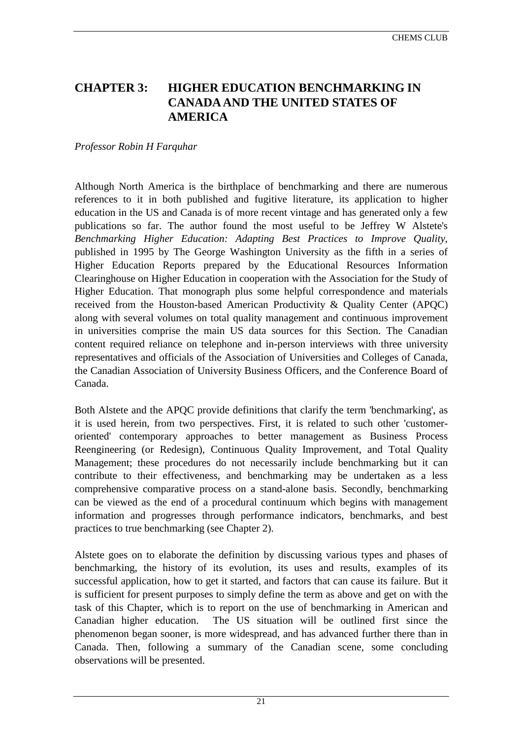# <span id="page-21-0"></span>**CHAPTER 3: HIGHER EDUCATION BENCHMARKING IN CANADA AND THE UNITED STATES OF AMERICA**

#### *Professor Robin H Farquhar*

Although North America is the birthplace of benchmarking and there are numerous references to it in both published and fugitive literature, its application to higher education in the US and Canada is of more recent vintage and has generated only a few publications so far. The author found the most useful to be Jeffrey W Alstete's *Benchmarking Higher Education: Adapting Best Practices to Improve Quality*, published in 1995 by The George Washington University as the fifth in a series of Higher Education Reports prepared by the Educational Resources Information Clearinghouse on Higher Education in cooperation with the Association for the Study of Higher Education. That monograph plus some helpful correspondence and materials received from the Houston-based American Productivity & Quality Center (APQC) along with several volumes on total quality management and continuous improvement in universities comprise the main US data sources for this Section. The Canadian content required reliance on telephone and in-person interviews with three university representatives and officials of the Association of Universities and Colleges of Canada, the Canadian Association of University Business Officers, and the Conference Board of Canada.

Both Alstete and the APQC provide definitions that clarify the term 'benchmarking', as it is used herein, from two perspectives. First, it is related to such other 'customeroriented' contemporary approaches to better management as Business Process Reengineering (or Redesign), Continuous Quality Improvement, and Total Quality Management; these procedures do not necessarily include benchmarking but it can contribute to their effectiveness, and benchmarking may be undertaken as a less comprehensive comparative process on a stand-alone basis. Secondly, benchmarking can be viewed as the end of a procedural continuum which begins with management information and progresses through performance indicators, benchmarks, and best practices to true benchmarking (see Chapter 2).

Alstete goes on to elaborate the definition by discussing various types and phases of benchmarking, the history of its evolution, its uses and results, examples of its successful application, how to get it started, and factors that can cause its failure. But it is sufficient for present purposes to simply define the term as above and get on with the task of this Chapter, which is to report on the use of benchmarking in American and Canadian higher education. The US situation will be outlined first since the phenomenon began sooner, is more widespread, and has advanced further there than in Canada. Then, following a summary of the Canadian scene, some concluding observations will be presented.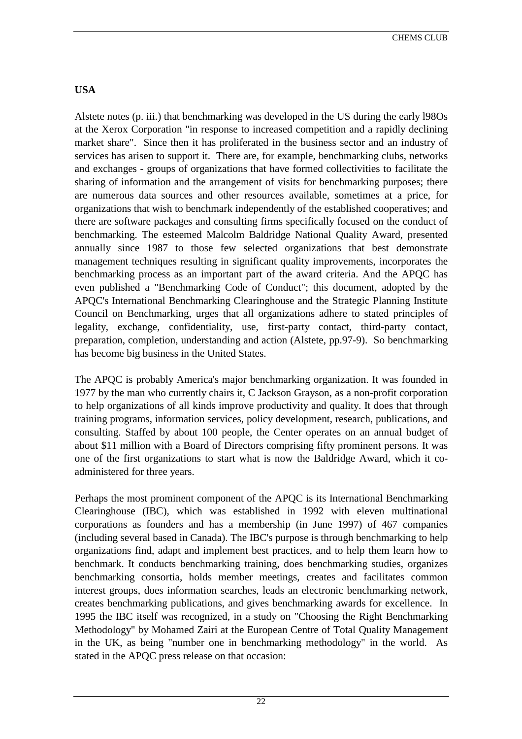# **USA**

Alstete notes (p. iii.) that benchmarking was developed in the US during the early l98Os at the Xerox Corporation "in response to increased competition and a rapidly declining market share". Since then it has proliferated in the business sector and an industry of services has arisen to support it. There are, for example, benchmarking clubs, networks and exchanges - groups of organizations that have formed collectivities to facilitate the sharing of information and the arrangement of visits for benchmarking purposes; there are numerous data sources and other resources available, sometimes at a price, for organizations that wish to benchmark independently of the established cooperatives; and there are software packages and consulting firms specifically focused on the conduct of benchmarking. The esteemed Malcolm Baldridge National Quality Award, presented annually since 1987 to those few selected organizations that best demonstrate management techniques resulting in significant quality improvements, incorporates the benchmarking process as an important part of the award criteria. And the APQC has even published a "Benchmarking Code of Conduct"; this document, adopted by the APQC's International Benchmarking Clearinghouse and the Strategic Planning Institute Council on Benchmarking, urges that all organizations adhere to stated principles of legality, exchange, confidentiality, use, first-party contact, third-party contact, preparation, completion, understanding and action (Alstete, pp.97-9). So benchmarking has become big business in the United States.

The APQC is probably America's major benchmarking organization. It was founded in 1977 by the man who currently chairs it, C Jackson Grayson, as a non-profit corporation to help organizations of all kinds improve productivity and quality. It does that through training programs, information services, policy development, research, publications, and consulting. Staffed by about 100 people, the Center operates on an annual budget of about \$11 million with a Board of Directors comprising fifty prominent persons. It was one of the first organizations to start what is now the Baldridge Award, which it coadministered for three years.

Perhaps the most prominent component of the APQC is its International Benchmarking Clearinghouse (IBC), which was established in 1992 with eleven multinational corporations as founders and has a membership (in June 1997) of 467 companies (including several based in Canada). The IBC's purpose is through benchmarking to help organizations find, adapt and implement best practices, and to help them learn how to benchmark. It conducts benchmarking training, does benchmarking studies, organizes benchmarking consortia, holds member meetings, creates and facilitates common interest groups, does information searches, leads an electronic benchmarking network, creates benchmarking publications, and gives benchmarking awards for excellence. In 1995 the IBC itself was recognized, in a study on "Choosing the Right Benchmarking Methodology" by Mohamed Zairi at the European Centre of Total Quality Management in the UK, as being "number one in benchmarking methodology" in the world. As stated in the APQC press release on that occasion: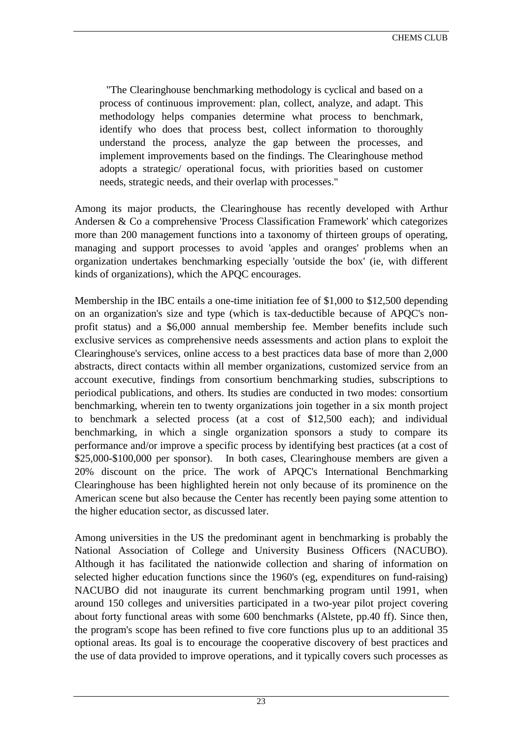"The Clearinghouse benchmarking methodology is cyclical and based on a process of continuous improvement: plan, collect, analyze, and adapt. This methodology helps companies determine what process to benchmark, identify who does that process best, collect information to thoroughly understand the process, analyze the gap between the processes, and implement improvements based on the findings. The Clearinghouse method adopts a strategic/ operational focus, with priorities based on customer needs, strategic needs, and their overlap with processes."

Among its major products, the Clearinghouse has recently developed with Arthur Andersen & Co a comprehensive 'Process Classification Framework' which categorizes more than 200 management functions into a taxonomy of thirteen groups of operating, managing and support processes to avoid 'apples and oranges' problems when an organization undertakes benchmarking especially 'outside the box' (ie, with different kinds of organizations), which the APQC encourages.

Membership in the IBC entails a one-time initiation fee of \$1,000 to \$12,500 depending on an organization's size and type (which is tax-deductible because of APQC's nonprofit status) and a \$6,000 annual membership fee. Member benefits include such exclusive services as comprehensive needs assessments and action plans to exploit the Clearinghouse's services, online access to a best practices data base of more than 2,000 abstracts, direct contacts within all member organizations, customized service from an account executive, findings from consortium benchmarking studies, subscriptions to periodical publications, and others. Its studies are conducted in two modes: consortium benchmarking, wherein ten to twenty organizations join together in a six month project to benchmark a selected process (at a cost of \$12,500 each); and individual benchmarking, in which a single organization sponsors a study to compare its performance and/or improve a specific process by identifying best practices (at a cost of \$25,000-\$100,000 per sponsor). In both cases, Clearinghouse members are given a 20% discount on the price. The work of APQC's International Benchmarking Clearinghouse has been highlighted herein not only because of its prominence on the American scene but also because the Center has recently been paying some attention to the higher education sector, as discussed later.

Among universities in the US the predominant agent in benchmarking is probably the National Association of College and University Business Officers (NACUBO). Although it has facilitated the nationwide collection and sharing of information on selected higher education functions since the 1960's (eg, expenditures on fund-raising) NACUBO did not inaugurate its current benchmarking program until 1991, when around 150 colleges and universities participated in a two-year pilot project covering about forty functional areas with some 600 benchmarks (Alstete, pp.40 ff). Since then, the program's scope has been refined to five core functions plus up to an additional 35 optional areas. Its goal is to encourage the cooperative discovery of best practices and the use of data provided to improve operations, and it typically covers such processes as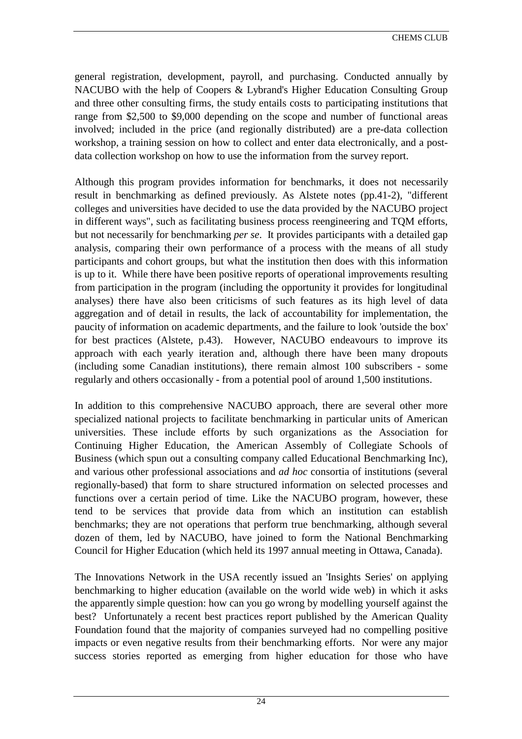general registration, development, payroll, and purchasing. Conducted annually by NACUBO with the help of Coopers & Lybrand's Higher Education Consulting Group and three other consulting firms, the study entails costs to participating institutions that range from \$2,500 to \$9,000 depending on the scope and number of functional areas involved; included in the price (and regionally distributed) are a pre-data collection workshop, a training session on how to collect and enter data electronically, and a postdata collection workshop on how to use the information from the survey report.

Although this program provides information for benchmarks, it does not necessarily result in benchmarking as defined previously. As Alstete notes (pp.41-2), "different colleges and universities have decided to use the data provided by the NACUBO project in different ways", such as facilitating business process reengineering and TQM efforts, but not necessarily for benchmarking *per se*. It provides participants with a detailed gap analysis, comparing their own performance of a process with the means of all study participants and cohort groups, but what the institution then does with this information is up to it. While there have been positive reports of operational improvements resulting from participation in the program (including the opportunity it provides for longitudinal analyses) there have also been criticisms of such features as its high level of data aggregation and of detail in results, the lack of accountability for implementation, the paucity of information on academic departments, and the failure to look 'outside the box' for best practices (Alstete, p.43). However, NACUBO endeavours to improve its approach with each yearly iteration and, although there have been many dropouts (including some Canadian institutions), there remain almost 100 subscribers - some regularly and others occasionally - from a potential pool of around 1,500 institutions.

In addition to this comprehensive NACUBO approach, there are several other more specialized national projects to facilitate benchmarking in particular units of American universities. These include efforts by such organizations as the Association for Continuing Higher Education, the American Assembly of Collegiate Schools of Business (which spun out a consulting company called Educational Benchmarking Inc), and various other professional associations and *ad hoc* consortia of institutions (several regionally-based) that form to share structured information on selected processes and functions over a certain period of time. Like the NACUBO program, however, these tend to be services that provide data from which an institution can establish benchmarks; they are not operations that perform true benchmarking, although several dozen of them, led by NACUBO, have joined to form the National Benchmarking Council for Higher Education (which held its 1997 annual meeting in Ottawa, Canada).

The Innovations Network in the USA recently issued an 'Insights Series' on applying benchmarking to higher education (available on the world wide web) in which it asks the apparently simple question: how can you go wrong by modelling yourself against the best? Unfortunately a recent best practices report published by the American Quality Foundation found that the majority of companies surveyed had no compelling positive impacts or even negative results from their benchmarking efforts. Nor were any major success stories reported as emerging from higher education for those who have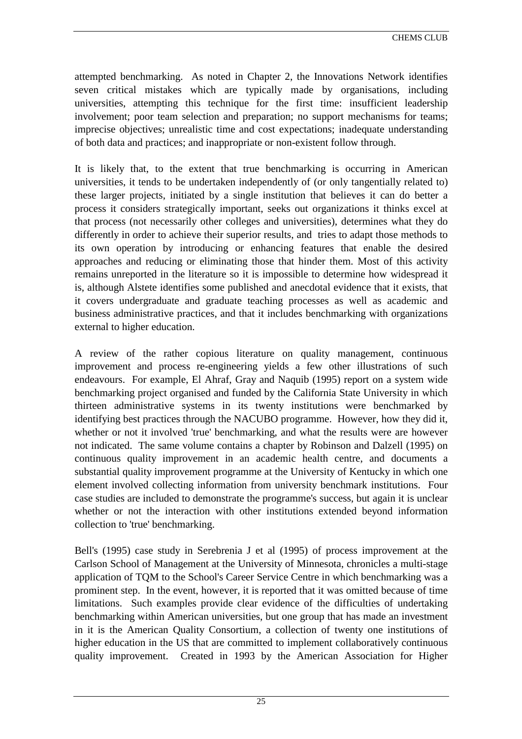attempted benchmarking. As noted in Chapter 2, the Innovations Network identifies seven critical mistakes which are typically made by organisations, including universities, attempting this technique for the first time: insufficient leadership involvement; poor team selection and preparation; no support mechanisms for teams; imprecise objectives; unrealistic time and cost expectations; inadequate understanding of both data and practices; and inappropriate or non-existent follow through.

It is likely that, to the extent that true benchmarking is occurring in American universities, it tends to be undertaken independently of (or only tangentially related to) these larger projects, initiated by a single institution that believes it can do better a process it considers strategically important, seeks out organizations it thinks excel at that process (not necessarily other colleges and universities), determines what they do differently in order to achieve their superior results, and tries to adapt those methods to its own operation by introducing or enhancing features that enable the desired approaches and reducing or eliminating those that hinder them. Most of this activity remains unreported in the literature so it is impossible to determine how widespread it is, although Alstete identifies some published and anecdotal evidence that it exists, that it covers undergraduate and graduate teaching processes as well as academic and business administrative practices, and that it includes benchmarking with organizations external to higher education.

A review of the rather copious literature on quality management, continuous improvement and process re-engineering yields a few other illustrations of such endeavours. For example, El Ahraf, Gray and Naquib (1995) report on a system wide benchmarking project organised and funded by the California State University in which thirteen administrative systems in its twenty institutions were benchmarked by identifying best practices through the NACUBO programme. However, how they did it, whether or not it involved 'true' benchmarking, and what the results were are however not indicated. The same volume contains a chapter by Robinson and Dalzell (1995) on continuous quality improvement in an academic health centre, and documents a substantial quality improvement programme at the University of Kentucky in which one element involved collecting information from university benchmark institutions. Four case studies are included to demonstrate the programme's success, but again it is unclear whether or not the interaction with other institutions extended beyond information collection to 'true' benchmarking.

Bell's (1995) case study in Serebrenia J et al (1995) of process improvement at the Carlson School of Management at the University of Minnesota, chronicles a multi-stage application of TQM to the School's Career Service Centre in which benchmarking was a prominent step. In the event, however, it is reported that it was omitted because of time limitations. Such examples provide clear evidence of the difficulties of undertaking benchmarking within American universities, but one group that has made an investment in it is the American Quality Consortium, a collection of twenty one institutions of higher education in the US that are committed to implement collaboratively continuous quality improvement. Created in 1993 by the American Association for Higher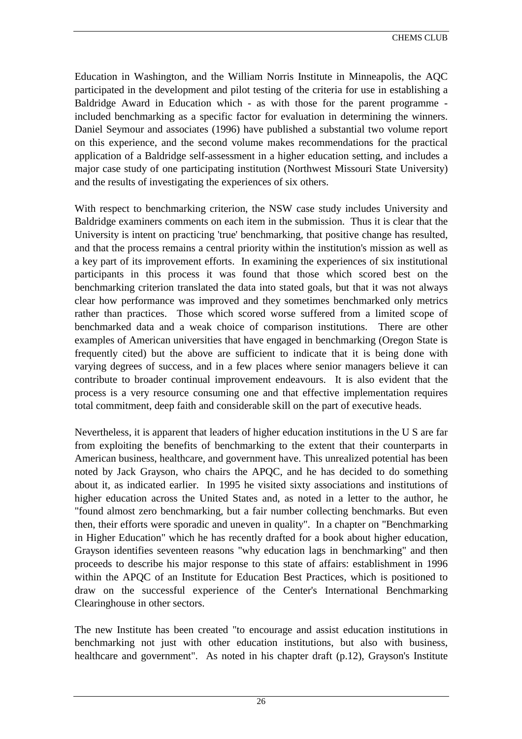Education in Washington, and the William Norris Institute in Minneapolis, the AQC participated in the development and pilot testing of the criteria for use in establishing a Baldridge Award in Education which - as with those for the parent programme included benchmarking as a specific factor for evaluation in determining the winners. Daniel Seymour and associates (1996) have published a substantial two volume report on this experience, and the second volume makes recommendations for the practical application of a Baldridge self-assessment in a higher education setting, and includes a major case study of one participating institution (Northwest Missouri State University) and the results of investigating the experiences of six others.

With respect to benchmarking criterion, the NSW case study includes University and Baldridge examiners comments on each item in the submission. Thus it is clear that the University is intent on practicing 'true' benchmarking, that positive change has resulted, and that the process remains a central priority within the institution's mission as well as a key part of its improvement efforts. In examining the experiences of six institutional participants in this process it was found that those which scored best on the benchmarking criterion translated the data into stated goals, but that it was not always clear how performance was improved and they sometimes benchmarked only metrics rather than practices. Those which scored worse suffered from a limited scope of benchmarked data and a weak choice of comparison institutions. There are other examples of American universities that have engaged in benchmarking (Oregon State is frequently cited) but the above are sufficient to indicate that it is being done with varying degrees of success, and in a few places where senior managers believe it can contribute to broader continual improvement endeavours. It is also evident that the process is a very resource consuming one and that effective implementation requires total commitment, deep faith and considerable skill on the part of executive heads.

Nevertheless, it is apparent that leaders of higher education institutions in the U S are far from exploiting the benefits of benchmarking to the extent that their counterparts in American business, healthcare, and government have. This unrealized potential has been noted by Jack Grayson, who chairs the APQC, and he has decided to do something about it, as indicated earlier. In 1995 he visited sixty associations and institutions of higher education across the United States and, as noted in a letter to the author, he "found almost zero benchmarking, but a fair number collecting benchmarks. But even then, their efforts were sporadic and uneven in quality". In a chapter on "Benchmarking in Higher Education" which he has recently drafted for a book about higher education, Grayson identifies seventeen reasons "why education lags in benchmarking" and then proceeds to describe his major response to this state of affairs: establishment in 1996 within the APQC of an Institute for Education Best Practices, which is positioned to draw on the successful experience of the Center's International Benchmarking Clearinghouse in other sectors.

The new Institute has been created "to encourage and assist education institutions in benchmarking not just with other education institutions, but also with business, healthcare and government". As noted in his chapter draft (p.12), Grayson's Institute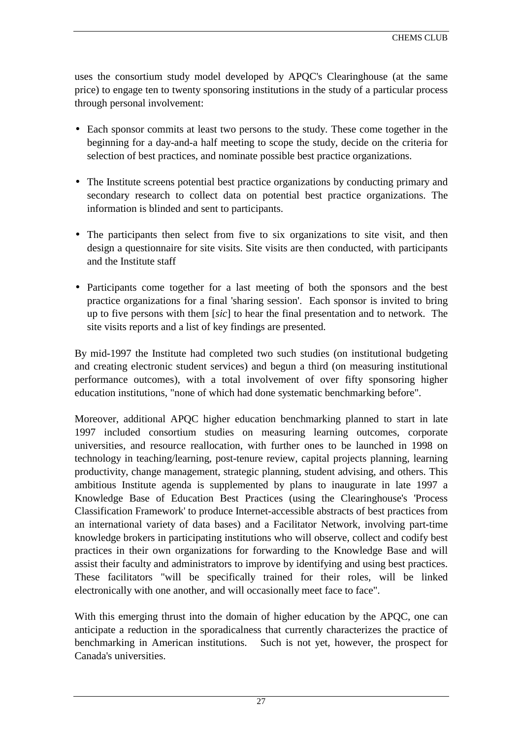uses the consortium study model developed by APQC's Clearinghouse (at the same price) to engage ten to twenty sponsoring institutions in the study of a particular process through personal involvement:

- Each sponsor commits at least two persons to the study. These come together in the beginning for a day-and-a half meeting to scope the study, decide on the criteria for selection of best practices, and nominate possible best practice organizations.
- The Institute screens potential best practice organizations by conducting primary and secondary research to collect data on potential best practice organizations. The information is blinded and sent to participants.
- The participants then select from five to six organizations to site visit, and then design a questionnaire for site visits. Site visits are then conducted, with participants and the Institute staff
- Participants come together for a last meeting of both the sponsors and the best practice organizations for a final 'sharing session'. Each sponsor is invited to bring up to five persons with them [*sic*] to hear the final presentation and to network. The site visits reports and a list of key findings are presented.

By mid-1997 the Institute had completed two such studies (on institutional budgeting and creating electronic student services) and begun a third (on measuring institutional performance outcomes), with a total involvement of over fifty sponsoring higher education institutions, "none of which had done systematic benchmarking before".

Moreover, additional APQC higher education benchmarking planned to start in late 1997 included consortium studies on measuring learning outcomes, corporate universities, and resource reallocation, with further ones to be launched in 1998 on technology in teaching/learning, post-tenure review, capital projects planning, learning productivity, change management, strategic planning, student advising, and others. This ambitious Institute agenda is supplemented by plans to inaugurate in late 1997 a Knowledge Base of Education Best Practices (using the Clearinghouse's 'Process Classification Framework' to produce Internet-accessible abstracts of best practices from an international variety of data bases) and a Facilitator Network, involving part-time knowledge brokers in participating institutions who will observe, collect and codify best practices in their own organizations for forwarding to the Knowledge Base and will assist their faculty and administrators to improve by identifying and using best practices. These facilitators "will be specifically trained for their roles, will be linked electronically with one another, and will occasionally meet face to face".

With this emerging thrust into the domain of higher education by the APQC, one can anticipate a reduction in the sporadicalness that currently characterizes the practice of benchmarking in American institutions. Such is not yet, however, the prospect for Canada's universities.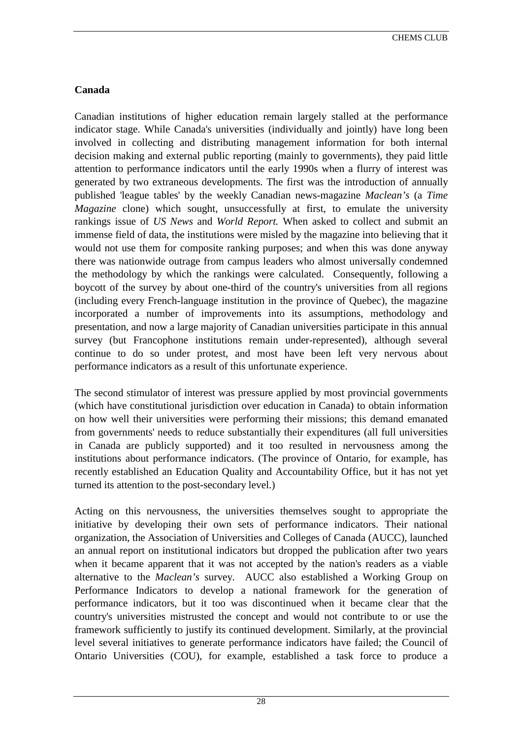# **Canada**

Canadian institutions of higher education remain largely stalled at the performance indicator stage. While Canada's universities (individually and jointly) have long been involved in collecting and distributing management information for both internal decision making and external public reporting (mainly to governments), they paid little attention to performance indicators until the early 1990s when a flurry of interest was generated by two extraneous developments. The first was the introduction of annually published 'league tables' by the weekly Canadian news-magazine *Maclean's* (a *Time Magazine* clone) which sought, unsuccessfully at first, to emulate the university rankings issue of *US News* and *World Report.* When asked to collect and submit an immense field of data, the institutions were misled by the magazine into believing that it would not use them for composite ranking purposes; and when this was done anyway there was nationwide outrage from campus leaders who almost universally condemned the methodology by which the rankings were calculated. Consequently, following a boycott of the survey by about one-third of the country's universities from all regions (including every French-language institution in the province of Quebec), the magazine incorporated a number of improvements into its assumptions, methodology and presentation, and now a large majority of Canadian universities participate in this annual survey (but Francophone institutions remain under-represented), although several continue to do so under protest, and most have been left very nervous about performance indicators as a result of this unfortunate experience.

The second stimulator of interest was pressure applied by most provincial governments (which have constitutional jurisdiction over education in Canada) to obtain information on how well their universities were performing their missions; this demand emanated from governments' needs to reduce substantially their expenditures (all full universities in Canada are publicly supported) and it too resulted in nervousness among the institutions about performance indicators. (The province of Ontario, for example, has recently established an Education Quality and Accountability Office, but it has not yet turned its attention to the post-secondary level.)

Acting on this nervousness, the universities themselves sought to appropriate the initiative by developing their own sets of performance indicators. Their national organization, the Association of Universities and Colleges of Canada (AUCC), launched an annual report on institutional indicators but dropped the publication after two years when it became apparent that it was not accepted by the nation's readers as a viable alternative to the *Maclean's* survey. AUCC also established a Working Group on Performance Indicators to develop a national framework for the generation of performance indicators, but it too was discontinued when it became clear that the country's universities mistrusted the concept and would not contribute to or use the framework sufficiently to justify its continued development. Similarly, at the provincial level several initiatives to generate performance indicators have failed; the Council of Ontario Universities (COU), for example, established a task force to produce a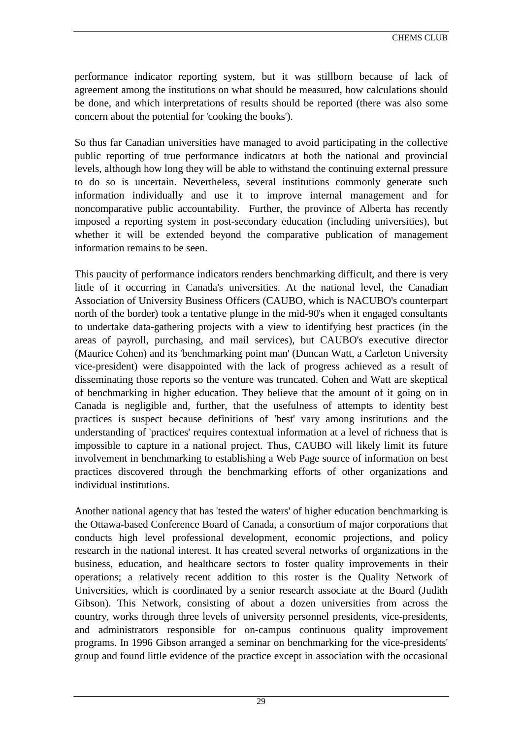performance indicator reporting system, but it was stillborn because of lack of agreement among the institutions on what should be measured, how calculations should be done, and which interpretations of results should be reported (there was also some concern about the potential for 'cooking the books').

So thus far Canadian universities have managed to avoid participating in the collective public reporting of true performance indicators at both the national and provincial levels, although how long they will be able to withstand the continuing external pressure to do so is uncertain. Nevertheless, several institutions commonly generate such information individually and use it to improve internal management and for noncomparative public accountability. Further, the province of Alberta has recently imposed a reporting system in post-secondary education (including universities), but whether it will be extended beyond the comparative publication of management information remains to be seen.

This paucity of performance indicators renders benchmarking difficult, and there is very little of it occurring in Canada's universities. At the national level, the Canadian Association of University Business Officers (CAUBO, which is NACUBO's counterpart north of the border) took a tentative plunge in the mid-90's when it engaged consultants to undertake data-gathering projects with a view to identifying best practices (in the areas of payroll, purchasing, and mail services), but CAUBO's executive director (Maurice Cohen) and its 'benchmarking point man' (Duncan Watt, a Carleton University vice-president) were disappointed with the lack of progress achieved as a result of disseminating those reports so the venture was truncated. Cohen and Watt are skeptical of benchmarking in higher education. They believe that the amount of it going on in Canada is negligible and, further, that the usefulness of attempts to identity best practices is suspect because definitions of 'best' vary among institutions and the understanding of 'practices' requires contextual information at a level of richness that is impossible to capture in a national project. Thus, CAUBO will likely limit its future involvement in benchmarking to establishing a Web Page source of information on best practices discovered through the benchmarking efforts of other organizations and individual institutions.

Another national agency that has 'tested the waters' of higher education benchmarking is the Ottawa-based Conference Board of Canada, a consortium of major corporations that conducts high level professional development, economic projections, and policy research in the national interest. It has created several networks of organizations in the business, education, and healthcare sectors to foster quality improvements in their operations; a relatively recent addition to this roster is the Quality Network of Universities, which is coordinated by a senior research associate at the Board (Judith Gibson). This Network, consisting of about a dozen universities from across the country, works through three levels of university personnel presidents, vice-presidents, and administrators responsible for on-campus continuous quality improvement programs. In 1996 Gibson arranged a seminar on benchmarking for the vice-presidents' group and found little evidence of the practice except in association with the occasional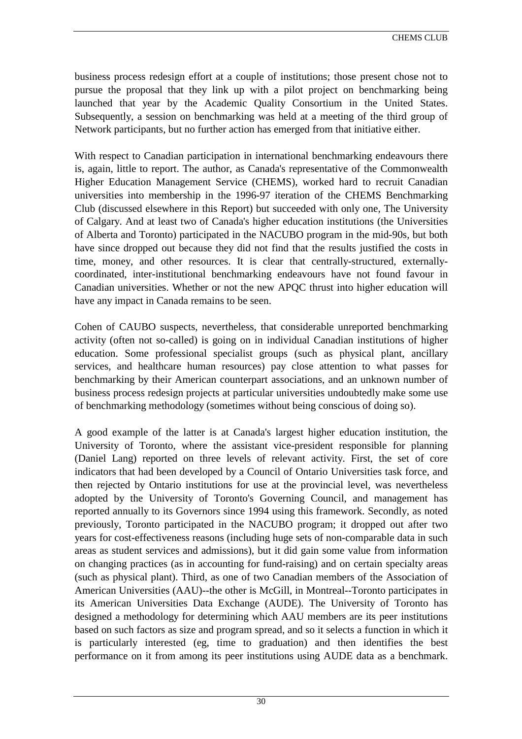business process redesign effort at a couple of institutions; those present chose not to pursue the proposal that they link up with a pilot project on benchmarking being launched that year by the Academic Quality Consortium in the United States. Subsequently, a session on benchmarking was held at a meeting of the third group of Network participants, but no further action has emerged from that initiative either.

With respect to Canadian participation in international benchmarking endeavours there is, again, little to report. The author, as Canada's representative of the Commonwealth Higher Education Management Service (CHEMS), worked hard to recruit Canadian universities into membership in the 1996-97 iteration of the CHEMS Benchmarking Club (discussed elsewhere in this Report) but succeeded with only one, The University of Calgary. And at least two of Canada's higher education institutions (the Universities of Alberta and Toronto) participated in the NACUBO program in the mid-90s, but both have since dropped out because they did not find that the results justified the costs in time, money, and other resources. It is clear that centrally-structured, externallycoordinated, inter-institutional benchmarking endeavours have not found favour in Canadian universities. Whether or not the new APQC thrust into higher education will have any impact in Canada remains to be seen.

Cohen of CAUBO suspects, nevertheless, that considerable unreported benchmarking activity (often not so-called) is going on in individual Canadian institutions of higher education. Some professional specialist groups (such as physical plant, ancillary services, and healthcare human resources) pay close attention to what passes for benchmarking by their American counterpart associations, and an unknown number of business process redesign projects at particular universities undoubtedly make some use of benchmarking methodology (sometimes without being conscious of doing so).

A good example of the latter is at Canada's largest higher education institution, the University of Toronto, where the assistant vice-president responsible for planning (Daniel Lang) reported on three levels of relevant activity. First, the set of core indicators that had been developed by a Council of Ontario Universities task force, and then rejected by Ontario institutions for use at the provincial level, was nevertheless adopted by the University of Toronto's Governing Council, and management has reported annually to its Governors since 1994 using this framework. Secondly, as noted previously, Toronto participated in the NACUBO program; it dropped out after two years for cost-effectiveness reasons (including huge sets of non-comparable data in such areas as student services and admissions), but it did gain some value from information on changing practices (as in accounting for fund-raising) and on certain specialty areas (such as physical plant). Third, as one of two Canadian members of the Association of American Universities (AAU)--the other is McGill, in Montreal--Toronto participates in its American Universities Data Exchange (AUDE). The University of Toronto has designed a methodology for determining which AAU members are its peer institutions based on such factors as size and program spread, and so it selects a function in which it is particularly interested (eg, time to graduation) and then identifies the best performance on it from among its peer institutions using AUDE data as a benchmark.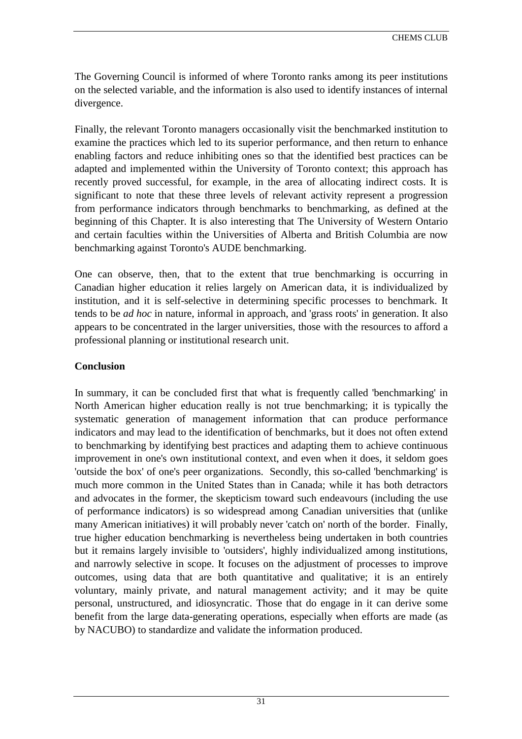The Governing Council is informed of where Toronto ranks among its peer institutions on the selected variable, and the information is also used to identify instances of internal divergence.

Finally, the relevant Toronto managers occasionally visit the benchmarked institution to examine the practices which led to its superior performance, and then return to enhance enabling factors and reduce inhibiting ones so that the identified best practices can be adapted and implemented within the University of Toronto context; this approach has recently proved successful, for example, in the area of allocating indirect costs. It is significant to note that these three levels of relevant activity represent a progression from performance indicators through benchmarks to benchmarking, as defined at the beginning of this Chapter. It is also interesting that The University of Western Ontario and certain faculties within the Universities of Alberta and British Columbia are now benchmarking against Toronto's AUDE benchmarking.

One can observe, then, that to the extent that true benchmarking is occurring in Canadian higher education it relies largely on American data, it is individualized by institution, and it is self-selective in determining specific processes to benchmark. It tends to be *ad hoc* in nature, informal in approach, and 'grass roots' in generation. It also appears to be concentrated in the larger universities, those with the resources to afford a professional planning or institutional research unit.

# **Conclusion**

In summary, it can be concluded first that what is frequently called 'benchmarking' in North American higher education really is not true benchmarking; it is typically the systematic generation of management information that can produce performance indicators and may lead to the identification of benchmarks, but it does not often extend to benchmarking by identifying best practices and adapting them to achieve continuous improvement in one's own institutional context, and even when it does, it seldom goes 'outside the box' of one's peer organizations. Secondly, this so-called 'benchmarking' is much more common in the United States than in Canada; while it has both detractors and advocates in the former, the skepticism toward such endeavours (including the use of performance indicators) is so widespread among Canadian universities that (unlike many American initiatives) it will probably never 'catch on' north of the border. Finally, true higher education benchmarking is nevertheless being undertaken in both countries but it remains largely invisible to 'outsiders', highly individualized among institutions, and narrowly selective in scope. It focuses on the adjustment of processes to improve outcomes, using data that are both quantitative and qualitative; it is an entirely voluntary, mainly private, and natural management activity; and it may be quite personal, unstructured, and idiosyncratic. Those that do engage in it can derive some benefit from the large data-generating operations, especially when efforts are made (as by NACUBO) to standardize and validate the information produced.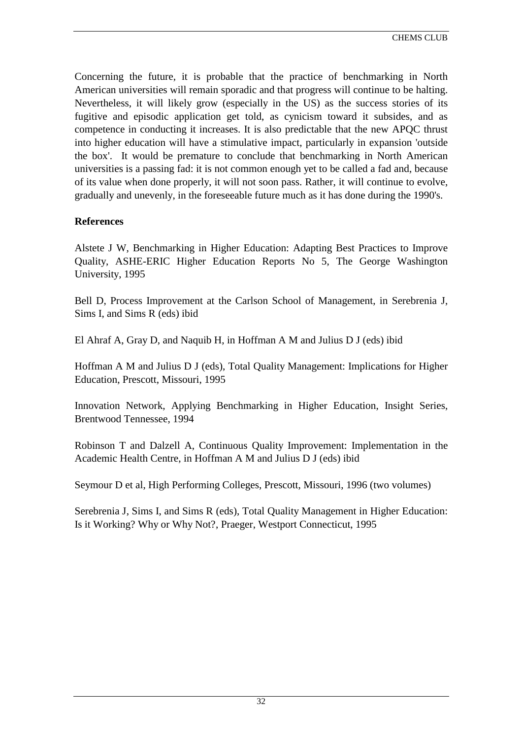Concerning the future, it is probable that the practice of benchmarking in North American universities will remain sporadic and that progress will continue to be halting. Nevertheless, it will likely grow (especially in the US) as the success stories of its fugitive and episodic application get told, as cynicism toward it subsides, and as competence in conducting it increases. It is also predictable that the new APQC thrust into higher education will have a stimulative impact, particularly in expansion 'outside the box'. It would be premature to conclude that benchmarking in North American universities is a passing fad: it is not common enough yet to be called a fad and, because of its value when done properly, it will not soon pass. Rather, it will continue to evolve, gradually and unevenly, in the foreseeable future much as it has done during the 1990's.

## **References**

Alstete J W, Benchmarking in Higher Education: Adapting Best Practices to Improve Quality, ASHE-ERIC Higher Education Reports No 5, The George Washington University, 1995

Bell D, Process Improvement at the Carlson School of Management, in Serebrenia J, Sims I, and Sims R (eds) ibid

El Ahraf A, Gray D, and Naquib H, in Hoffman A M and Julius D J (eds) ibid

Hoffman A M and Julius D J (eds), Total Quality Management: Implications for Higher Education, Prescott, Missouri, 1995

Innovation Network, Applying Benchmarking in Higher Education, Insight Series, Brentwood Tennessee, 1994

Robinson T and Dalzell A, Continuous Quality Improvement: Implementation in the Academic Health Centre, in Hoffman A M and Julius D J (eds) ibid

Seymour D et al, High Performing Colleges, Prescott, Missouri, 1996 (two volumes)

Serebrenia J, Sims I, and Sims R (eds), Total Quality Management in Higher Education: Is it Working? Why or Why Not?, Praeger, Westport Connecticut, 1995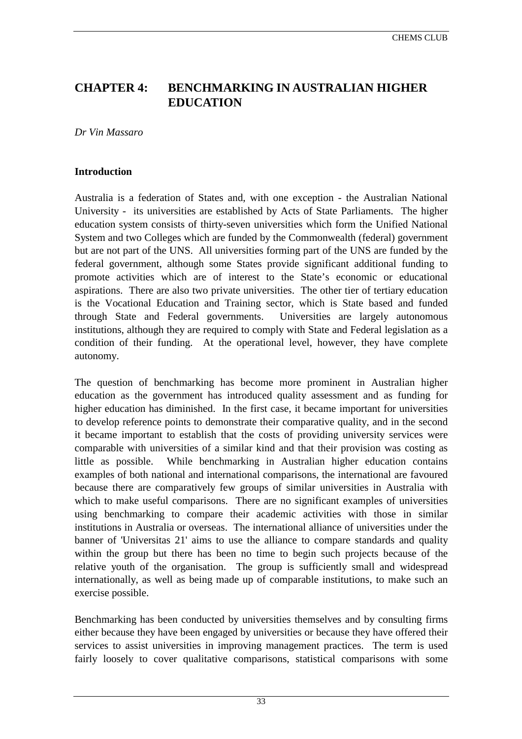# <span id="page-33-0"></span>**CHAPTER 4: BENCHMARKING IN AUSTRALIAN HIGHER EDUCATION**

*Dr Vin Massaro*

## **Introduction**

Australia is a federation of States and, with one exception - the Australian National University - its universities are established by Acts of State Parliaments. The higher education system consists of thirty-seven universities which form the Unified National System and two Colleges which are funded by the Commonwealth (federal) government but are not part of the UNS. All universities forming part of the UNS are funded by the federal government, although some States provide significant additional funding to promote activities which are of interest to the State's economic or educational aspirations. There are also two private universities. The other tier of tertiary education is the Vocational Education and Training sector, which is State based and funded through State and Federal governments. Universities are largely autonomous institutions, although they are required to comply with State and Federal legislation as a condition of their funding. At the operational level, however, they have complete autonomy.

The question of benchmarking has become more prominent in Australian higher education as the government has introduced quality assessment and as funding for higher education has diminished. In the first case, it became important for universities to develop reference points to demonstrate their comparative quality, and in the second it became important to establish that the costs of providing university services were comparable with universities of a similar kind and that their provision was costing as little as possible. While benchmarking in Australian higher education contains examples of both national and international comparisons, the international are favoured because there are comparatively few groups of similar universities in Australia with which to make useful comparisons. There are no significant examples of universities using benchmarking to compare their academic activities with those in similar institutions in Australia or overseas. The international alliance of universities under the banner of 'Universitas 21' aims to use the alliance to compare standards and quality within the group but there has been no time to begin such projects because of the relative youth of the organisation. The group is sufficiently small and widespread internationally, as well as being made up of comparable institutions, to make such an exercise possible.

Benchmarking has been conducted by universities themselves and by consulting firms either because they have been engaged by universities or because they have offered their services to assist universities in improving management practices. The term is used fairly loosely to cover qualitative comparisons, statistical comparisons with some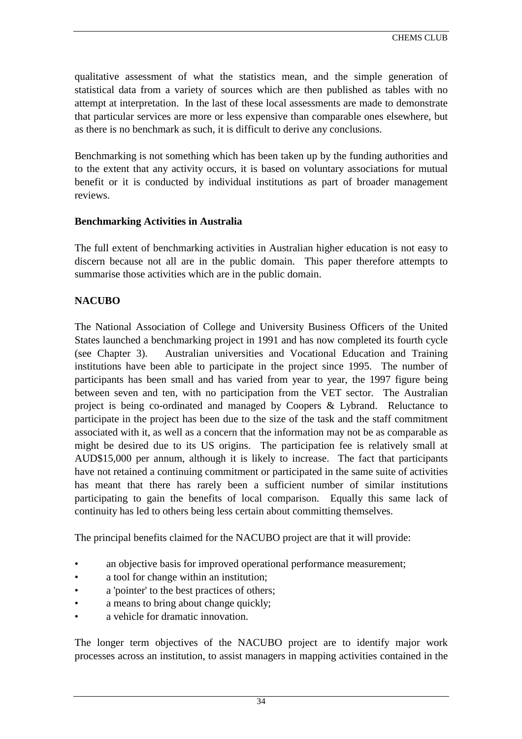qualitative assessment of what the statistics mean, and the simple generation of statistical data from a variety of sources which are then published as tables with no attempt at interpretation. In the last of these local assessments are made to demonstrate that particular services are more or less expensive than comparable ones elsewhere, but as there is no benchmark as such, it is difficult to derive any conclusions.

Benchmarking is not something which has been taken up by the funding authorities and to the extent that any activity occurs, it is based on voluntary associations for mutual benefit or it is conducted by individual institutions as part of broader management reviews.

## **Benchmarking Activities in Australia**

The full extent of benchmarking activities in Australian higher education is not easy to discern because not all are in the public domain. This paper therefore attempts to summarise those activities which are in the public domain.

## **NACUBO**

The National Association of College and University Business Officers of the United States launched a benchmarking project in 1991 and has now completed its fourth cycle (see Chapter 3). Australian universities and Vocational Education and Training institutions have been able to participate in the project since 1995. The number of participants has been small and has varied from year to year, the 1997 figure being between seven and ten, with no participation from the VET sector. The Australian project is being co-ordinated and managed by Coopers & Lybrand. Reluctance to participate in the project has been due to the size of the task and the staff commitment associated with it, as well as a concern that the information may not be as comparable as might be desired due to its US origins. The participation fee is relatively small at AUD\$15,000 per annum, although it is likely to increase. The fact that participants have not retained a continuing commitment or participated in the same suite of activities has meant that there has rarely been a sufficient number of similar institutions participating to gain the benefits of local comparison. Equally this same lack of continuity has led to others being less certain about committing themselves.

The principal benefits claimed for the NACUBO project are that it will provide:

- an objective basis for improved operational performance measurement;
- a tool for change within an institution;
- a 'pointer' to the best practices of others;
- a means to bring about change quickly:
- a vehicle for dramatic innovation.

The longer term objectives of the NACUBO project are to identify major work processes across an institution, to assist managers in mapping activities contained in the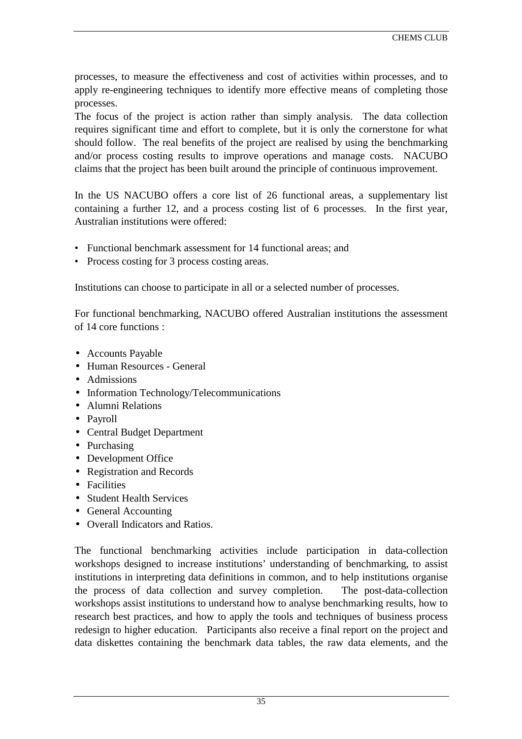processes, to measure the effectiveness and cost of activities within processes, and to apply re-engineering techniques to identify more effective means of completing those processes.

The focus of the project is action rather than simply analysis. The data collection requires significant time and effort to complete, but it is only the cornerstone for what should follow. The real benefits of the project are realised by using the benchmarking and/or process costing results to improve operations and manage costs. NACUBO claims that the project has been built around the principle of continuous improvement.

In the US NACUBO offers a core list of 26 functional areas, a supplementary list containing a further 12, and a process costing list of 6 processes. In the first year, Australian institutions were offered:

- Functional benchmark assessment for 14 functional areas: and
- Process costing for 3 process costing areas.

Institutions can choose to participate in all or a selected number of processes.

For functional benchmarking, NACUBO offered Australian institutions the assessment of 14 core functions :

- Accounts Payable
- Human Resources General
- Admissions
- Information Technology/Telecommunications
- Alumni Relations
- Payroll
- Central Budget Department
- Purchasing
- Development Office
- Registration and Records
- Facilities
- Student Health Services
- General Accounting
- Overall Indicators and Ratios.

The functional benchmarking activities include participation in data-collection workshops designed to increase institutions' understanding of benchmarking, to assist institutions in interpreting data definitions in common, and to help institutions organise the process of data collection and survey completion. The post-data-collection workshops assist institutions to understand how to analyse benchmarking results, how to research best practices, and how to apply the tools and techniques of business process redesign to higher education. Participants also receive a final report on the project and data diskettes containing the benchmark data tables, the raw data elements, and the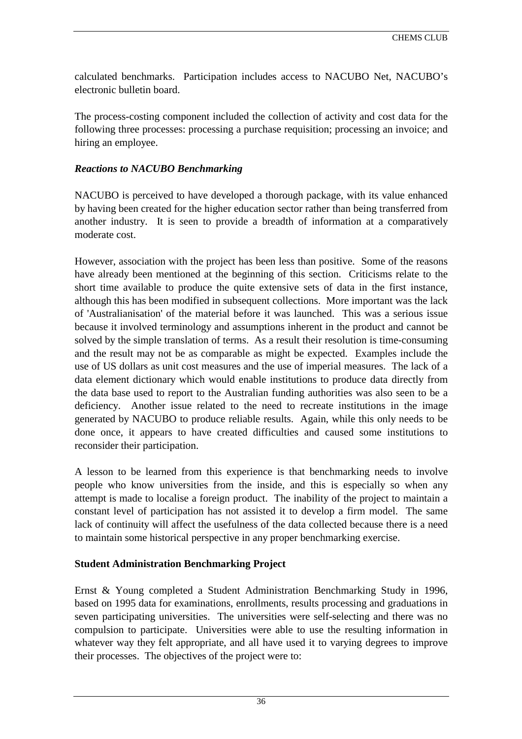calculated benchmarks. Participation includes access to NACUBO Net, NACUBO's electronic bulletin board.

The process-costing component included the collection of activity and cost data for the following three processes: processing a purchase requisition; processing an invoice; and hiring an employee.

### *Reactions to NACUBO Benchmarking*

NACUBO is perceived to have developed a thorough package, with its value enhanced by having been created for the higher education sector rather than being transferred from another industry. It is seen to provide a breadth of information at a comparatively moderate cost.

However, association with the project has been less than positive. Some of the reasons have already been mentioned at the beginning of this section. Criticisms relate to the short time available to produce the quite extensive sets of data in the first instance, although this has been modified in subsequent collections. More important was the lack of 'Australianisation' of the material before it was launched. This was a serious issue because it involved terminology and assumptions inherent in the product and cannot be solved by the simple translation of terms. As a result their resolution is time-consuming and the result may not be as comparable as might be expected. Examples include the use of US dollars as unit cost measures and the use of imperial measures. The lack of a data element dictionary which would enable institutions to produce data directly from the data base used to report to the Australian funding authorities was also seen to be a deficiency. Another issue related to the need to recreate institutions in the image generated by NACUBO to produce reliable results. Again, while this only needs to be done once, it appears to have created difficulties and caused some institutions to reconsider their participation.

A lesson to be learned from this experience is that benchmarking needs to involve people who know universities from the inside, and this is especially so when any attempt is made to localise a foreign product. The inability of the project to maintain a constant level of participation has not assisted it to develop a firm model. The same lack of continuity will affect the usefulness of the data collected because there is a need to maintain some historical perspective in any proper benchmarking exercise.

# **Student Administration Benchmarking Project**

Ernst & Young completed a Student Administration Benchmarking Study in 1996, based on 1995 data for examinations, enrollments, results processing and graduations in seven participating universities. The universities were self-selecting and there was no compulsion to participate. Universities were able to use the resulting information in whatever way they felt appropriate, and all have used it to varying degrees to improve their processes. The objectives of the project were to: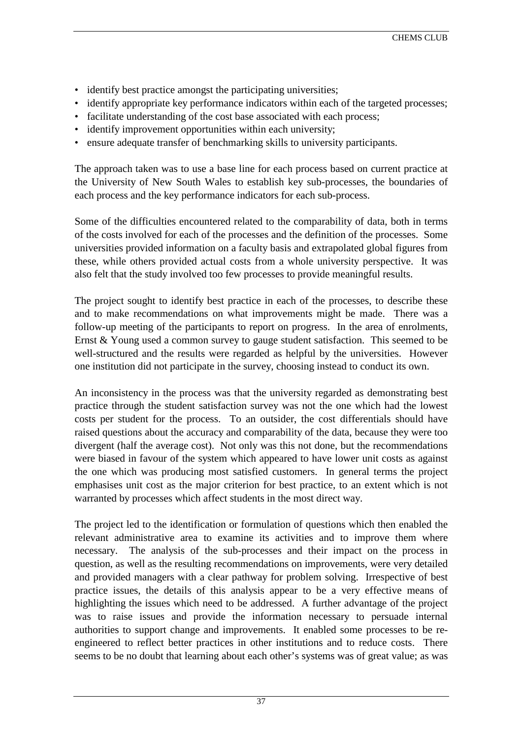- identify best practice amongst the participating universities;
- identify appropriate key performance indicators within each of the targeted processes;
- facilitate understanding of the cost base associated with each process;
- identify improvement opportunities within each university;
- ensure adequate transfer of benchmarking skills to university participants.

The approach taken was to use a base line for each process based on current practice at the University of New South Wales to establish key sub-processes, the boundaries of each process and the key performance indicators for each sub-process.

Some of the difficulties encountered related to the comparability of data, both in terms of the costs involved for each of the processes and the definition of the processes. Some universities provided information on a faculty basis and extrapolated global figures from these, while others provided actual costs from a whole university perspective. It was also felt that the study involved too few processes to provide meaningful results.

The project sought to identify best practice in each of the processes, to describe these and to make recommendations on what improvements might be made. There was a follow-up meeting of the participants to report on progress. In the area of enrolments, Ernst & Young used a common survey to gauge student satisfaction. This seemed to be well-structured and the results were regarded as helpful by the universities. However one institution did not participate in the survey, choosing instead to conduct its own.

An inconsistency in the process was that the university regarded as demonstrating best practice through the student satisfaction survey was not the one which had the lowest costs per student for the process. To an outsider, the cost differentials should have raised questions about the accuracy and comparability of the data, because they were too divergent (half the average cost). Not only was this not done, but the recommendations were biased in favour of the system which appeared to have lower unit costs as against the one which was producing most satisfied customers. In general terms the project emphasises unit cost as the major criterion for best practice, to an extent which is not warranted by processes which affect students in the most direct way.

The project led to the identification or formulation of questions which then enabled the relevant administrative area to examine its activities and to improve them where necessary. The analysis of the sub-processes and their impact on the process in question, as well as the resulting recommendations on improvements, were very detailed and provided managers with a clear pathway for problem solving. Irrespective of best practice issues, the details of this analysis appear to be a very effective means of highlighting the issues which need to be addressed. A further advantage of the project was to raise issues and provide the information necessary to persuade internal authorities to support change and improvements. It enabled some processes to be reengineered to reflect better practices in other institutions and to reduce costs. There seems to be no doubt that learning about each other's systems was of great value; as was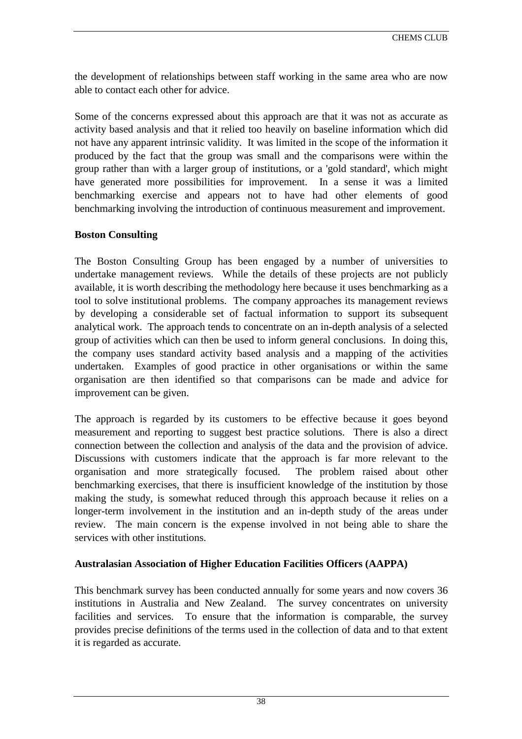the development of relationships between staff working in the same area who are now able to contact each other for advice.

Some of the concerns expressed about this approach are that it was not as accurate as activity based analysis and that it relied too heavily on baseline information which did not have any apparent intrinsic validity. It was limited in the scope of the information it produced by the fact that the group was small and the comparisons were within the group rather than with a larger group of institutions, or a 'gold standard', which might have generated more possibilities for improvement. In a sense it was a limited benchmarking exercise and appears not to have had other elements of good benchmarking involving the introduction of continuous measurement and improvement.

# **Boston Consulting**

The Boston Consulting Group has been engaged by a number of universities to undertake management reviews. While the details of these projects are not publicly available, it is worth describing the methodology here because it uses benchmarking as a tool to solve institutional problems. The company approaches its management reviews by developing a considerable set of factual information to support its subsequent analytical work. The approach tends to concentrate on an in-depth analysis of a selected group of activities which can then be used to inform general conclusions. In doing this, the company uses standard activity based analysis and a mapping of the activities undertaken. Examples of good practice in other organisations or within the same organisation are then identified so that comparisons can be made and advice for improvement can be given.

The approach is regarded by its customers to be effective because it goes beyond measurement and reporting to suggest best practice solutions. There is also a direct connection between the collection and analysis of the data and the provision of advice. Discussions with customers indicate that the approach is far more relevant to the organisation and more strategically focused. The problem raised about other benchmarking exercises, that there is insufficient knowledge of the institution by those making the study, is somewhat reduced through this approach because it relies on a longer-term involvement in the institution and an in-depth study of the areas under review. The main concern is the expense involved in not being able to share the services with other institutions.

# **Australasian Association of Higher Education Facilities Officers (AAPPA)**

This benchmark survey has been conducted annually for some years and now covers 36 institutions in Australia and New Zealand. The survey concentrates on university facilities and services. To ensure that the information is comparable, the survey provides precise definitions of the terms used in the collection of data and to that extent it is regarded as accurate.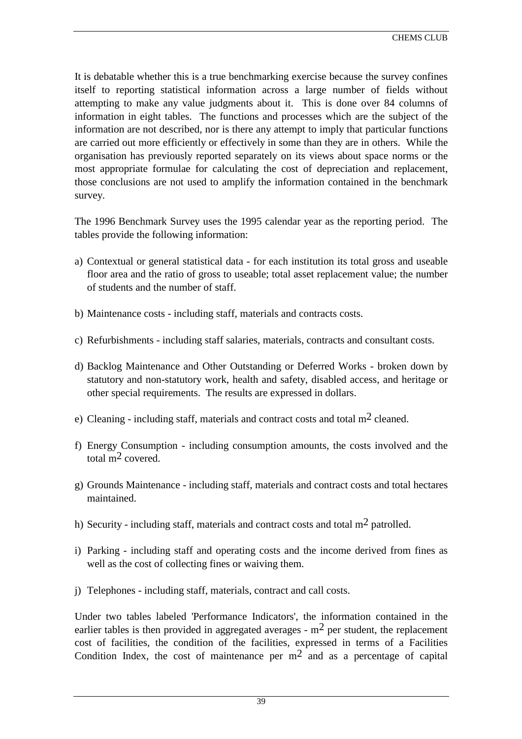It is debatable whether this is a true benchmarking exercise because the survey confines itself to reporting statistical information across a large number of fields without attempting to make any value judgments about it. This is done over 84 columns of information in eight tables. The functions and processes which are the subject of the information are not described, nor is there any attempt to imply that particular functions are carried out more efficiently or effectively in some than they are in others. While the organisation has previously reported separately on its views about space norms or the most appropriate formulae for calculating the cost of depreciation and replacement, those conclusions are not used to amplify the information contained in the benchmark survey.

The 1996 Benchmark Survey uses the 1995 calendar year as the reporting period. The tables provide the following information:

- a) Contextual or general statistical data for each institution its total gross and useable floor area and the ratio of gross to useable; total asset replacement value; the number of students and the number of staff.
- b) Maintenance costs including staff, materials and contracts costs.
- c) Refurbishments including staff salaries, materials, contracts and consultant costs.
- d) Backlog Maintenance and Other Outstanding or Deferred Works broken down by statutory and non-statutory work, health and safety, disabled access, and heritage or other special requirements. The results are expressed in dollars.
- e) Cleaning including staff, materials and contract costs and total  $m<sup>2</sup>$  cleaned.
- f) Energy Consumption including consumption amounts, the costs involved and the total m2 covered.
- g) Grounds Maintenance including staff, materials and contract costs and total hectares maintained.
- h) Security including staff, materials and contract costs and total  $m<sup>2</sup>$  patrolled.
- i) Parking including staff and operating costs and the income derived from fines as well as the cost of collecting fines or waiving them.
- j) Telephones including staff, materials, contract and call costs.

Under two tables labeled 'Performance Indicators', the information contained in the earlier tables is then provided in aggregated averages -  $m<sup>2</sup>$  per student, the replacement cost of facilities, the condition of the facilities, expressed in terms of a Facilities Condition Index, the cost of maintenance per  $m^2$  and as a percentage of capital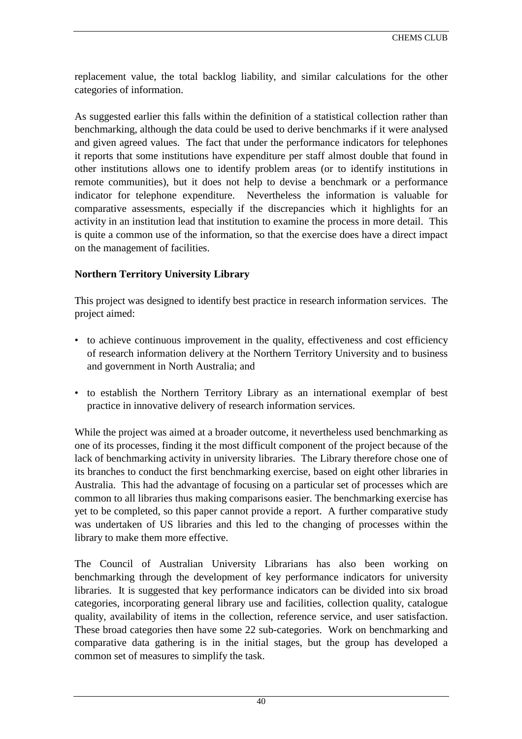replacement value, the total backlog liability, and similar calculations for the other categories of information.

As suggested earlier this falls within the definition of a statistical collection rather than benchmarking, although the data could be used to derive benchmarks if it were analysed and given agreed values. The fact that under the performance indicators for telephones it reports that some institutions have expenditure per staff almost double that found in other institutions allows one to identify problem areas (or to identify institutions in remote communities), but it does not help to devise a benchmark or a performance indicator for telephone expenditure. Nevertheless the information is valuable for comparative assessments, especially if the discrepancies which it highlights for an activity in an institution lead that institution to examine the process in more detail. This is quite a common use of the information, so that the exercise does have a direct impact on the management of facilities.

# **Northern Territory University Library**

This project was designed to identify best practice in research information services. The project aimed:

- to achieve continuous improvement in the quality, effectiveness and cost efficiency of research information delivery at the Northern Territory University and to business and government in North Australia; and
- to establish the Northern Territory Library as an international exemplar of best practice in innovative delivery of research information services.

While the project was aimed at a broader outcome, it nevertheless used benchmarking as one of its processes, finding it the most difficult component of the project because of the lack of benchmarking activity in university libraries. The Library therefore chose one of its branches to conduct the first benchmarking exercise, based on eight other libraries in Australia. This had the advantage of focusing on a particular set of processes which are common to all libraries thus making comparisons easier. The benchmarking exercise has yet to be completed, so this paper cannot provide a report. A further comparative study was undertaken of US libraries and this led to the changing of processes within the library to make them more effective.

The Council of Australian University Librarians has also been working on benchmarking through the development of key performance indicators for university libraries. It is suggested that key performance indicators can be divided into six broad categories, incorporating general library use and facilities, collection quality, catalogue quality, availability of items in the collection, reference service, and user satisfaction. These broad categories then have some 22 sub-categories. Work on benchmarking and comparative data gathering is in the initial stages, but the group has developed a common set of measures to simplify the task.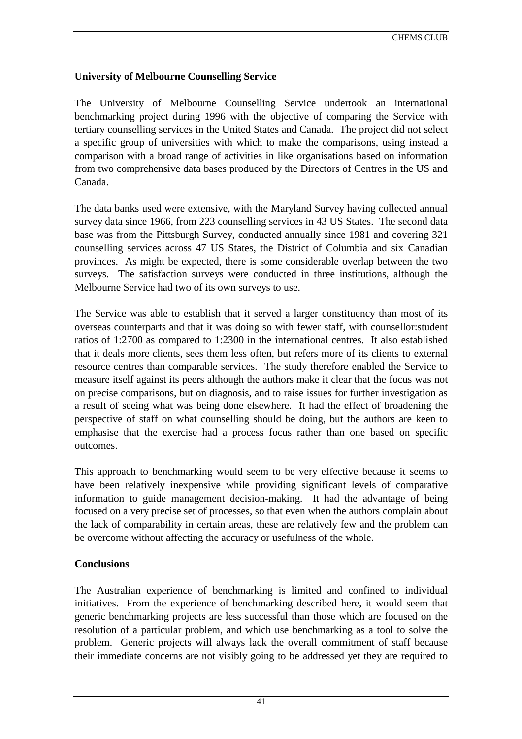# **University of Melbourne Counselling Service**

The University of Melbourne Counselling Service undertook an international benchmarking project during 1996 with the objective of comparing the Service with tertiary counselling services in the United States and Canada. The project did not select a specific group of universities with which to make the comparisons, using instead a comparison with a broad range of activities in like organisations based on information from two comprehensive data bases produced by the Directors of Centres in the US and Canada.

The data banks used were extensive, with the Maryland Survey having collected annual survey data since 1966, from 223 counselling services in 43 US States. The second data base was from the Pittsburgh Survey, conducted annually since 1981 and covering 321 counselling services across 47 US States, the District of Columbia and six Canadian provinces. As might be expected, there is some considerable overlap between the two surveys. The satisfaction surveys were conducted in three institutions, although the Melbourne Service had two of its own surveys to use.

The Service was able to establish that it served a larger constituency than most of its overseas counterparts and that it was doing so with fewer staff, with counsellor:student ratios of 1:2700 as compared to 1:2300 in the international centres. It also established that it deals more clients, sees them less often, but refers more of its clients to external resource centres than comparable services. The study therefore enabled the Service to measure itself against its peers although the authors make it clear that the focus was not on precise comparisons, but on diagnosis, and to raise issues for further investigation as a result of seeing what was being done elsewhere. It had the effect of broadening the perspective of staff on what counselling should be doing, but the authors are keen to emphasise that the exercise had a process focus rather than one based on specific outcomes.

This approach to benchmarking would seem to be very effective because it seems to have been relatively inexpensive while providing significant levels of comparative information to guide management decision-making. It had the advantage of being focused on a very precise set of processes, so that even when the authors complain about the lack of comparability in certain areas, these are relatively few and the problem can be overcome without affecting the accuracy or usefulness of the whole.

# **Conclusions**

The Australian experience of benchmarking is limited and confined to individual initiatives. From the experience of benchmarking described here, it would seem that generic benchmarking projects are less successful than those which are focused on the resolution of a particular problem, and which use benchmarking as a tool to solve the problem. Generic projects will always lack the overall commitment of staff because their immediate concerns are not visibly going to be addressed yet they are required to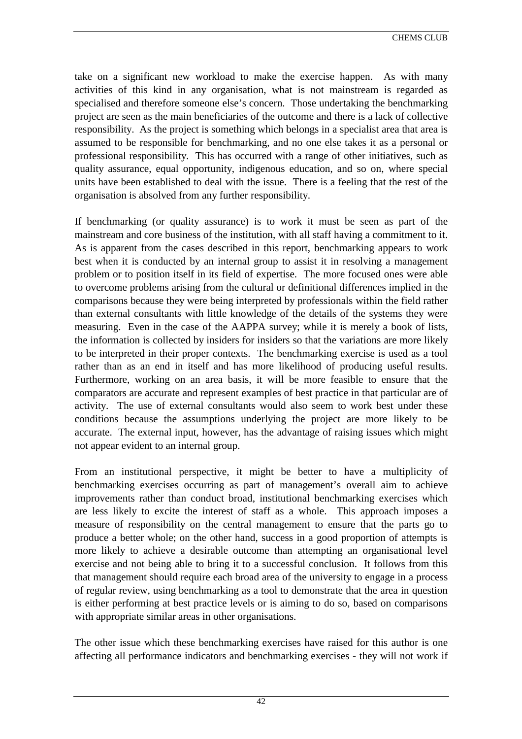take on a significant new workload to make the exercise happen. As with many activities of this kind in any organisation, what is not mainstream is regarded as specialised and therefore someone else's concern. Those undertaking the benchmarking project are seen as the main beneficiaries of the outcome and there is a lack of collective responsibility. As the project is something which belongs in a specialist area that area is assumed to be responsible for benchmarking, and no one else takes it as a personal or professional responsibility. This has occurred with a range of other initiatives, such as quality assurance, equal opportunity, indigenous education, and so on, where special units have been established to deal with the issue. There is a feeling that the rest of the organisation is absolved from any further responsibility.

If benchmarking (or quality assurance) is to work it must be seen as part of the mainstream and core business of the institution, with all staff having a commitment to it. As is apparent from the cases described in this report, benchmarking appears to work best when it is conducted by an internal group to assist it in resolving a management problem or to position itself in its field of expertise. The more focused ones were able to overcome problems arising from the cultural or definitional differences implied in the comparisons because they were being interpreted by professionals within the field rather than external consultants with little knowledge of the details of the systems they were measuring. Even in the case of the AAPPA survey; while it is merely a book of lists, the information is collected by insiders for insiders so that the variations are more likely to be interpreted in their proper contexts. The benchmarking exercise is used as a tool rather than as an end in itself and has more likelihood of producing useful results. Furthermore, working on an area basis, it will be more feasible to ensure that the comparators are accurate and represent examples of best practice in that particular are of activity. The use of external consultants would also seem to work best under these conditions because the assumptions underlying the project are more likely to be accurate. The external input, however, has the advantage of raising issues which might not appear evident to an internal group.

From an institutional perspective, it might be better to have a multiplicity of benchmarking exercises occurring as part of management's overall aim to achieve improvements rather than conduct broad, institutional benchmarking exercises which are less likely to excite the interest of staff as a whole. This approach imposes a measure of responsibility on the central management to ensure that the parts go to produce a better whole; on the other hand, success in a good proportion of attempts is more likely to achieve a desirable outcome than attempting an organisational level exercise and not being able to bring it to a successful conclusion. It follows from this that management should require each broad area of the university to engage in a process of regular review, using benchmarking as a tool to demonstrate that the area in question is either performing at best practice levels or is aiming to do so, based on comparisons with appropriate similar areas in other organisations.

The other issue which these benchmarking exercises have raised for this author is one affecting all performance indicators and benchmarking exercises - they will not work if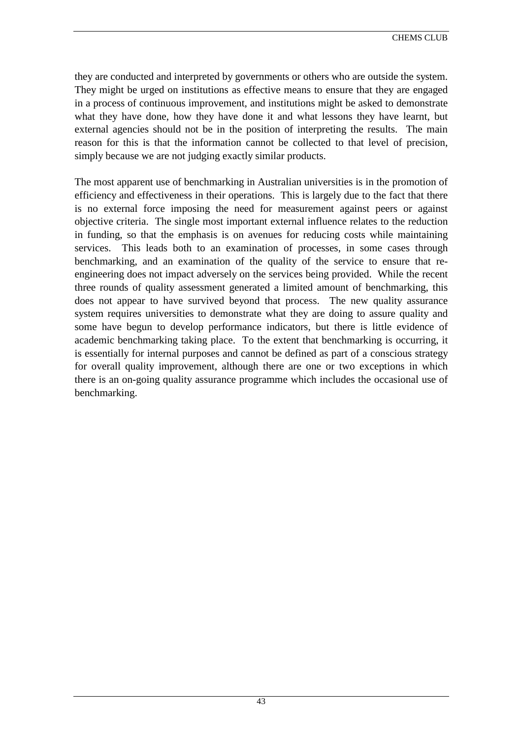they are conducted and interpreted by governments or others who are outside the system. They might be urged on institutions as effective means to ensure that they are engaged in a process of continuous improvement, and institutions might be asked to demonstrate what they have done, how they have done it and what lessons they have learnt, but external agencies should not be in the position of interpreting the results. The main reason for this is that the information cannot be collected to that level of precision, simply because we are not judging exactly similar products.

The most apparent use of benchmarking in Australian universities is in the promotion of efficiency and effectiveness in their operations. This is largely due to the fact that there is no external force imposing the need for measurement against peers or against objective criteria. The single most important external influence relates to the reduction in funding, so that the emphasis is on avenues for reducing costs while maintaining services. This leads both to an examination of processes, in some cases through benchmarking, and an examination of the quality of the service to ensure that reengineering does not impact adversely on the services being provided. While the recent three rounds of quality assessment generated a limited amount of benchmarking, this does not appear to have survived beyond that process. The new quality assurance system requires universities to demonstrate what they are doing to assure quality and some have begun to develop performance indicators, but there is little evidence of academic benchmarking taking place. To the extent that benchmarking is occurring, it is essentially for internal purposes and cannot be defined as part of a conscious strategy for overall quality improvement, although there are one or two exceptions in which there is an on-going quality assurance programme which includes the occasional use of benchmarking.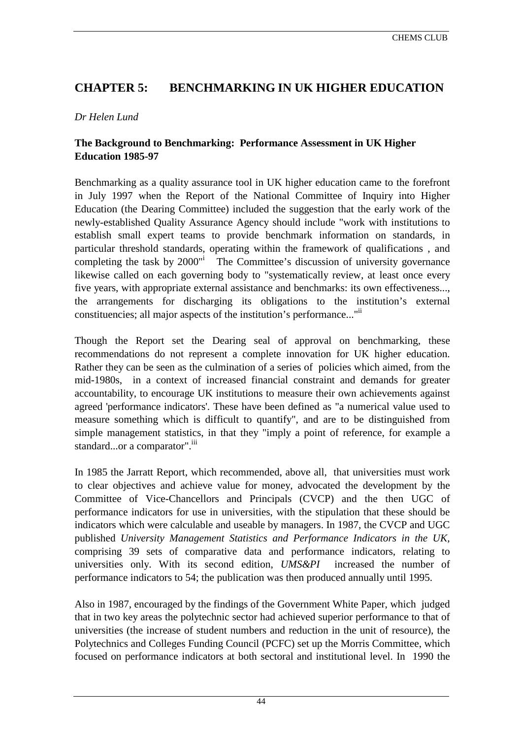# **CHAPTER 5: BENCHMARKING IN UK HIGHER EDUCATION**

# *Dr Helen Lund*

# **The Background to Benchmarking: Performance Assessment in UK Higher Education 1985-97**

Benchmarking as a quality assurance tool in UK higher education came to the forefront in July 1997 when the Report of the National Committee of Inquiry into Higher Education (the Dearing Committee) included the suggestion that the early work of the newly-established Quality Assurance Agency should include "work with institutions to establish small expert teams to provide benchmark information on standards, in particular threshold standards[,](#page-80-0) operating within the framework of qualifications , and completing the task by 2000"i The Committee's discussion of university governance likewise called on each governing body to "systematically review, at least once every five years, with appropriate external assistance and benchmarks: its own effectiveness..., the arrangements for discharging its obligations to the institution's external constituencies; all major aspects of the institution's performance..."<sup>ii</sup>

Though the Report set the Dearing seal of approval on benchmarking, these recommendations do not represent a complete innovation for UK higher education. Rather they can be seen as the culmination of a series of policies which aimed, from the mid-1980s, in a context of increased financial constraint and demands for greater accountability, to encourage UK institutions to measure their own achievements against agreed 'performance indicators'. These have been defined as "a numerical value used to measure something which is difficult to quantify", and are to be distinguished from simple management statistics, in that they "imply a point of reference, for example a standard...or a comparator".<sup>iii</sup>

In 1985 the Jarratt Report, which recommended, above all, that universities must work to clear objectives and achieve value for money, advocated the development by the Committee of Vice-Chancellors and Principals (CVCP) and the then UGC of performance indicators for use in universities, with the stipulation that these should be indicators which were calculable and useable by managers. In 1987, the CVCP and UGC published *University Management Statistics and Performance Indicators in the UK,* comprising 39 sets of comparative data and performance indicators, relating to universities only. With its second edition, *UMS&PI* increased the number of performance indicators to 54; the publication was then produced annually until 1995.

Also in 1987, encouraged by the findings of the Government White Paper, which judged that in two key areas the polytechnic sector had achieved superior performance to that of universities (the increase of student numbers and reduction in the unit of resource), the Polytechnics and Colleges Funding Council (PCFC) set up the Morris Committee, which focused on performance indicators at both sectoral and institutional level. In 1990 the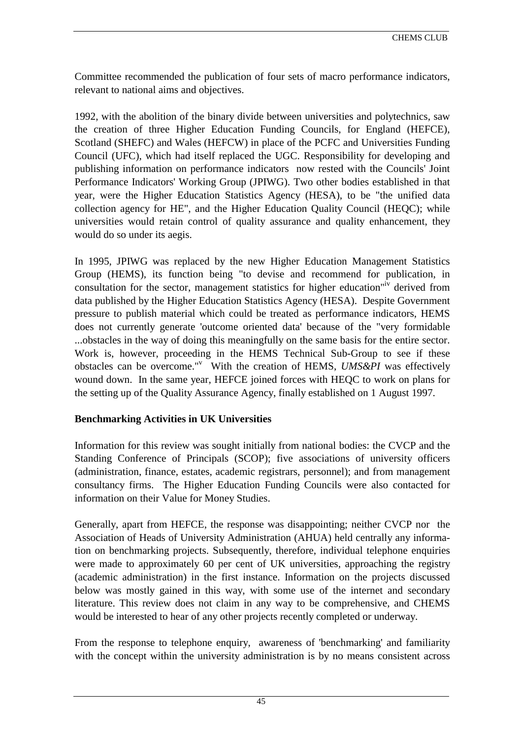Committee recommended the publication of four sets of macro performance indicators, relevant to national aims and objectives.

1992, with the abolition of the binary divide between universities and polytechnics, saw the creation of three Higher Education Funding Councils, for England (HEFCE), Scotland (SHEFC) and Wales (HEFCW) in place of the PCFC and Universities Funding Council (UFC), which had itself replaced the UGC. Responsibility for developing and publishing information on performance indicators now rested with the Councils' Joint Performance Indicators' Working Group (JPIWG). Two other bodies established in that year, were the Higher Education Statistics Agency (HESA), to be "the unified data collection agency for HE", and the Higher Education Quality Council (HEQC); while universities would retain control of quality assurance and quality enhancement, they would do so under its aegis.

In 1995, JPIWG was replaced by the new Higher Education Management Statistics Group (HEMS), its function being "to devise and recommend for publication, in consultation for the sector, management statistics for higher education<sup>"iv</sup> derived from data published by the Higher Education Statistics Agency (HESA). Despite Government pressure to publish material which could be treated as performance indicators, HEMS does not currently generate 'outcome oriented data' because of the "very formidable ...obstacles in the way of doing this meaningfully on the same basis for the entire sector. Work is, however, proceeding in the HEMS Technical Sub-Group to see if these obstacles can be overcome."<sup>v</sup> With the creation of HEMS, *UMS&PI* was effectively wound down. In the same year, HEFCE joined forces with HEQC to work on plans for the setting up of the Quality Assurance Agency, finally established on 1 August 1997.

# **Benchmarking Activities in UK Universities**

Information for this review was sought initially from national bodies: the CVCP and the Standing Conference of Principals (SCOP); five associations of university officers (administration, finance, estates, academic registrars, personnel); and from management consultancy firms. The Higher Education Funding Councils were also contacted for information on their Value for Money Studies.

Generally, apart from HEFCE, the response was disappointing; neither CVCP nor the Association of Heads of University Administration (AHUA) held centrally any information on benchmarking projects. Subsequently, therefore, individual telephone enquiries were made to approximately 60 per cent of UK universities, approaching the registry (academic administration) in the first instance. Information on the projects discussed below was mostly gained in this way, with some use of the internet and secondary literature. This review does not claim in any way to be comprehensive, and CHEMS would be interested to hear of any other projects recently completed or underway.

From the response to telephone enquiry, awareness of 'benchmarking' and familiarity with the concept within the university administration is by no means consistent across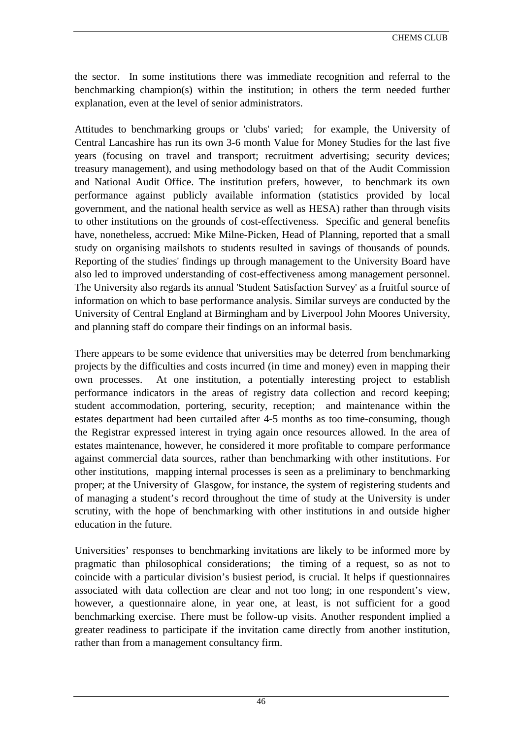the sector. In some institutions there was immediate recognition and referral to the benchmarking champion(s) within the institution; in others the term needed further explanation, even at the level of senior administrators.

Attitudes to benchmarking groups or 'clubs' varied; for example, the University of Central Lancashire has run its own 3-6 month Value for Money Studies for the last five years (focusing on travel and transport; recruitment advertising; security devices; treasury management), and using methodology based on that of the Audit Commission and National Audit Office. The institution prefers, however, to benchmark its own performance against publicly available information (statistics provided by local government, and the national health service as well as HESA) rather than through visits to other institutions on the grounds of cost-effectiveness. Specific and general benefits have, nonetheless, accrued: Mike Milne-Picken, Head of Planning, reported that a small study on organising mailshots to students resulted in savings of thousands of pounds. Reporting of the studies' findings up through management to the University Board have also led to improved understanding of cost-effectiveness among management personnel. The University also regards its annual 'Student Satisfaction Survey' as a fruitful source of information on which to base performance analysis. Similar surveys are conducted by the University of Central England at Birmingham and by Liverpool John Moores University, and planning staff do compare their findings on an informal basis.

There appears to be some evidence that universities may be deterred from benchmarking projects by the difficulties and costs incurred (in time and money) even in mapping their own processes. At one institution, a potentially interesting project to establish performance indicators in the areas of registry data collection and record keeping; student accommodation, portering, security, reception; and maintenance within the estates department had been curtailed after 4-5 months as too time-consuming, though the Registrar expressed interest in trying again once resources allowed. In the area of estates maintenance, however, he considered it more profitable to compare performance against commercial data sources, rather than benchmarking with other institutions. For other institutions, mapping internal processes is seen as a preliminary to benchmarking proper; at the University of Glasgow, for instance, the system of registering students and of managing a student's record throughout the time of study at the University is under scrutiny, with the hope of benchmarking with other institutions in and outside higher education in the future.

Universities' responses to benchmarking invitations are likely to be informed more by pragmatic than philosophical considerations; the timing of a request, so as not to coincide with a particular division's busiest period, is crucial. It helps if questionnaires associated with data collection are clear and not too long; in one respondent's view, however, a questionnaire alone, in year one, at least, is not sufficient for a good benchmarking exercise. There must be follow-up visits. Another respondent implied a greater readiness to participate if the invitation came directly from another institution, rather than from a management consultancy firm.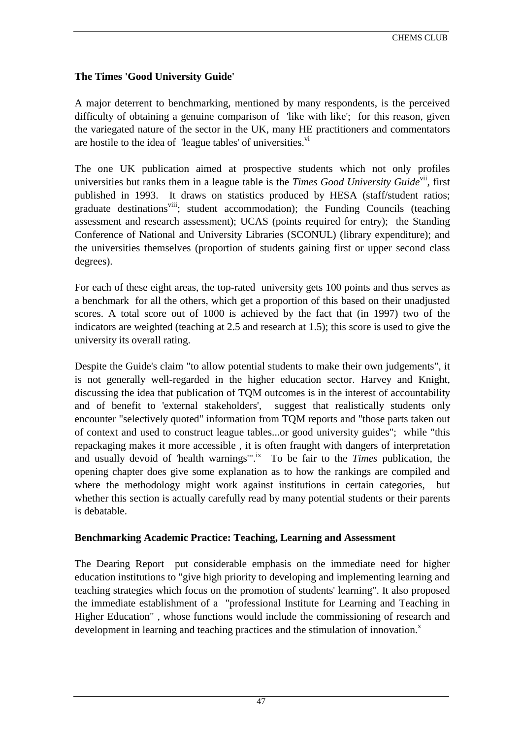# **The Times 'Good University Guide'**

A major deterrent to benchmarking, mentioned by many respondents, is the perceived difficulty of obtaining a genuine comparison of 'like with like'; for this reason, given the variegated nature of the sector in the UK, many HE practitioners and commentators are hostile to the idea of 'league tables' of universities.<sup>[vi](#page-80-0)</sup>

The one UK publication aimed at prospective students which not only profiles universities but ranks them in a league table is the *Times Good University Guide*<sup>vii</sup>, first published in 1993. It draws on statistics produced by HESA (staff/student ratios; graduate destinations<sup>viii</sup>; student accommodation); the Funding Councils (teaching assessment and research assessment); UCAS (points required for entry); the Standing Conference of National and University Libraries (SCONUL) (library expenditure); and the universities themselves (proportion of students gaining first or upper second class degrees).

For each of these eight areas, the top-rated university gets 100 points and thus serves as a benchmark for all the others, which get a proportion of this based on their unadjusted scores. A total score out of 1000 is achieved by the fact that (in 1997) two of the indicators are weighted (teaching at 2.5 and research at 1.5); this score is used to give the university its overall rating.

Despite the Guide's claim "to allow potential students to make their own judgements", it is not generally well-regarded in the higher education sector. Harvey and Knight, discussing the idea that publication of TQM outcomes is in the interest of accountability and of benefit to 'external stakeholders', suggest that realistically students only encounter "selectively quoted" information from TQM reports and "those parts taken out of context and used to construct league tables...or good university guides"; while "this repackaging makes it more accessible , it is often fraught with dangers of interpretation and usually devoid of 'health warnings'".<sup>ix</sup> To be fair to the *Times* publication, the opening chapter does give some explanation as to how the rankings are compiled and where the methodology might work against institutions in certain categories, but whether this section is actually carefully read by many potential students or their parents is debatable.

# **Benchmarking Academic Practice: Teaching, Learning and Assessment**

The Dearing Report put considerable emphasis on the immediate need for higher education institutions to "give high priority to developing and implementing learning and teaching strategies which focus on the promotion of students' learning". It also proposed the immediate establishment of a "professional Institute for Learning and Teaching in Higher Education" , whose functions would include the commissioning of research and development in learning and teaching practices and the stimulation of innovation.<sup>x</sup>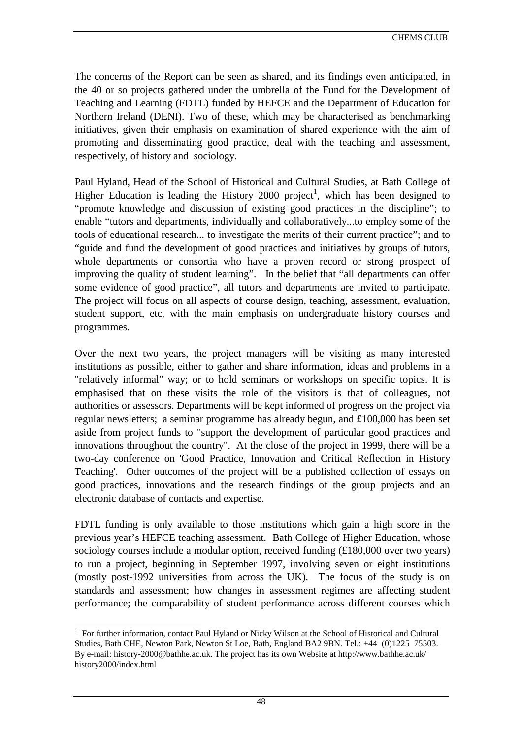The concerns of the Report can be seen as shared, and its findings even anticipated, in the 40 or so projects gathered under the umbrella of the Fund for the Development of Teaching and Learning (FDTL) funded by HEFCE and the Department of Education for Northern Ireland (DENI). Two of these, which may be characterised as benchmarking initiatives, given their emphasis on examination of shared experience with the aim of promoting and disseminating good practice, deal with the teaching and assessment, respectively, of history and sociology.

Paul Hyland, Head of the School of Historical and Cultural Studies, at Bath College of Higher Education is leading the History 2000 project<sup>1</sup>, which has been designed to "promote knowledge and discussion of existing good practices in the discipline"; to enable "tutors and departments, individually and collaboratively...to employ some of the tools of educational research... to investigate the merits of their current practice"; and to "guide and fund the development of good practices and initiatives by groups of tutors, whole departments or consortia who have a proven record or strong prospect of improving the quality of student learning". In the belief that "all departments can offer some evidence of good practice", all tutors and departments are invited to participate. The project will focus on all aspects of course design, teaching, assessment, evaluation, student support, etc, with the main emphasis on undergraduate history courses and programmes.

Over the next two years, the project managers will be visiting as many interested institutions as possible, either to gather and share information, ideas and problems in a "relatively informal" way; or to hold seminars or workshops on specific topics. It is emphasised that on these visits the role of the visitors is that of colleagues, not authorities or assessors. Departments will be kept informed of progress on the project via regular newsletters; a seminar programme has already begun, and £100,000 has been set aside from project funds to "support the development of particular good practices and innovations throughout the country". At the close of the project in 1999, there will be a two-day conference on 'Good Practice, Innovation and Critical Reflection in History Teaching'. Other outcomes of the project will be a published collection of essays on good practices, innovations and the research findings of the group projects and an electronic database of contacts and expertise.

FDTL funding is only available to those institutions which gain a high score in the previous year's HEFCE teaching assessment. Bath College of Higher Education, whose sociology courses include a modular option, received funding (£180,000 over two years) to run a project, beginning in September 1997, involving seven or eight institutions (mostly post-1992 universities from across the UK). The focus of the study is on standards and assessment; how changes in assessment regimes are affecting student performance; the comparability of student performance across different courses which

 $\overline{a}$ 

<sup>&</sup>lt;sup>1</sup> For further information, contact Paul Hyland or Nicky Wilson at the School of Historical and Cultural Studies, Bath CHE, Newton Park, Newton St Loe, Bath, England BA2 9BN. Tel.: +44 (0)1225 75503. By e-mail: history-2000@bathhe.ac.uk. The project has its own Website at http://www.bathhe.ac.uk/ history2000/index.html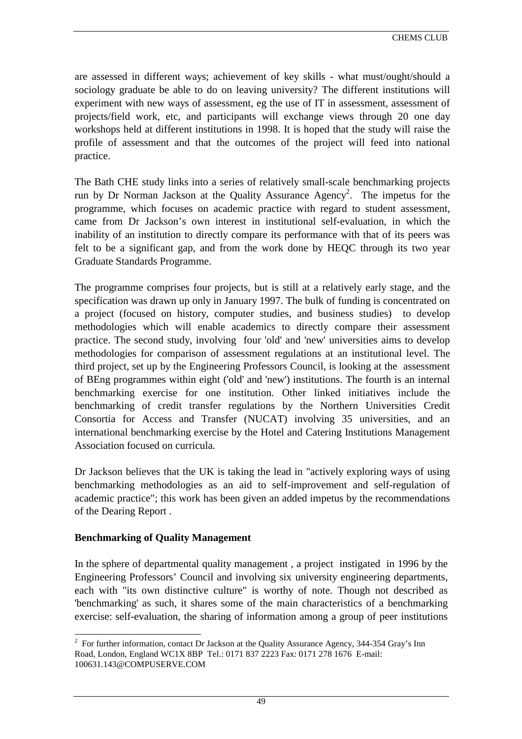are assessed in different ways; achievement of key skills - what must/ought/should a sociology graduate be able to do on leaving university? The different institutions will experiment with new ways of assessment, eg the use of IT in assessment, assessment of projects/field work, etc, and participants will exchange views through 20 one day workshops held at different institutions in 1998. It is hoped that the study will raise the profile of assessment and that the outcomes of the project will feed into national practice.

The Bath CHE study links into a series of relatively small-scale benchmarking projects run by Dr Norman Jackson at the Quality Assurance  $Agency^2$ . The impetus for the programme, which focuses on academic practice with regard to student assessment, came from Dr Jackson's own interest in institutional self-evaluation, in which the inability of an institution to directly compare its performance with that of its peers was felt to be a significant gap, and from the work done by HEQC through its two year Graduate Standards Programme.

The programme comprises four projects, but is still at a relatively early stage, and the specification was drawn up only in January 1997. The bulk of funding is concentrated on a project (focused on history, computer studies, and business studies) to develop methodologies which will enable academics to directly compare their assessment practice. The second study, involving four 'old' and 'new' universities aims to develop methodologies for comparison of assessment regulations at an institutional level. The third project, set up by the Engineering Professors Council, is looking at the assessment of BEng programmes within eight ('old' and 'new') institutions. The fourth is an internal benchmarking exercise for one institution. Other linked initiatives include the benchmarking of credit transfer regulations by the Northern Universities Credit Consortia for Access and Transfer (NUCAT) involving 35 universities, and an international benchmarking exercise by the Hotel and Catering Institutions Management Association focused on curricula.

Dr Jackson believes that the UK is taking the lead in "actively exploring ways of using benchmarking methodologies as an aid to self-improvement and self-regulation of academic practice"; this work has been given an added impetus by the recommendations of the Dearing Report .

#### **Benchmarking of Quality Management**

In the sphere of departmental quality management , a project instigated in 1996 by the Engineering Professors' Council and involving six university engineering departments, each with "its own distinctive culture" is worthy of note. Though not described as 'benchmarking' as such, it shares some of the main characteristics of a benchmarking exercise: self-evaluation, the sharing of information among a group of peer institutions

<sup>&</sup>lt;sup>2</sup> For further information, contact Dr Jackson at the Quality Assurance Agency, 344-354 Gray's Inn Road, London, England WC1X 8BP Tel.: 0171 837 2223 Fax: 0171 278 1676 E-mail: 100631.143@COMPUSERVE.COM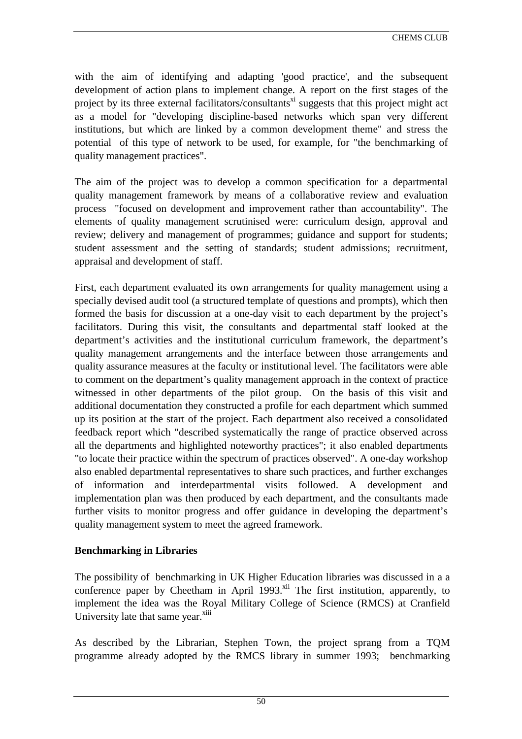with the aim of identifying and adapting 'good practice', and the subsequent development of action plans to implement change. A report on the first stages of the project by its three external facilitators/consultants<sup>xi</sup> suggests that this project might act as a model for "developing discipline-based networks which span very different institutions, but which are linked by a common development theme" and stress the potential of this type of network to be used, for example, for "the benchmarking of quality management practices".

The aim of the project was to develop a common specification for a departmental quality management framework by means of a collaborative review and evaluation process "focused on development and improvement rather than accountability". The elements of quality management scrutinised were: curriculum design, approval and review; delivery and management of programmes; guidance and support for students; student assessment and the setting of standards; student admissions; recruitment, appraisal and development of staff.

First, each department evaluated its own arrangements for quality management using a specially devised audit tool (a structured template of questions and prompts), which then formed the basis for discussion at a one-day visit to each department by the project's facilitators. During this visit, the consultants and departmental staff looked at the department's activities and the institutional curriculum framework, the department's quality management arrangements and the interface between those arrangements and quality assurance measures at the faculty or institutional level. The facilitators were able to comment on the department's quality management approach in the context of practice witnessed in other departments of the pilot group. On the basis of this visit and additional documentation they constructed a profile for each department which summed up its position at the start of the project. Each department also received a consolidated feedback report which "described systematically the range of practice observed across all the departments and highlighted noteworthy practices"; it also enabled departments "to locate their practice within the spectrum of practices observed". A one-day workshop also enabled departmental representatives to share such practices, and further exchanges of information and interdepartmental visits followed. A development and implementation plan was then produced by each department, and the consultants made further visits to monitor progress and offer guidance in developing the department's quality management system to meet the agreed framework.

# **Benchmarking in Libraries**

The possibility of benchmarking in UK Higher Education libraries was discussed in a a conference paper by Cheetham in April 1993.<sup>xii</sup> The first institution, apparently, to implement the idea was the Royal Military College of Science (RMCS) at Cranfield University late that same year.<sup>xiii</sup>

As described by the Librarian, Stephen Town, the project sprang from a TQM programme already adopted by the RMCS library in summer 1993; benchmarking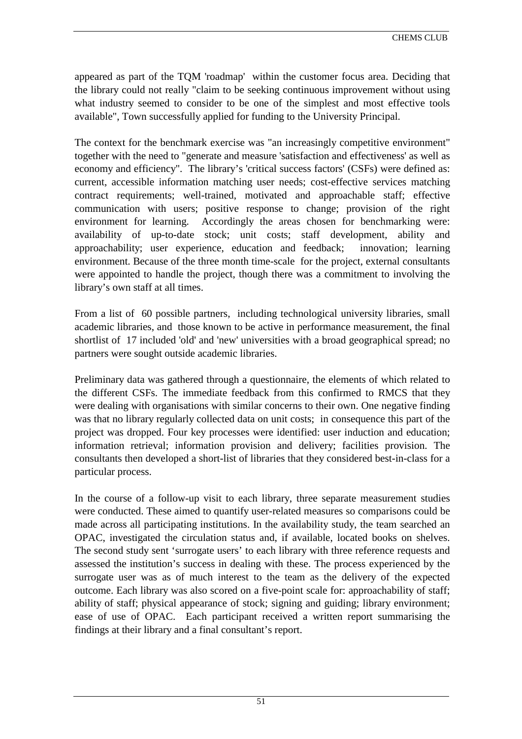appeared as part of the TQM 'roadmap' within the customer focus area. Deciding that the library could not really "claim to be seeking continuous improvement without using what industry seemed to consider to be one of the simplest and most effective tools available", Town successfully applied for funding to the University Principal.

The context for the benchmark exercise was "an increasingly competitive environment" together with the need to "generate and measure 'satisfaction and effectiveness' as well as economy and efficiency". The library's 'critical success factors' (CSFs) were defined as: current, accessible information matching user needs; cost-effective services matching contract requirements; well-trained, motivated and approachable staff; effective communication with users; positive response to change; provision of the right environment for learning. Accordingly the areas chosen for benchmarking were: availability of up-to-date stock; unit costs; staff development, ability and approachability; user experience, education and feedback; innovation; learning environment. Because of the three month time-scale for the project, external consultants were appointed to handle the project, though there was a commitment to involving the library's own staff at all times.

From a list of 60 possible partners, including technological university libraries, small academic libraries, and those known to be active in performance measurement, the final shortlist of 17 included 'old' and 'new' universities with a broad geographical spread; no partners were sought outside academic libraries.

Preliminary data was gathered through a questionnaire, the elements of which related to the different CSFs. The immediate feedback from this confirmed to RMCS that they were dealing with organisations with similar concerns to their own. One negative finding was that no library regularly collected data on unit costs; in consequence this part of the project was dropped. Four key processes were identified: user induction and education; information retrieval; information provision and delivery; facilities provision. The consultants then developed a short-list of libraries that they considered best-in-class for a particular process.

In the course of a follow-up visit to each library, three separate measurement studies were conducted. These aimed to quantify user-related measures so comparisons could be made across all participating institutions. In the availability study, the team searched an OPAC, investigated the circulation status and, if available, located books on shelves. The second study sent 'surrogate users' to each library with three reference requests and assessed the institution's success in dealing with these. The process experienced by the surrogate user was as of much interest to the team as the delivery of the expected outcome. Each library was also scored on a five-point scale for: approachability of staff; ability of staff; physical appearance of stock; signing and guiding; library environment; ease of use of OPAC. Each participant received a written report summarising the findings at their library and a final consultant's report.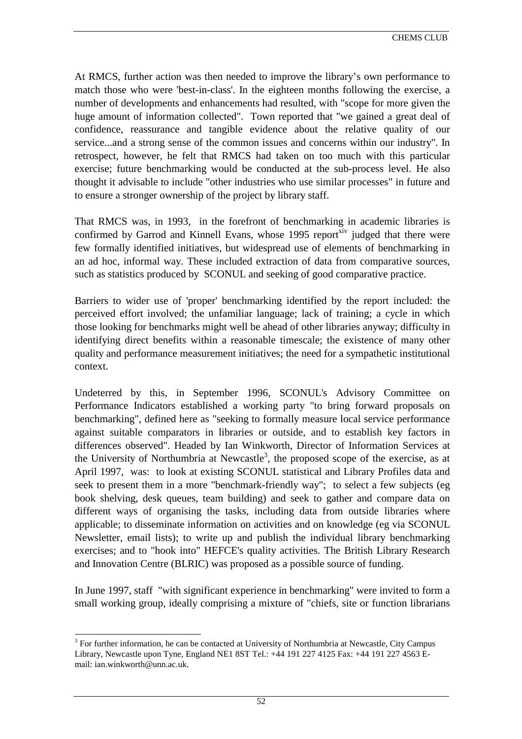At RMCS, further action was then needed to improve the library's own performance to match those who were 'best-in-class'. In the eighteen months following the exercise, a number of developments and enhancements had resulted, with "scope for more given the huge amount of information collected". Town reported that "we gained a great deal of confidence, reassurance and tangible evidence about the relative quality of our service...and a strong sense of the common issues and concerns within our industry". In retrospect, however, he felt that RMCS had taken on too much with this particular exercise; future benchmarking would be conducted at the sub-process level. He also thought it advisable to include "other industries who use similar processes" in future and to ensure a stronger ownership of the project by library staff.

That RMCS was, in 1993, in the forefront of benchmarking in academic libraries is confirmed by Garrod and Kinnell Evans, whose 1995 report<sup>xiv</sup> judged that there were few formally identified initiatives, but widespread use of elements of benchmarking in an ad hoc, informal way. These included extraction of data from comparative sources, such as statistics produced by SCONUL and seeking of good comparative practice.

Barriers to wider use of 'proper' benchmarking identified by the report included: the perceived effort involved; the unfamiliar language; lack of training; a cycle in which those looking for benchmarks might well be ahead of other libraries anyway; difficulty in identifying direct benefits within a reasonable timescale; the existence of many other quality and performance measurement initiatives; the need for a sympathetic institutional context.

Undeterred by this, in September 1996, SCONUL's Advisory Committee on Performance Indicators established a working party "to bring forward proposals on benchmarking", defined here as "seeking to formally measure local service performance against suitable comparators in libraries or outside, and to establish key factors in differences observed". Headed by Ian Winkworth, Director of Information Services at the University of Northumbria at Newcastle<sup>3</sup>, the proposed scope of the exercise, as at April 1997, was: to look at existing SCONUL statistical and Library Profiles data and seek to present them in a more "benchmark-friendly way"; to select a few subjects (eg book shelving, desk queues, team building) and seek to gather and compare data on different ways of organising the tasks, including data from outside libraries where applicable; to disseminate information on activities and on knowledge (eg via SCONUL Newsletter, email lists); to write up and publish the individual library benchmarking exercises; and to "hook into" HEFCE's quality activities. The British Library Research and Innovation Centre (BLRIC) was proposed as a possible source of funding.

In June 1997, staff "with significant experience in benchmarking" were invited to form a small working group, ideally comprising a mixture of "chiefs, site or function librarians

l

 $3$  For further information, he can be contacted at University of Northumbria at Newcastle, City Campus Library, Newcastle upon Tyne, England NE1 8ST Tel.: +44 191 227 4125 Fax: +44 191 227 4563 Email: ian.winkworth@unn.ac.uk.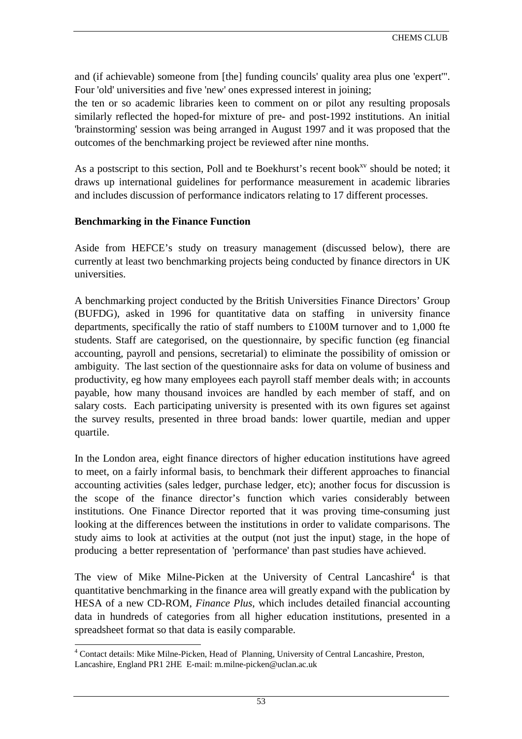and (if achievable) someone from [the] funding councils' quality area plus one 'expert'". Four 'old' universities and five 'new' ones expressed interest in joining;

the ten or so academic libraries keen to comment on or pilot any resulting proposals similarly reflected the hoped-for mixture of pre- and post-1992 institutions. An initial 'brainstorming' session was being arranged in August 1997 and it was proposed that the outcomes of the benchmarking project be reviewed after nine months.

As a postscript to this section, Poll and te Boekhurst's recent book $x<sup>x<sub>v</sub></sup>$  should be noted; it draws up international guidelines for performance measurement in academic libraries and includes discussion of performance indicators relating to 17 different processes.

### **Benchmarking in the Finance Function**

Aside from HEFCE's study on treasury management (discussed below), there are currently at least two benchmarking projects being conducted by finance directors in UK universities.

A benchmarking project conducted by the British Universities Finance Directors' Group (BUFDG), asked in 1996 for quantitative data on staffing in university finance departments, specifically the ratio of staff numbers to £100M turnover and to 1,000 fte students. Staff are categorised, on the questionnaire, by specific function (eg financial accounting, payroll and pensions, secretarial) to eliminate the possibility of omission or ambiguity. The last section of the questionnaire asks for data on volume of business and productivity, eg how many employees each payroll staff member deals with; in accounts payable, how many thousand invoices are handled by each member of staff, and on salary costs. Each participating university is presented with its own figures set against the survey results, presented in three broad bands: lower quartile, median and upper quartile.

In the London area, eight finance directors of higher education institutions have agreed to meet, on a fairly informal basis, to benchmark their different approaches to financial accounting activities (sales ledger, purchase ledger, etc); another focus for discussion is the scope of the finance director's function which varies considerably between institutions. One Finance Director reported that it was proving time-consuming just looking at the differences between the institutions in order to validate comparisons. The study aims to look at activities at the output (not just the input) stage, in the hope of producing a better representation of 'performance' than past studies have achieved.

The view of Mike Milne-Picken at the University of Central Lancashire<sup>4</sup> is that quantitative benchmarking in the finance area will greatly expand with the publication by HESA of a new CD-ROM, *Finance Plus*, which includes detailed financial accounting data in hundreds of categories from all higher education institutions, presented in a spreadsheet format so that data is easily comparable.

 $\overline{a}$ <sup>4</sup> Contact details: Mike Milne-Picken, Head of Planning, University of Central Lancashire, Preston, Lancashire, England PR1 2HE E-mail: m.milne-picken@uclan.ac.uk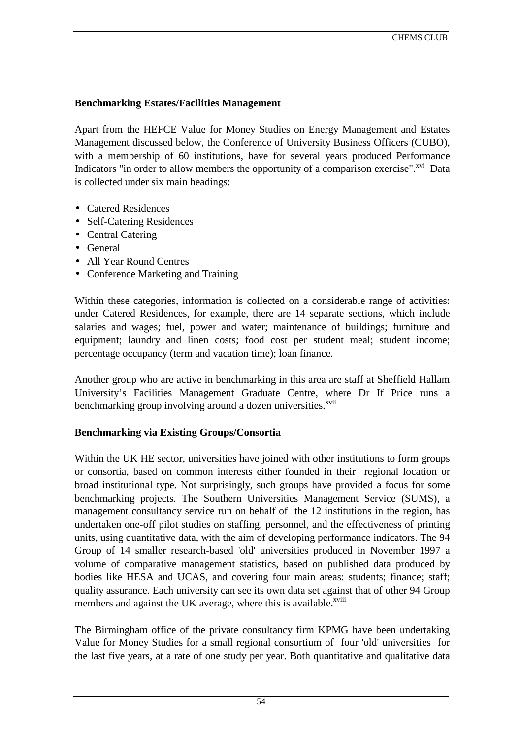## **Benchmarking Estates/Facilities Management**

Apart from the HEFCE Value for Money Studies on Energy Management and Estates Management discussed below, the Conference of University Business Officers (CUBO), with a membership of 60 institutions, have for several years produced Performance Indicators "in order to allow members the opportunity of a comparison exercise".<sup>xvi</sup> Data is collected under six main headings:

- Catered Residences
- Self-Catering Residences
- Central Catering
- General
- All Year Round Centres
- Conference Marketing and Training

Within these categories, information is collected on a considerable range of activities: under Catered Residences, for example, there are 14 separate sections, which include salaries and wages; fuel, power and water; maintenance of buildings; furniture and equipment; laundry and linen costs; food cost per student meal; student income; percentage occupancy (term and vacation time); loan finance.

Another group who are active in benchmarking in this area are staff at Sheffield Hallam University's Facilities Management Graduate Centre, where Dr If Price runs a benchmarking group involving around a dozen universities.<sup>[xvii](#page-80-0)</sup>

#### **Benchmarking via Existing Groups/Consortia**

Within the UK HE sector, universities have joined with other institutions to form groups or consortia, based on common interests either founded in their regional location or broad institutional type. Not surprisingly, such groups have provided a focus for some benchmarking projects. The Southern Universities Management Service (SUMS), a management consultancy service run on behalf of the 12 institutions in the region, has undertaken one-off pilot studies on staffing, personnel, and the effectiveness of printing units, using quantitative data, with the aim of developing performance indicators. The 94 Group of 14 smaller research-based 'old' universities produced in November 1997 a volume of comparative management statistics, based on published data produced by bodies like HESA and UCAS, and covering four main areas: students; finance; staff; quality assurance. Each university can see its own data set against that of other 94 Group members and against the UK average, where this is available.<sup>[xviii](#page-80-0)</sup>

The Birmingham office of the private consultancy firm KPMG have been undertaking Value for Money Studies for a small regional consortium of four 'old' universities for the last five years, at a rate of one study per year. Both quantitative and qualitative data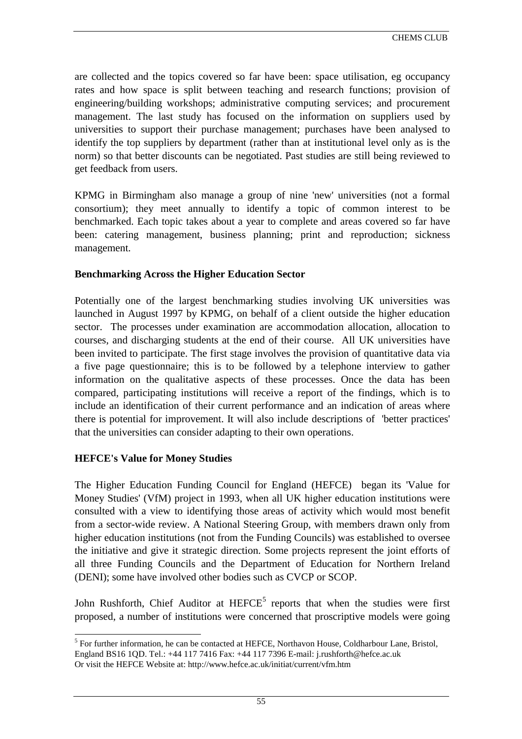are collected and the topics covered so far have been: space utilisation, eg occupancy rates and how space is split between teaching and research functions; provision of engineering/building workshops; administrative computing services; and procurement management. The last study has focused on the information on suppliers used by universities to support their purchase management; purchases have been analysed to identify the top suppliers by department (rather than at institutional level only as is the norm) so that better discounts can be negotiated. Past studies are still being reviewed to get feedback from users.

KPMG in Birmingham also manage a group of nine 'new' universities (not a formal consortium); they meet annually to identify a topic of common interest to be benchmarked. Each topic takes about a year to complete and areas covered so far have been: catering management, business planning; print and reproduction; sickness management.

### **Benchmarking Across the Higher Education Sector**

Potentially one of the largest benchmarking studies involving UK universities was launched in August 1997 by KPMG, on behalf of a client outside the higher education sector. The processes under examination are accommodation allocation, allocation to courses, and discharging students at the end of their course. All UK universities have been invited to participate. The first stage involves the provision of quantitative data via a five page questionnaire; this is to be followed by a telephone interview to gather information on the qualitative aspects of these processes. Once the data has been compared, participating institutions will receive a report of the findings, which is to include an identification of their current performance and an indication of areas where there is potential for improvement. It will also include descriptions of 'better practices' that the universities can consider adapting to their own operations.

#### **HEFCE's Value for Money Studies**

The Higher Education Funding Council for England (HEFCE) began its 'Value for Money Studies' (VfM) project in 1993, when all UK higher education institutions were consulted with a view to identifying those areas of activity which would most benefit from a sector-wide review. A National Steering Group, with members drawn only from higher education institutions (not from the Funding Councils) was established to oversee the initiative and give it strategic direction. Some projects represent the joint efforts of all three Funding Councils and the Department of Education for Northern Ireland (DENI); some have involved other bodies such as CVCP or SCOP.

John Rushforth, Chief Auditor at HEFCE<sup>5</sup> reports that when the studies were first proposed, a number of institutions were concerned that proscriptive models were going

l <sup>5</sup> For further information, he can be contacted at HEFCE, Northavon House, Coldharbour Lane, Bristol, England BS16 1QD. Tel.: +44 117 7416 Fax: +44 117 7396 E-mail: j.rushforth@hefce.ac.uk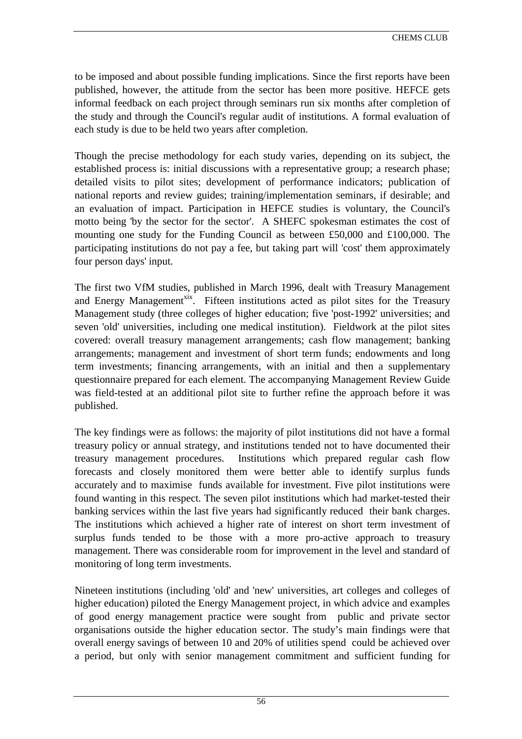to be imposed and about possible funding implications. Since the first reports have been published, however, the attitude from the sector has been more positive. HEFCE gets informal feedback on each project through seminars run six months after completion of the study and through the Council's regular audit of institutions. A formal evaluation of each study is due to be held two years after completion.

Though the precise methodology for each study varies, depending on its subject, the established process is: initial discussions with a representative group; a research phase; detailed visits to pilot sites; development of performance indicators; publication of national reports and review guides; training/implementation seminars, if desirable; and an evaluation of impact. Participation in HEFCE studies is voluntary, the Council's motto being 'by the sector for the sector'. A SHEFC spokesman estimates the cost of mounting one study for the Funding Council as between £50,000 and £100,000. The participating institutions do not pay a fee, but taking part will 'cost' them approximately four person days' input.

The first two VfM studies, published in March 1996, dealt with Treasury Management and Energy Management<sup>xix</sup>. Fifteen institutions acted as pilot sites for the Treasury Management study (three colleges of higher education; five 'post-1992' universities; and seven 'old' universities, including one medical institution). Fieldwork at the pilot sites covered: overall treasury management arrangements; cash flow management; banking arrangements; management and investment of short term funds; endowments and long term investments; financing arrangements, with an initial and then a supplementary questionnaire prepared for each element. The accompanying Management Review Guide was field-tested at an additional pilot site to further refine the approach before it was published.

The key findings were as follows: the majority of pilot institutions did not have a formal treasury policy or annual strategy, and institutions tended not to have documented their treasury management procedures. Institutions which prepared regular cash flow forecasts and closely monitored them were better able to identify surplus funds accurately and to maximise funds available for investment. Five pilot institutions were found wanting in this respect. The seven pilot institutions which had market-tested their banking services within the last five years had significantly reduced their bank charges. The institutions which achieved a higher rate of interest on short term investment of surplus funds tended to be those with a more pro-active approach to treasury management. There was considerable room for improvement in the level and standard of monitoring of long term investments.

Nineteen institutions (including 'old' and 'new' universities, art colleges and colleges of higher education) piloted the Energy Management project, in which advice and examples of good energy management practice were sought from public and private sector organisations outside the higher education sector. The study's main findings were that overall energy savings of between 10 and 20% of utilities spend could be achieved over a period, but only with senior management commitment and sufficient funding for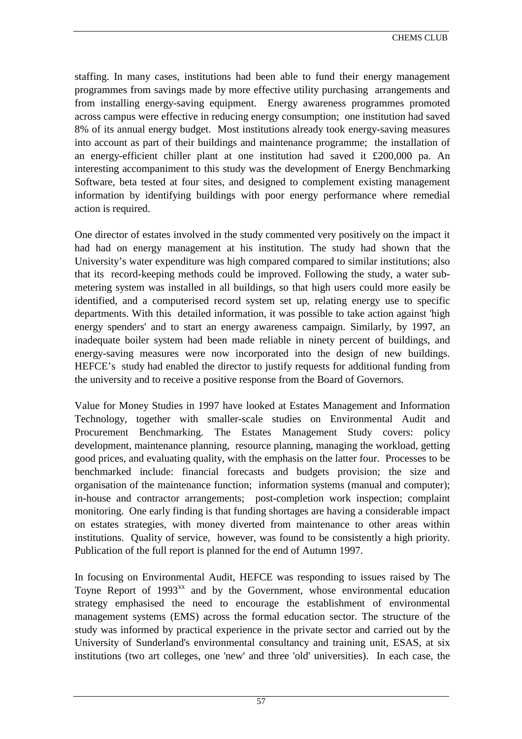staffing. In many cases, institutions had been able to fund their energy management programmes from savings made by more effective utility purchasing arrangements and from installing energy-saving equipment. Energy awareness programmes promoted across campus were effective in reducing energy consumption; one institution had saved 8% of its annual energy budget. Most institutions already took energy-saving measures into account as part of their buildings and maintenance programme; the installation of an energy-efficient chiller plant at one institution had saved it £200,000 pa. An interesting accompaniment to this study was the development of Energy Benchmarking Software, beta tested at four sites, and designed to complement existing management information by identifying buildings with poor energy performance where remedial action is required.

One director of estates involved in the study commented very positively on the impact it had had on energy management at his institution. The study had shown that the University's water expenditure was high compared compared to similar institutions; also that its record-keeping methods could be improved. Following the study, a water submetering system was installed in all buildings, so that high users could more easily be identified, and a computerised record system set up, relating energy use to specific departments. With this detailed information, it was possible to take action against 'high energy spenders' and to start an energy awareness campaign. Similarly, by 1997, an inadequate boiler system had been made reliable in ninety percent of buildings, and energy-saving measures were now incorporated into the design of new buildings. HEFCE's study had enabled the director to justify requests for additional funding from the university and to receive a positive response from the Board of Governors.

Value for Money Studies in 1997 have looked at Estates Management and Information Technology, together with smaller-scale studies on Environmental Audit and Procurement Benchmarking. The Estates Management Study covers: policy development, maintenance planning, resource planning, managing the workload, getting good prices, and evaluating quality, with the emphasis on the latter four. Processes to be benchmarked include: financial forecasts and budgets provision; the size and organisation of the maintenance function; information systems (manual and computer); in-house and contractor arrangements; post-completion work inspection; complaint monitoring. One early finding is that funding shortages are having a considerable impact on estates strategies, with money diverted from maintenance to other areas within institutions. Quality of service, however, was found to be consistently a high priority. Publication of the full report is planned for the end of Autumn 1997.

In focusing on Environmental Audit, HEFCE was responding to issues raised by The Toyne Report of  $1993^{xx}$  and by the Government, whose environmental education strategy emphasised the need to encourage the establishment of environmental management systems (EMS) across the formal education sector. The structure of the study was informed by practical experience in the private sector and carried out by the University of Sunderland's environmental consultancy and training unit, ESAS, at six institutions (two art colleges, one 'new' and three 'old' universities). In each case, the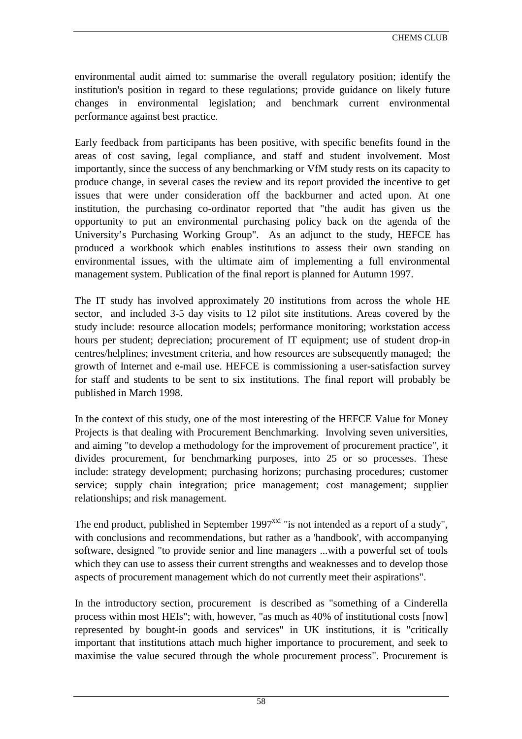environmental audit aimed to: summarise the overall regulatory position; identify the institution's position in regard to these regulations; provide guidance on likely future changes in environmental legislation; and benchmark current environmental performance against best practice.

Early feedback from participants has been positive, with specific benefits found in the areas of cost saving, legal compliance, and staff and student involvement. Most importantly, since the success of any benchmarking or VfM study rests on its capacity to produce change, in several cases the review and its report provided the incentive to get issues that were under consideration off the backburner and acted upon. At one institution, the purchasing co-ordinator reported that "the audit has given us the opportunity to put an environmental purchasing policy back on the agenda of the University's Purchasing Working Group". As an adjunct to the study, HEFCE has produced a workbook which enables institutions to assess their own standing on environmental issues, with the ultimate aim of implementing a full environmental management system. Publication of the final report is planned for Autumn 1997.

The IT study has involved approximately 20 institutions from across the whole HE sector, and included 3-5 day visits to 12 pilot site institutions. Areas covered by the study include: resource allocation models; performance monitoring; workstation access hours per student; depreciation; procurement of IT equipment; use of student drop-in centres/helplines; investment criteria, and how resources are subsequently managed; the growth of Internet and e-mail use. HEFCE is commissioning a user-satisfaction survey for staff and students to be sent to six institutions. The final report will probably be published in March 1998.

In the context of this study, one of the most interesting of the HEFCE Value for Money Projects is that dealing with Procurement Benchmarking. Involving seven universities, and aiming "to develop a methodology for the improvement of procurement practice", it divides procurement, for benchmarking purposes, into 25 or so processes. These include: strategy development; purchasing horizons; purchasing procedures; customer service; supply chain integration; price management; cost management; supplier relationships; and risk management.

The end product, published in September  $1997^{xxi}$  "is not intended as a report of a study". with conclusions and recommendations, but rather as a 'handbook', with accompanying software, designed "to provide senior and line managers ...with a powerful set of tools which they can use to assess their current strengths and weaknesses and to develop those aspects of procurement management which do not currently meet their aspirations".

In the introductory section, procurement is described as "something of a Cinderella process within most HEIs"; with, however, "as much as 40% of institutional costs [now] represented by bought-in goods and services" in UK institutions, it is "critically important that institutions attach much higher importance to procurement, and seek to maximise the value secured through the whole procurement process". Procurement is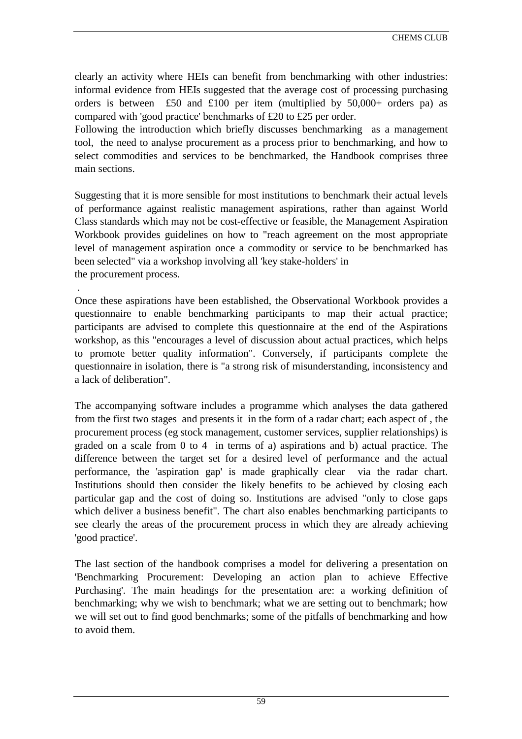clearly an activity where HEIs can benefit from benchmarking with other industries: informal evidence from HEIs suggested that the average cost of processing purchasing orders is between £50 and £100 per item (multiplied by  $50,000+$  orders pa) as compared with 'good practice' benchmarks of £20 to £25 per order.

Following the introduction which briefly discusses benchmarking as a management tool, the need to analyse procurement as a process prior to benchmarking, and how to select commodities and services to be benchmarked, the Handbook comprises three main sections.

Suggesting that it is more sensible for most institutions to benchmark their actual levels of performance against realistic management aspirations, rather than against World Class standards which may not be cost-effective or feasible, the Management Aspiration Workbook provides guidelines on how to "reach agreement on the most appropriate level of management aspiration once a commodity or service to be benchmarked has been selected" via a workshop involving all 'key stake-holders' in the procurement process.

Once these aspirations have been established, the Observational Workbook provides a questionnaire to enable benchmarking participants to map their actual practice; participants are advised to complete this questionnaire at the end of the Aspirations workshop, as this "encourages a level of discussion about actual practices, which helps to promote better quality information". Conversely, if participants complete the questionnaire in isolation, there is "a strong risk of misunderstanding, inconsistency and a lack of deliberation".

.

The accompanying software includes a programme which analyses the data gathered from the first two stages and presents it in the form of a radar chart; each aspect of , the procurement process (eg stock management, customer services, supplier relationships) is graded on a scale from 0 to 4 in terms of a) aspirations and b) actual practice. The difference between the target set for a desired level of performance and the actual performance, the 'aspiration gap' is made graphically clear via the radar chart. Institutions should then consider the likely benefits to be achieved by closing each particular gap and the cost of doing so. Institutions are advised "only to close gaps which deliver a business benefit". The chart also enables benchmarking participants to see clearly the areas of the procurement process in which they are already achieving 'good practice'.

The last section of the handbook comprises a model for delivering a presentation on 'Benchmarking Procurement: Developing an action plan to achieve Effective Purchasing'. The main headings for the presentation are: a working definition of benchmarking; why we wish to benchmark; what we are setting out to benchmark; how we will set out to find good benchmarks; some of the pitfalls of benchmarking and how to avoid them.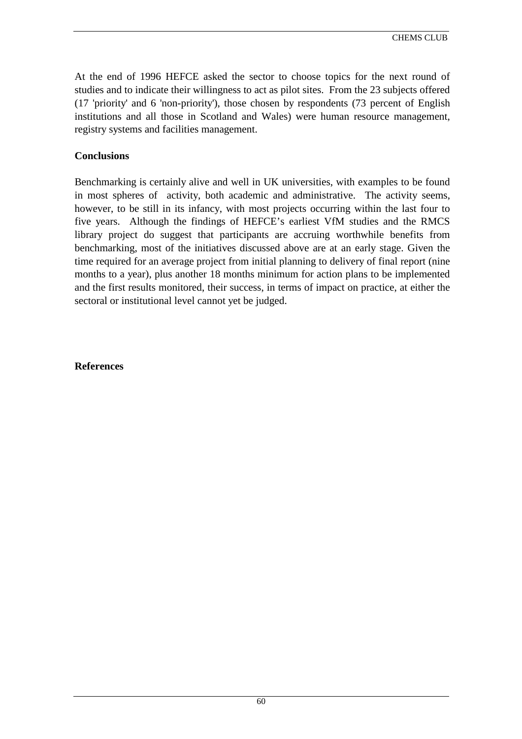At the end of 1996 HEFCE asked the sector to choose topics for the next round of studies and to indicate their willingness to act as pilot sites. From the 23 subjects offered (17 'priority' and 6 'non-priority'), those chosen by respondents (73 percent of English institutions and all those in Scotland and Wales) were human resource management, registry systems and facilities management.

### **Conclusions**

Benchmarking is certainly alive and well in UK universities, with examples to be found in most spheres of activity, both academic and administrative. The activity seems, however, to be still in its infancy, with most projects occurring within the last four to five years. Although the findings of HEFCE's earliest VfM studies and the RMCS library project do suggest that participants are accruing worthwhile benefits from benchmarking, most of the initiatives discussed above are at an early stage. Given the time required for an average project from initial planning to delivery of final report (nine months to a year), plus another 18 months minimum for action plans to be implemented and the first results monitored, their success, in terms of impact on practice, at either the sectoral or institutional level cannot yet be judged.

**References**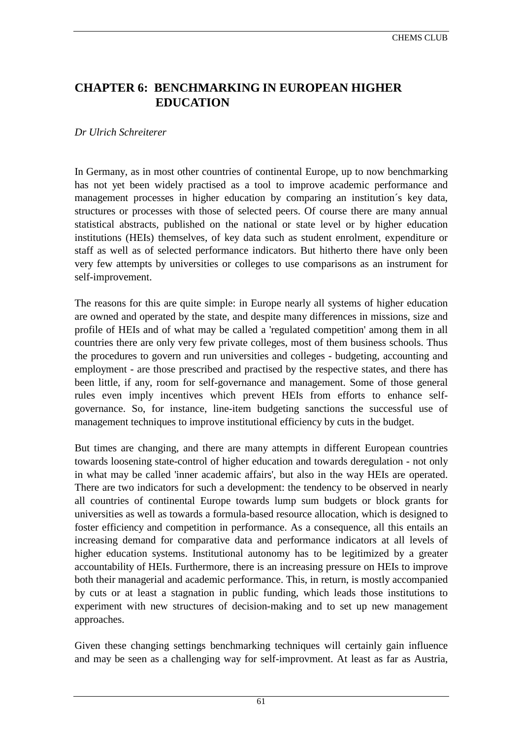# **CHAPTER 6: BENCHMARKING IN EUROPEAN HIGHER EDUCATION**

## *Dr Ulrich Schreiterer*

In Germany, as in most other countries of continental Europe, up to now benchmarking has not yet been widely practised as a tool to improve academic performance and management processes in higher education by comparing an institution´s key data, structures or processes with those of selected peers. Of course there are many annual statistical abstracts, published on the national or state level or by higher education institutions (HEIs) themselves, of key data such as student enrolment, expenditure or staff as well as of selected performance indicators. But hitherto there have only been very few attempts by universities or colleges to use comparisons as an instrument for self-improvement.

The reasons for this are quite simple: in Europe nearly all systems of higher education are owned and operated by the state, and despite many differences in missions, size and profile of HEIs and of what may be called a 'regulated competition' among them in all countries there are only very few private colleges, most of them business schools. Thus the procedures to govern and run universities and colleges - budgeting, accounting and employment - are those prescribed and practised by the respective states, and there has been little, if any, room for self-governance and management. Some of those general rules even imply incentives which prevent HEIs from efforts to enhance selfgovernance. So, for instance, line-item budgeting sanctions the successful use of management techniques to improve institutional efficiency by cuts in the budget.

But times are changing, and there are many attempts in different European countries towards loosening state-control of higher education and towards deregulation - not only in what may be called 'inner academic affairs', but also in the way HEIs are operated. There are two indicators for such a development: the tendency to be observed in nearly all countries of continental Europe towards lump sum budgets or block grants for universities as well as towards a formula-based resource allocation, which is designed to foster efficiency and competition in performance. As a consequence, all this entails an increasing demand for comparative data and performance indicators at all levels of higher education systems. Institutional autonomy has to be legitimized by a greater accountability of HEIs. Furthermore, there is an increasing pressure on HEIs to improve both their managerial and academic performance. This, in return, is mostly accompanied by cuts or at least a stagnation in public funding, which leads those institutions to experiment with new structures of decision-making and to set up new management approaches.

Given these changing settings benchmarking techniques will certainly gain influence and may be seen as a challenging way for self-improvment. At least as far as Austria,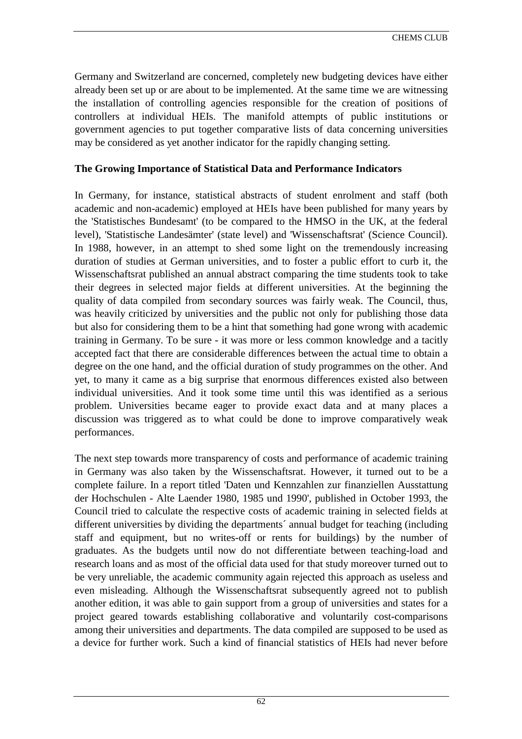Germany and Switzerland are concerned, completely new budgeting devices have either already been set up or are about to be implemented. At the same time we are witnessing the installation of controlling agencies responsible for the creation of positions of controllers at individual HEIs. The manifold attempts of public institutions or government agencies to put together comparative lists of data concerning universities may be considered as yet another indicator for the rapidly changing setting.

### **The Growing Importance of Statistical Data and Performance Indicators**

In Germany, for instance, statistical abstracts of student enrolment and staff (both academic and non-academic) employed at HEIs have been published for many years by the 'Statistisches Bundesamt' (to be compared to the HMSO in the UK, at the federal level), 'Statistische Landesämter' (state level) and 'Wissenschaftsrat' (Science Council). In 1988, however, in an attempt to shed some light on the tremendously increasing duration of studies at German universities, and to foster a public effort to curb it, the Wissenschaftsrat published an annual abstract comparing the time students took to take their degrees in selected major fields at different universities. At the beginning the quality of data compiled from secondary sources was fairly weak. The Council, thus, was heavily criticized by universities and the public not only for publishing those data but also for considering them to be a hint that something had gone wrong with academic training in Germany. To be sure - it was more or less common knowledge and a tacitly accepted fact that there are considerable differences between the actual time to obtain a degree on the one hand, and the official duration of study programmes on the other. And yet, to many it came as a big surprise that enormous differences existed also between individual universities. And it took some time until this was identified as a serious problem. Universities became eager to provide exact data and at many places a discussion was triggered as to what could be done to improve comparatively weak performances.

The next step towards more transparency of costs and performance of academic training in Germany was also taken by the Wissenschaftsrat. However, it turned out to be a complete failure. In a report titled 'Daten und Kennzahlen zur finanziellen Ausstattung der Hochschulen - Alte Laender 1980, 1985 und 1990', published in October 1993, the Council tried to calculate the respective costs of academic training in selected fields at different universities by dividing the departments´ annual budget for teaching (including staff and equipment, but no writes-off or rents for buildings) by the number of graduates. As the budgets until now do not differentiate between teaching-load and research loans and as most of the official data used for that study moreover turned out to be very unreliable, the academic community again rejected this approach as useless and even misleading. Although the Wissenschaftsrat subsequently agreed not to publish another edition, it was able to gain support from a group of universities and states for a project geared towards establishing collaborative and voluntarily cost-comparisons among their universities and departments. The data compiled are supposed to be used as a device for further work. Such a kind of financial statistics of HEIs had never before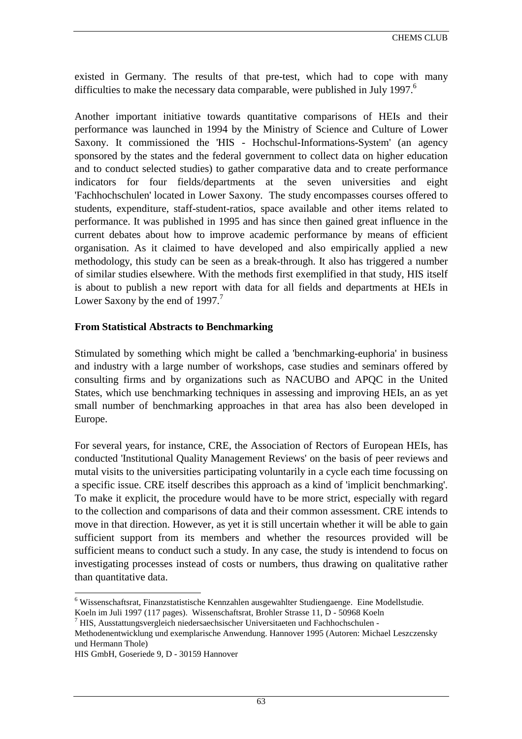existed in Germany. The results of that pre-test, which had to cope with many difficulties to make the necessary data comparable, were published in July 1997.<sup>6</sup>

Another important initiative towards quantitative comparisons of HEIs and their performance was launched in 1994 by the Ministry of Science and Culture of Lower Saxony. It commissioned the 'HIS - Hochschul-Informations-System' (an agency sponsored by the states and the federal government to collect data on higher education and to conduct selected studies) to gather comparative data and to create performance indicators for four fields/departments at the seven universities and eight 'Fachhochschulen' located in Lower Saxony. The study encompasses courses offered to students, expenditure, staff-student-ratios, space available and other items related to performance. It was published in 1995 and has since then gained great influence in the current debates about how to improve academic performance by means of efficient organisation. As it claimed to have developed and also empirically applied a new methodology, this study can be seen as a break-through. It also has triggered a number of similar studies elsewhere. With the methods first exemplified in that study, HIS itself is about to publish a new report with data for all fields and departments at HEIs in Lower Saxony by the end of  $1997<sup>7</sup>$ 

#### **From Statistical Abstracts to Benchmarking**

Stimulated by something which might be called a 'benchmarking-euphoria' in business and industry with a large number of workshops, case studies and seminars offered by consulting firms and by organizations such as NACUBO and APQC in the United States, which use benchmarking techniques in assessing and improving HEIs, an as yet small number of benchmarking approaches in that area has also been developed in Europe.

For several years, for instance, CRE, the Association of Rectors of European HEIs, has conducted 'Institutional Quality Management Reviews' on the basis of peer reviews and mutal visits to the universities participating voluntarily in a cycle each time focussing on a specific issue. CRE itself describes this approach as a kind of 'implicit benchmarking'. To make it explicit, the procedure would have to be more strict, especially with regard to the collection and comparisons of data and their common assessment. CRE intends to move in that direction. However, as yet it is still uncertain whether it will be able to gain sufficient support from its members and whether the resources provided will be sufficient means to conduct such a study. In any case, the study is intendend to focus on investigating processes instead of costs or numbers, thus drawing on qualitative rather than quantitative data.

 $\overline{a}$ <sup>6</sup> Wissenschaftsrat, Finanzstatistische Kennzahlen ausgewahlter Studiengaenge. Eine Modellstudie. Koeln im Juli 1997 (117 pages). Wissenschaftsrat, Brohler Strasse 11, D - 50968 Koeln

<sup>7</sup> HIS, Ausstattungsvergleich niedersaechsischer Universitaeten und Fachhochschulen -

Methodenentwicklung und exemplarische Anwendung. Hannover 1995 (Autoren: Michael Leszczensky und Hermann Thole)

HIS GmbH, Goseriede 9, D - 30159 Hannover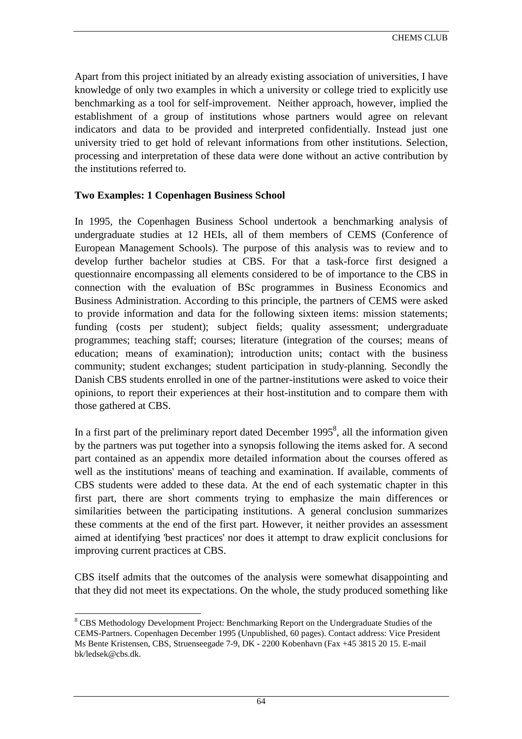Apart from this project initiated by an already existing association of universities, I have knowledge of only two examples in which a university or college tried to explicitly use benchmarking as a tool for self-improvement. Neither approach, however, implied the establishment of a group of institutions whose partners would agree on relevant indicators and data to be provided and interpreted confidentially. Instead just one university tried to get hold of relevant informations from other institutions. Selection, processing and interpretation of these data were done without an active contribution by the institutions referred to.

### **Two Examples: 1 Copenhagen Business School**

In 1995, the Copenhagen Business School undertook a benchmarking analysis of undergraduate studies at 12 HEIs, all of them members of CEMS (Conference of European Management Schools). The purpose of this analysis was to review and to develop further bachelor studies at CBS. For that a task-force first designed a questionnaire encompassing all elements considered to be of importance to the CBS in connection with the evaluation of BSc programmes in Business Economics and Business Administration. According to this principle, the partners of CEMS were asked to provide information and data for the following sixteen items: mission statements; funding (costs per student); subject fields; quality assessment; undergraduate programmes; teaching staff; courses; literature (integration of the courses; means of education; means of examination); introduction units; contact with the business community; student exchanges; student participation in study-planning. Secondly the Danish CBS students enrolled in one of the partner-institutions were asked to voice their opinions, to report their experiences at their host-institution and to compare them with those gathered at CBS.

In a first part of the preliminary report dated December  $1995^8$ , all the information given by the partners was put together into a synopsis following the items asked for. A second part contained as an appendix more detailed information about the courses offered as well as the institutions' means of teaching and examination. If available, comments of CBS students were added to these data. At the end of each systematic chapter in this first part, there are short comments trying to emphasize the main differences or similarities between the participating institutions. A general conclusion summarizes these comments at the end of the first part. However, it neither provides an assessment aimed at identifying 'best practices' nor does it attempt to draw explicit conclusions for improving current practices at CBS.

CBS itself admits that the outcomes of the analysis were somewhat disappointing and that they did not meet its expectations. On the whole, the study produced something like

 $\overline{a}$ 

<sup>&</sup>lt;sup>8</sup> CBS Methodology Development Project: Benchmarking Report on the Undergraduate Studies of the CEMS-Partners. Copenhagen December 1995 (Unpublished, 60 pages). Contact address: Vice President Ms Bente Kristensen, CBS, Struenseegade 7-9, DK - 2200 Kobenhavn (Fax +45 3815 20 15. E-mail bk/ledsek@cbs.dk.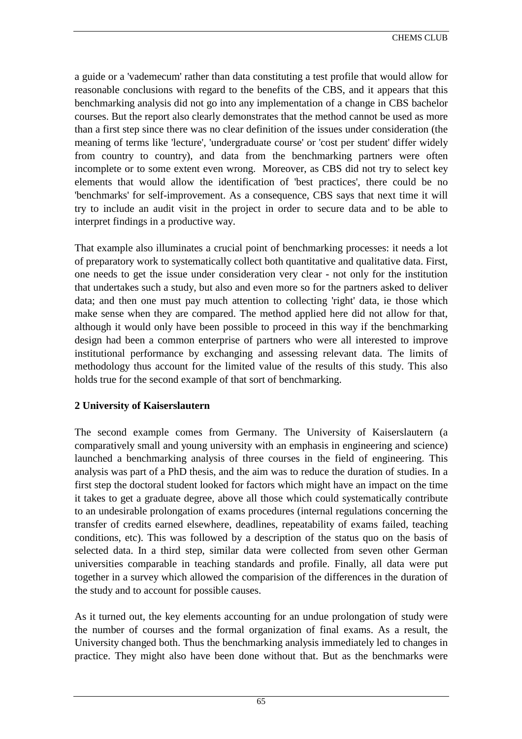a guide or a 'vademecum' rather than data constituting a test profile that would allow for reasonable conclusions with regard to the benefits of the CBS, and it appears that this benchmarking analysis did not go into any implementation of a change in CBS bachelor courses. But the report also clearly demonstrates that the method cannot be used as more than a first step since there was no clear definition of the issues under consideration (the meaning of terms like 'lecture', 'undergraduate course' or 'cost per student' differ widely from country to country), and data from the benchmarking partners were often incomplete or to some extent even wrong. Moreover, as CBS did not try to select key elements that would allow the identification of 'best practices', there could be no 'benchmarks' for self-improvement. As a consequence, CBS says that next time it will try to include an audit visit in the project in order to secure data and to be able to interpret findings in a productive way.

That example also illuminates a crucial point of benchmarking processes: it needs a lot of preparatory work to systematically collect both quantitative and qualitative data. First, one needs to get the issue under consideration very clear - not only for the institution that undertakes such a study, but also and even more so for the partners asked to deliver data; and then one must pay much attention to collecting 'right' data, ie those which make sense when they are compared. The method applied here did not allow for that, although it would only have been possible to proceed in this way if the benchmarking design had been a common enterprise of partners who were all interested to improve institutional performance by exchanging and assessing relevant data. The limits of methodology thus account for the limited value of the results of this study. This also holds true for the second example of that sort of benchmarking.

# **2 University of Kaiserslautern**

The second example comes from Germany. The University of Kaiserslautern (a comparatively small and young university with an emphasis in engineering and science) launched a benchmarking analysis of three courses in the field of engineering. This analysis was part of a PhD thesis, and the aim was to reduce the duration of studies. In a first step the doctoral student looked for factors which might have an impact on the time it takes to get a graduate degree, above all those which could systematically contribute to an undesirable prolongation of exams procedures (internal regulations concerning the transfer of credits earned elsewhere, deadlines, repeatability of exams failed, teaching conditions, etc). This was followed by a description of the status quo on the basis of selected data. In a third step, similar data were collected from seven other German universities comparable in teaching standards and profile. Finally, all data were put together in a survey which allowed the comparision of the differences in the duration of the study and to account for possible causes.

As it turned out, the key elements accounting for an undue prolongation of study were the number of courses and the formal organization of final exams. As a result, the University changed both. Thus the benchmarking analysis immediately led to changes in practice. They might also have been done without that. But as the benchmarks were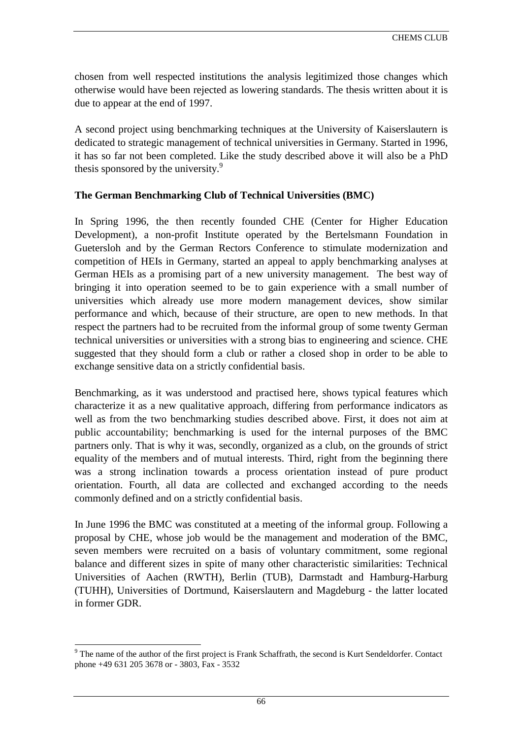chosen from well respected institutions the analysis legitimized those changes which otherwise would have been rejected as lowering standards. The thesis written about it is due to appear at the end of 1997.

A second project using benchmarking techniques at the University of Kaiserslautern is dedicated to strategic management of technical universities in Germany. Started in 1996, it has so far not been completed. Like the study described above it will also be a PhD thesis sponsored by the university.<sup>9</sup>

# **The German Benchmarking Club of Technical Universities (BMC)**

In Spring 1996, the then recently founded CHE (Center for Higher Education Development), a non-profit Institute operated by the Bertelsmann Foundation in Guetersloh and by the German Rectors Conference to stimulate modernization and competition of HEIs in Germany, started an appeal to apply benchmarking analyses at German HEIs as a promising part of a new university management. The best way of bringing it into operation seemed to be to gain experience with a small number of universities which already use more modern management devices, show similar performance and which, because of their structure, are open to new methods. In that respect the partners had to be recruited from the informal group of some twenty German technical universities or universities with a strong bias to engineering and science. CHE suggested that they should form a club or rather a closed shop in order to be able to exchange sensitive data on a strictly confidential basis.

Benchmarking, as it was understood and practised here, shows typical features which characterize it as a new qualitative approach, differing from performance indicators as well as from the two benchmarking studies described above. First, it does not aim at public accountability; benchmarking is used for the internal purposes of the BMC partners only. That is why it was, secondly, organized as a club, on the grounds of strict equality of the members and of mutual interests. Third, right from the beginning there was a strong inclination towards a process orientation instead of pure product orientation. Fourth, all data are collected and exchanged according to the needs commonly defined and on a strictly confidential basis.

In June 1996 the BMC was constituted at a meeting of the informal group. Following a proposal by CHE, whose job would be the management and moderation of the BMC, seven members were recruited on a basis of voluntary commitment, some regional balance and different sizes in spite of many other characteristic similarities: Technical Universities of Aachen (RWTH), Berlin (TUB), Darmstadt and Hamburg-Harburg (TUHH), Universities of Dortmund, Kaiserslautern and Magdeburg - the latter located in former GDR.

 $\overline{a}$ 

<sup>&</sup>lt;sup>9</sup> The name of the author of the first project is Frank Schaffrath, the second is Kurt Sendeldorfer. Contact phone +49 631 205 3678 or - 3803, Fax - 3532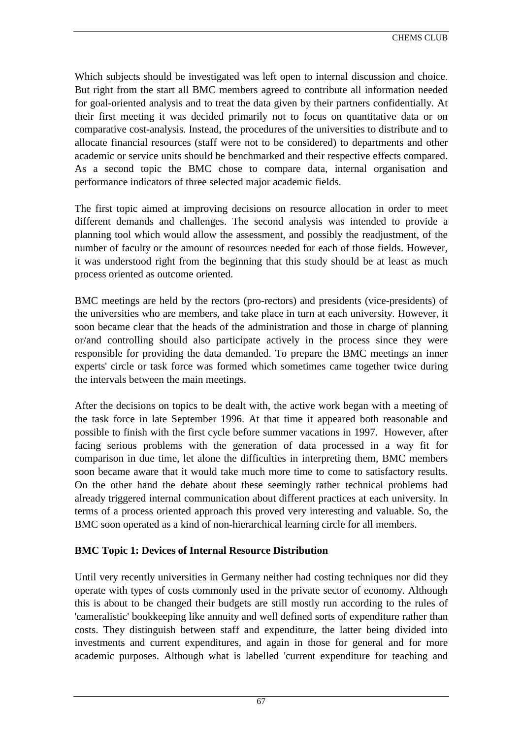Which subjects should be investigated was left open to internal discussion and choice. But right from the start all BMC members agreed to contribute all information needed for goal-oriented analysis and to treat the data given by their partners confidentially. At their first meeting it was decided primarily not to focus on quantitative data or on comparative cost-analysis. Instead, the procedures of the universities to distribute and to allocate financial resources (staff were not to be considered) to departments and other academic or service units should be benchmarked and their respective effects compared. As a second topic the BMC chose to compare data, internal organisation and performance indicators of three selected major academic fields.

The first topic aimed at improving decisions on resource allocation in order to meet different demands and challenges. The second analysis was intended to provide a planning tool which would allow the assessment, and possibly the readjustment, of the number of faculty or the amount of resources needed for each of those fields. However, it was understood right from the beginning that this study should be at least as much process oriented as outcome oriented.

BMC meetings are held by the rectors (pro-rectors) and presidents (vice-presidents) of the universities who are members, and take place in turn at each university. However, it soon became clear that the heads of the administration and those in charge of planning or/and controlling should also participate actively in the process since they were responsible for providing the data demanded. To prepare the BMC meetings an inner experts' circle or task force was formed which sometimes came together twice during the intervals between the main meetings.

After the decisions on topics to be dealt with, the active work began with a meeting of the task force in late September 1996. At that time it appeared both reasonable and possible to finish with the first cycle before summer vacations in 1997. However, after facing serious problems with the generation of data processed in a way fit for comparison in due time, let alone the difficulties in interpreting them, BMC members soon became aware that it would take much more time to come to satisfactory results. On the other hand the debate about these seemingly rather technical problems had already triggered internal communication about different practices at each university. In terms of a process oriented approach this proved very interesting and valuable. So, the BMC soon operated as a kind of non-hierarchical learning circle for all members.

# **BMC Topic 1: Devices of Internal Resource Distribution**

Until very recently universities in Germany neither had costing techniques nor did they operate with types of costs commonly used in the private sector of economy. Although this is about to be changed their budgets are still mostly run according to the rules of 'cameralistic' bookkeeping like annuity and well defined sorts of expenditure rather than costs. They distinguish between staff and expenditure, the latter being divided into investments and current expenditures, and again in those for general and for more academic purposes. Although what is labelled 'current expenditure for teaching and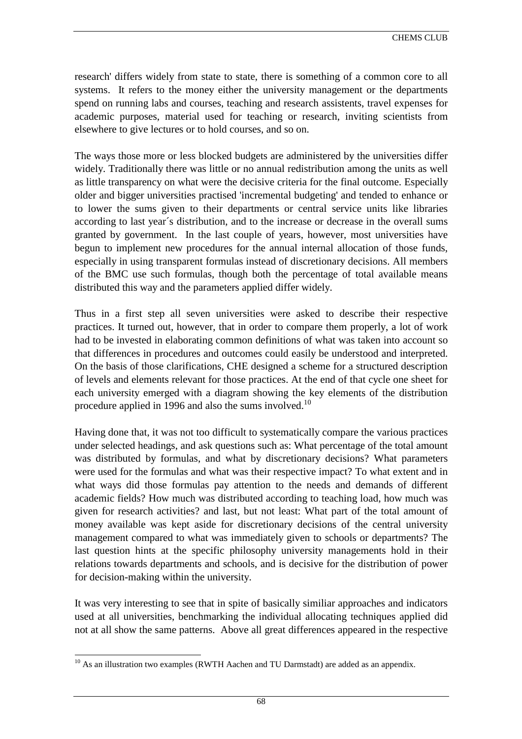research' differs widely from state to state, there is something of a common core to all systems. It refers to the money either the university management or the departments spend on running labs and courses, teaching and research assistents, travel expenses for academic purposes, material used for teaching or research, inviting scientists from elsewhere to give lectures or to hold courses, and so on.

The ways those more or less blocked budgets are administered by the universities differ widely. Traditionally there was little or no annual redistribution among the units as well as little transparency on what were the decisive criteria for the final outcome. Especially older and bigger universities practised 'incremental budgeting' and tended to enhance or to lower the sums given to their departments or central service units like libraries according to last year´s distribution, and to the increase or decrease in the overall sums granted by government. In the last couple of years, however, most universities have begun to implement new procedures for the annual internal allocation of those funds, especially in using transparent formulas instead of discretionary decisions. All members of the BMC use such formulas, though both the percentage of total available means distributed this way and the parameters applied differ widely.

Thus in a first step all seven universities were asked to describe their respective practices. It turned out, however, that in order to compare them properly, a lot of work had to be invested in elaborating common definitions of what was taken into account so that differences in procedures and outcomes could easily be understood and interpreted. On the basis of those clarifications, CHE designed a scheme for a structured description of levels and elements relevant for those practices. At the end of that cycle one sheet for each university emerged with a diagram showing the key elements of the distribution procedure applied in 1996 and also the sums involved.<sup>10</sup>

Having done that, it was not too difficult to systematically compare the various practices under selected headings, and ask questions such as: What percentage of the total amount was distributed by formulas, and what by discretionary decisions? What parameters were used for the formulas and what was their respective impact? To what extent and in what ways did those formulas pay attention to the needs and demands of different academic fields? How much was distributed according to teaching load, how much was given for research activities? and last, but not least: What part of the total amount of money available was kept aside for discretionary decisions of the central university management compared to what was immediately given to schools or departments? The last question hints at the specific philosophy university managements hold in their relations towards departments and schools, and is decisive for the distribution of power for decision-making within the university.

It was very interesting to see that in spite of basically similiar approaches and indicators used at all universities, benchmarking the individual allocating techniques applied did not at all show the same patterns. Above all great differences appeared in the respective

 $\overline{a}$  $10$  As an illustration two examples (RWTH Aachen and TU Darmstadt) are added as an appendix.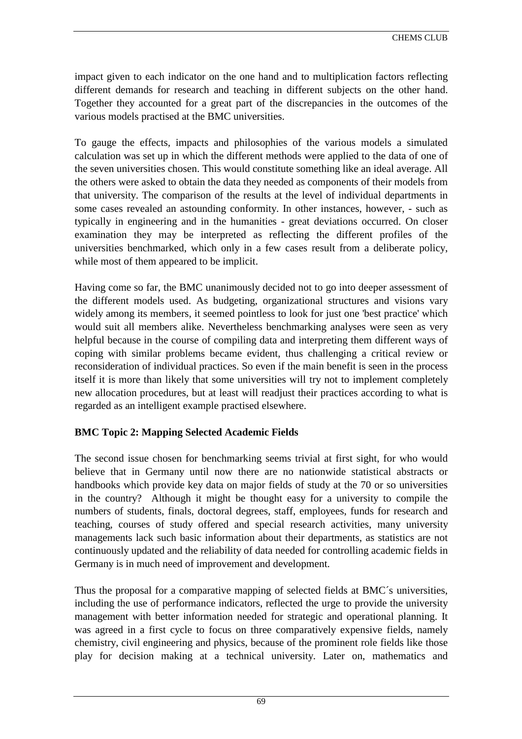impact given to each indicator on the one hand and to multiplication factors reflecting different demands for research and teaching in different subjects on the other hand. Together they accounted for a great part of the discrepancies in the outcomes of the various models practised at the BMC universities.

To gauge the effects, impacts and philosophies of the various models a simulated calculation was set up in which the different methods were applied to the data of one of the seven universities chosen. This would constitute something like an ideal average. All the others were asked to obtain the data they needed as components of their models from that university. The comparison of the results at the level of individual departments in some cases revealed an astounding conformity. In other instances, however, - such as typically in engineering and in the humanities - great deviations occurred. On closer examination they may be interpreted as reflecting the different profiles of the universities benchmarked, which only in a few cases result from a deliberate policy, while most of them appeared to be implicit.

Having come so far, the BMC unanimously decided not to go into deeper assessment of the different models used. As budgeting, organizational structures and visions vary widely among its members, it seemed pointless to look for just one 'best practice' which would suit all members alike. Nevertheless benchmarking analyses were seen as very helpful because in the course of compiling data and interpreting them different ways of coping with similar problems became evident, thus challenging a critical review or reconsideration of individual practices. So even if the main benefit is seen in the process itself it is more than likely that some universities will try not to implement completely new allocation procedures, but at least will readjust their practices according to what is regarded as an intelligent example practised elsewhere.

# **BMC Topic 2: Mapping Selected Academic Fields**

The second issue chosen for benchmarking seems trivial at first sight, for who would believe that in Germany until now there are no nationwide statistical abstracts or handbooks which provide key data on major fields of study at the 70 or so universities in the country? Although it might be thought easy for a university to compile the numbers of students, finals, doctoral degrees, staff, employees, funds for research and teaching, courses of study offered and special research activities, many university managements lack such basic information about their departments, as statistics are not continuously updated and the reliability of data needed for controlling academic fields in Germany is in much need of improvement and development.

Thus the proposal for a comparative mapping of selected fields at BMC´s universities, including the use of performance indicators, reflected the urge to provide the university management with better information needed for strategic and operational planning. It was agreed in a first cycle to focus on three comparatively expensive fields, namely chemistry, civil engineering and physics, because of the prominent role fields like those play for decision making at a technical university. Later on, mathematics and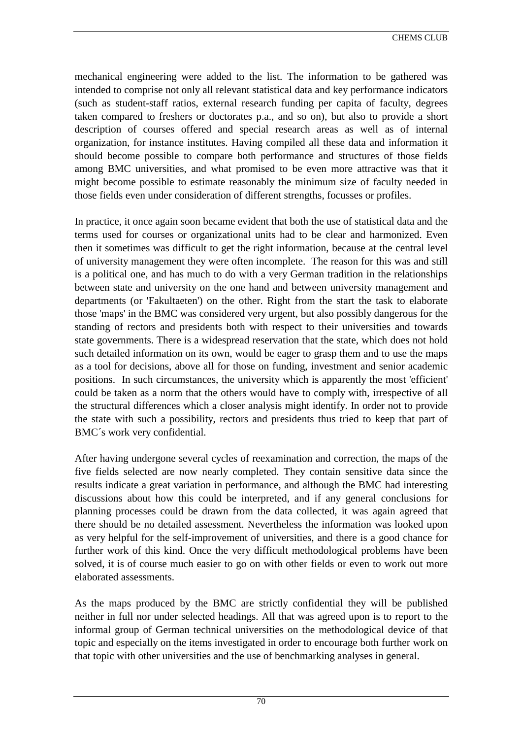mechanical engineering were added to the list. The information to be gathered was intended to comprise not only all relevant statistical data and key performance indicators (such as student-staff ratios, external research funding per capita of faculty, degrees taken compared to freshers or doctorates p.a., and so on), but also to provide a short description of courses offered and special research areas as well as of internal organization, for instance institutes. Having compiled all these data and information it should become possible to compare both performance and structures of those fields among BMC universities, and what promised to be even more attractive was that it might become possible to estimate reasonably the minimum size of faculty needed in those fields even under consideration of different strengths, focusses or profiles.

In practice, it once again soon became evident that both the use of statistical data and the terms used for courses or organizational units had to be clear and harmonized. Even then it sometimes was difficult to get the right information, because at the central level of university management they were often incomplete. The reason for this was and still is a political one, and has much to do with a very German tradition in the relationships between state and university on the one hand and between university management and departments (or 'Fakultaeten') on the other. Right from the start the task to elaborate those 'maps' in the BMC was considered very urgent, but also possibly dangerous for the standing of rectors and presidents both with respect to their universities and towards state governments. There is a widespread reservation that the state, which does not hold such detailed information on its own, would be eager to grasp them and to use the maps as a tool for decisions, above all for those on funding, investment and senior academic positions. In such circumstances, the university which is apparently the most 'efficient' could be taken as a norm that the others would have to comply with, irrespective of all the structural differences which a closer analysis might identify. In order not to provide the state with such a possibility, rectors and presidents thus tried to keep that part of BMC´s work very confidential.

After having undergone several cycles of reexamination and correction, the maps of the five fields selected are now nearly completed. They contain sensitive data since the results indicate a great variation in performance, and although the BMC had interesting discussions about how this could be interpreted, and if any general conclusions for planning processes could be drawn from the data collected, it was again agreed that there should be no detailed assessment. Nevertheless the information was looked upon as very helpful for the self-improvement of universities, and there is a good chance for further work of this kind. Once the very difficult methodological problems have been solved, it is of course much easier to go on with other fields or even to work out more elaborated assessments.

As the maps produced by the BMC are strictly confidential they will be published neither in full nor under selected headings. All that was agreed upon is to report to the informal group of German technical universities on the methodological device of that topic and especially on the items investigated in order to encourage both further work on that topic with other universities and the use of benchmarking analyses in general.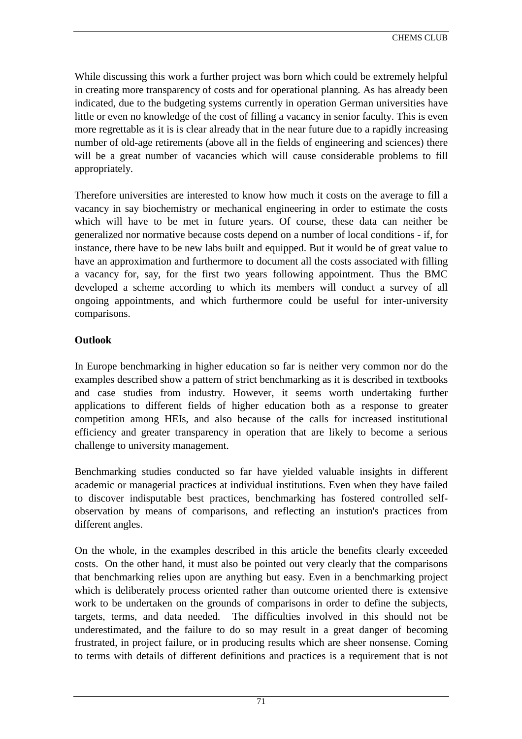While discussing this work a further project was born which could be extremely helpful in creating more transparency of costs and for operational planning. As has already been indicated, due to the budgeting systems currently in operation German universities have little or even no knowledge of the cost of filling a vacancy in senior faculty. This is even more regrettable as it is is clear already that in the near future due to a rapidly increasing number of old-age retirements (above all in the fields of engineering and sciences) there will be a great number of vacancies which will cause considerable problems to fill appropriately.

Therefore universities are interested to know how much it costs on the average to fill a vacancy in say biochemistry or mechanical engineering in order to estimate the costs which will have to be met in future years. Of course, these data can neither be generalized nor normative because costs depend on a number of local conditions - if, for instance, there have to be new labs built and equipped. But it would be of great value to have an approximation and furthermore to document all the costs associated with filling a vacancy for, say, for the first two years following appointment. Thus the BMC developed a scheme according to which its members will conduct a survey of all ongoing appointments, and which furthermore could be useful for inter-university comparisons.

# **Outlook**

In Europe benchmarking in higher education so far is neither very common nor do the examples described show a pattern of strict benchmarking as it is described in textbooks and case studies from industry. However, it seems worth undertaking further applications to different fields of higher education both as a response to greater competition among HEIs, and also because of the calls for increased institutional efficiency and greater transparency in operation that are likely to become a serious challenge to university management.

Benchmarking studies conducted so far have yielded valuable insights in different academic or managerial practices at individual institutions. Even when they have failed to discover indisputable best practices, benchmarking has fostered controlled selfobservation by means of comparisons, and reflecting an instution's practices from different angles.

On the whole, in the examples described in this article the benefits clearly exceeded costs. On the other hand, it must also be pointed out very clearly that the comparisons that benchmarking relies upon are anything but easy. Even in a benchmarking project which is deliberately process oriented rather than outcome oriented there is extensive work to be undertaken on the grounds of comparisons in order to define the subjects, targets, terms, and data needed. The difficulties involved in this should not be underestimated, and the failure to do so may result in a great danger of becoming frustrated, in project failure, or in producing results which are sheer nonsense. Coming to terms with details of different definitions and practices is a requirement that is not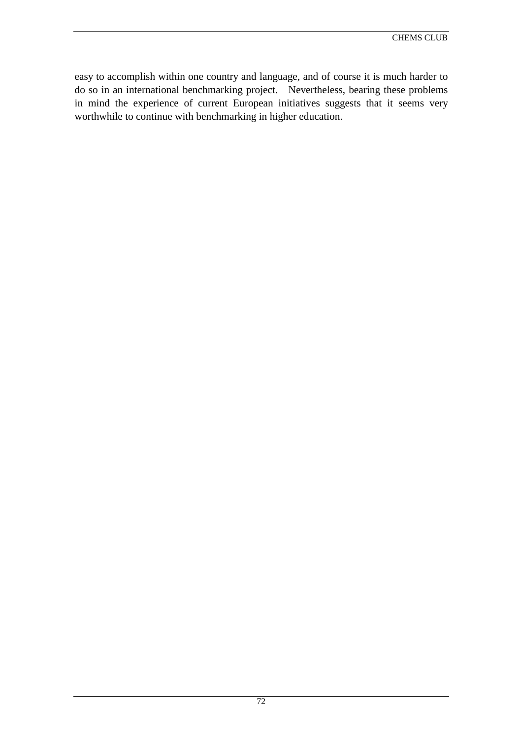easy to accomplish within one country and language, and of course it is much harder to do so in an international benchmarking project. Nevertheless, bearing these problems in mind the experience of current European initiatives suggests that it seems very worthwhile to continue with benchmarking in higher education.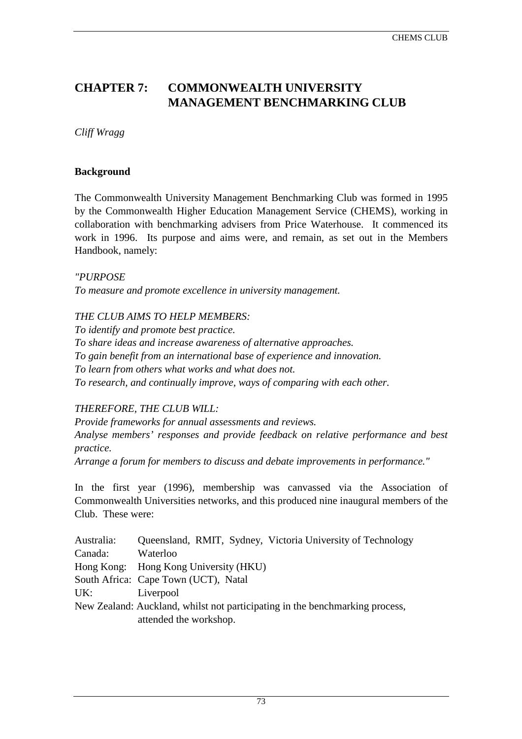#### CHEMS CLUB

# **CHAPTER 7: COMMONWEALTH UNIVERSITY MANAGEMENT BENCHMARKING CLUB**

*Cliff Wragg*

#### **Background**

The Commonwealth University Management Benchmarking Club was formed in 1995 by the Commonwealth Higher Education Management Service (CHEMS), working in collaboration with benchmarking advisers from Price Waterhouse. It commenced its work in 1996. Its purpose and aims were, and remain, as set out in the Members Handbook, namely:

*"PURPOSE To measure and promote excellence in university management.*

*THE CLUB AIMS TO HELP MEMBERS:*

*To identify and promote best practice. To share ideas and increase awareness of alternative approaches. To gain benefit from an international base of experience and innovation. To learn from others what works and what does not. To research, and continually improve, ways of comparing with each other.*

### *THEREFORE, THE CLUB WILL:*

*Provide frameworks for annual assessments and reviews. Analyse members' responses and provide feedback on relative performance and best practice.*

*Arrange a forum for members to discuss and debate improvements in performance."*

In the first year (1996), membership was canvassed via the Association of Commonwealth Universities networks, and this produced nine inaugural members of the Club. These were:

| Australia:                                                                   | Queensland, RMIT, Sydney, Victoria University of Technology |  |  |  |
|------------------------------------------------------------------------------|-------------------------------------------------------------|--|--|--|
| Canada:                                                                      | Waterloo                                                    |  |  |  |
|                                                                              | Hong Kong: Hong Kong University (HKU)                       |  |  |  |
|                                                                              | South Africa: Cape Town (UCT), Natal                        |  |  |  |
| UK:                                                                          | Liverpool                                                   |  |  |  |
| New Zealand: Auckland, whilst not participating in the benchmarking process, |                                                             |  |  |  |
|                                                                              | attended the workshop.                                      |  |  |  |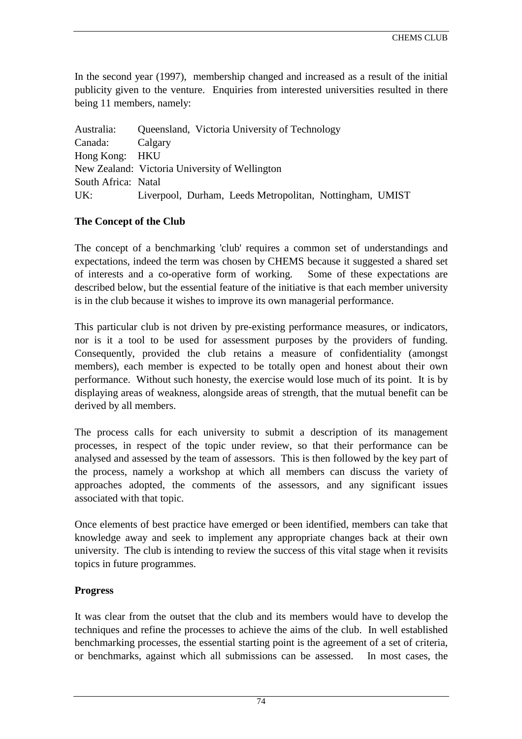In the second year (1997), membership changed and increased as a result of the initial publicity given to the venture. Enquiries from interested universities resulted in there being 11 members, namely:

| Australia:          | Queensland, Victoria University of Technology            |
|---------------------|----------------------------------------------------------|
| Canada:             | Calgary                                                  |
| Hong Kong: HKU      |                                                          |
|                     | New Zealand: Victoria University of Wellington           |
| South Africa: Natal |                                                          |
| UK:                 | Liverpool, Durham, Leeds Metropolitan, Nottingham, UMIST |

### **The Concept of the Club**

The concept of a benchmarking 'club' requires a common set of understandings and expectations, indeed the term was chosen by CHEMS because it suggested a shared set of interests and a co-operative form of working. Some of these expectations are described below, but the essential feature of the initiative is that each member university is in the club because it wishes to improve its own managerial performance.

This particular club is not driven by pre-existing performance measures, or indicators, nor is it a tool to be used for assessment purposes by the providers of funding. Consequently, provided the club retains a measure of confidentiality (amongst members), each member is expected to be totally open and honest about their own performance. Without such honesty, the exercise would lose much of its point. It is by displaying areas of weakness, alongside areas of strength, that the mutual benefit can be derived by all members.

The process calls for each university to submit a description of its management processes, in respect of the topic under review, so that their performance can be analysed and assessed by the team of assessors. This is then followed by the key part of the process, namely a workshop at which all members can discuss the variety of approaches adopted, the comments of the assessors, and any significant issues associated with that topic.

Once elements of best practice have emerged or been identified, members can take that knowledge away and seek to implement any appropriate changes back at their own university. The club is intending to review the success of this vital stage when it revisits topics in future programmes.

### **Progress**

It was clear from the outset that the club and its members would have to develop the techniques and refine the processes to achieve the aims of the club. In well established benchmarking processes, the essential starting point is the agreement of a set of criteria, or benchmarks, against which all submissions can be assessed. In most cases, the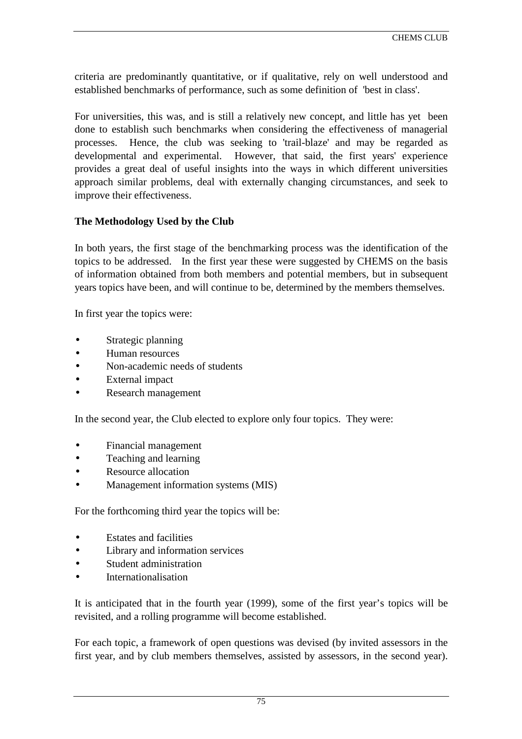criteria are predominantly quantitative, or if qualitative, rely on well understood and established benchmarks of performance, such as some definition of 'best in class'.

For universities, this was, and is still a relatively new concept, and little has yet been done to establish such benchmarks when considering the effectiveness of managerial processes. Hence, the club was seeking to 'trail-blaze' and may be regarded as developmental and experimental. However, that said, the first years' experience provides a great deal of useful insights into the ways in which different universities approach similar problems, deal with externally changing circumstances, and seek to improve their effectiveness.

### **The Methodology Used by the Club**

In both years, the first stage of the benchmarking process was the identification of the topics to be addressed. In the first year these were suggested by CHEMS on the basis of information obtained from both members and potential members, but in subsequent years topics have been, and will continue to be, determined by the members themselves.

In first year the topics were:

- Strategic planning
- Human resources
- Non-academic needs of students
- **External impact**
- Research management

In the second year, the Club elected to explore only four topics. They were:

- Financial management
- Teaching and learning
- Resource allocation
- Management information systems (MIS)

For the forthcoming third year the topics will be:

- **Estates and facilities**
- Library and information services
- Student administration
- **Internationalisation**

It is anticipated that in the fourth year (1999), some of the first year's topics will be revisited, and a rolling programme will become established.

For each topic, a framework of open questions was devised (by invited assessors in the first year, and by club members themselves, assisted by assessors, in the second year).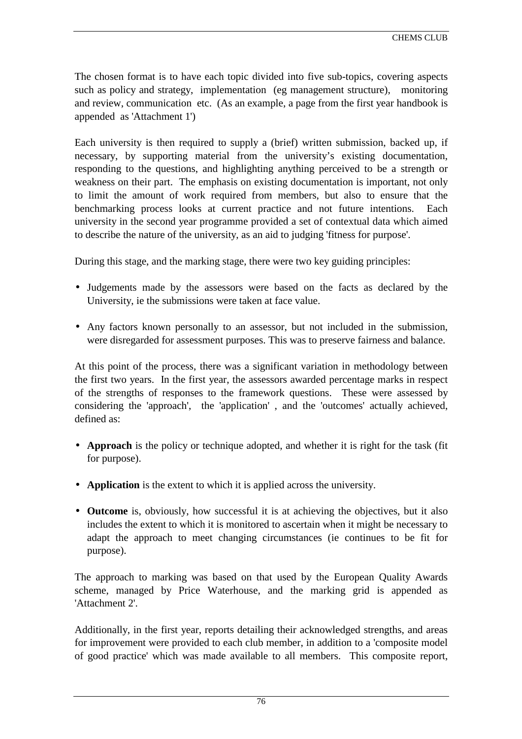The chosen format is to have each topic divided into five sub-topics, covering aspects such as policy and strategy, implementation (eg management structure), monitoring and review, communication etc. (As an example, a page from the first year handbook is appended as 'Attachment 1')

Each university is then required to supply a (brief) written submission, backed up, if necessary, by supporting material from the university's existing documentation, responding to the questions, and highlighting anything perceived to be a strength or weakness on their part. The emphasis on existing documentation is important, not only to limit the amount of work required from members, but also to ensure that the benchmarking process looks at current practice and not future intentions. Each university in the second year programme provided a set of contextual data which aimed to describe the nature of the university, as an aid to judging 'fitness for purpose'.

During this stage, and the marking stage, there were two key guiding principles:

- Judgements made by the assessors were based on the facts as declared by the University, ie the submissions were taken at face value.
- Any factors known personally to an assessor, but not included in the submission, were disregarded for assessment purposes. This was to preserve fairness and balance.

At this point of the process, there was a significant variation in methodology between the first two years. In the first year, the assessors awarded percentage marks in respect of the strengths of responses to the framework questions. These were assessed by considering the 'approach', the 'application' , and the 'outcomes' actually achieved, defined as:

- **Approach** is the policy or technique adopted, and whether it is right for the task (fit for purpose).
- **Application** is the extent to which it is applied across the university.
- **Outcome** is, obviously, how successful it is at achieving the objectives, but it also includes the extent to which it is monitored to ascertain when it might be necessary to adapt the approach to meet changing circumstances (ie continues to be fit for purpose).

The approach to marking was based on that used by the European Quality Awards scheme, managed by Price Waterhouse, and the marking grid is appended as 'Attachment 2'.

Additionally, in the first year, reports detailing their acknowledged strengths, and areas for improvement were provided to each club member, in addition to a 'composite model of good practice' which was made available to all members. This composite report,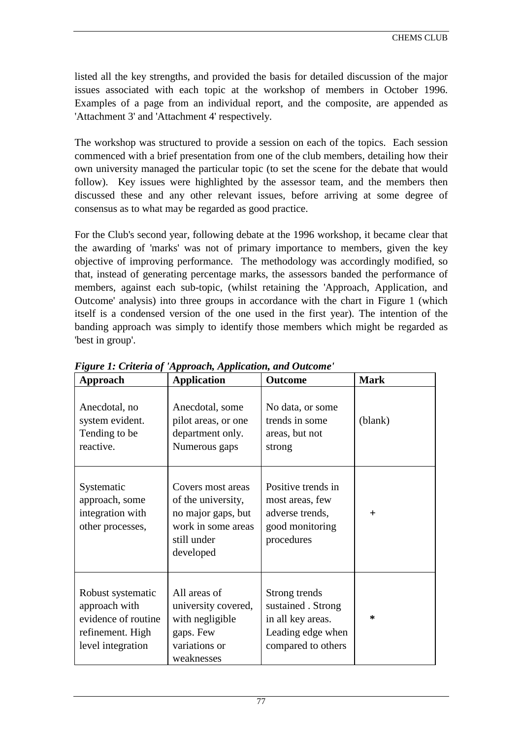listed all the key strengths, and provided the basis for detailed discussion of the major issues associated with each topic at the workshop of members in October 1996. Examples of a page from an individual report, and the composite, are appended as 'Attachment 3' and 'Attachment 4' respectively.

The workshop was structured to provide a session on each of the topics. Each session commenced with a brief presentation from one of the club members, detailing how their own university managed the particular topic (to set the scene for the debate that would follow). Key issues were highlighted by the assessor team, and the members then discussed these and any other relevant issues, before arriving at some degree of consensus as to what may be regarded as good practice.

For the Club's second year, following debate at the 1996 workshop, it became clear that the awarding of 'marks' was not of primary importance to members, given the key objective of improving performance. The methodology was accordingly modified, so that, instead of generating percentage marks, the assessors banded the performance of members, against each sub-topic, (whilst retaining the 'Approach, Application, and Outcome' analysis) into three groups in accordance with the chart in Figure 1 (which itself is a condensed version of the one used in the first year). The intention of the banding approach was simply to identify those members which might be regarded as 'best in group'.

| <b>Approach</b>                                                                                    | <b>Application</b>                                                                                              | <b>Outcome</b>                                                                                      | <b>Mark</b> |
|----------------------------------------------------------------------------------------------------|-----------------------------------------------------------------------------------------------------------------|-----------------------------------------------------------------------------------------------------|-------------|
| Anecdotal, no<br>system evident.<br>Tending to be<br>reactive.                                     | Anecdotal, some<br>pilot areas, or one<br>department only.<br>Numerous gaps                                     | No data, or some<br>trends in some<br>areas, but not<br>strong                                      | (blank)     |
| Systematic<br>approach, some<br>integration with<br>other processes,                               | Covers most areas<br>of the university,<br>no major gaps, but<br>work in some areas<br>still under<br>developed | Positive trends in<br>most areas, few<br>adverse trends,<br>good monitoring<br>procedures           | $\pm$       |
| Robust systematic<br>approach with<br>evidence of routine<br>refinement. High<br>level integration | All areas of<br>university covered,<br>with negligible<br>gaps. Few<br>variations or<br>weaknesses              | Strong trends<br>sustained . Strong<br>in all key areas.<br>Leading edge when<br>compared to others | $\ast$      |

*Figure 1: Criteria of 'Approach, Application, and Outcome'*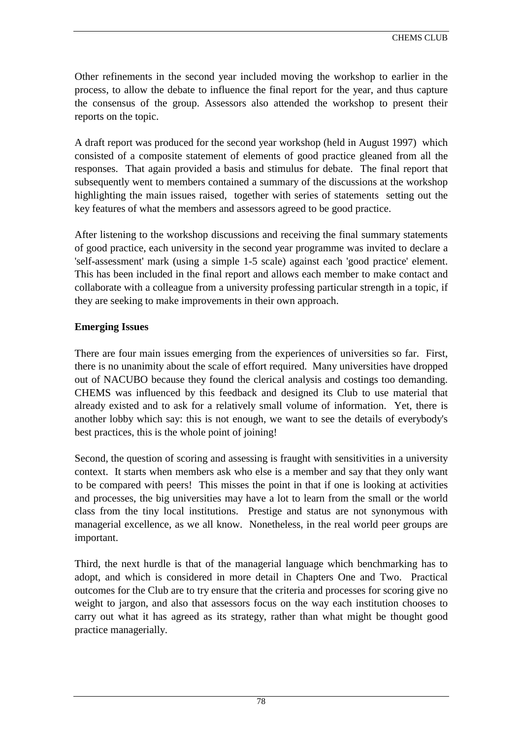Other refinements in the second year included moving the workshop to earlier in the process, to allow the debate to influence the final report for the year, and thus capture the consensus of the group. Assessors also attended the workshop to present their reports on the topic.

A draft report was produced for the second year workshop (held in August 1997) which consisted of a composite statement of elements of good practice gleaned from all the responses. That again provided a basis and stimulus for debate. The final report that subsequently went to members contained a summary of the discussions at the workshop highlighting the main issues raised, together with series of statements setting out the key features of what the members and assessors agreed to be good practice.

After listening to the workshop discussions and receiving the final summary statements of good practice, each university in the second year programme was invited to declare a 'self-assessment' mark (using a simple 1-5 scale) against each 'good practice' element. This has been included in the final report and allows each member to make contact and collaborate with a colleague from a university professing particular strength in a topic, if they are seeking to make improvements in their own approach.

## **Emerging Issues**

There are four main issues emerging from the experiences of universities so far. First, there is no unanimity about the scale of effort required. Many universities have dropped out of NACUBO because they found the clerical analysis and costings too demanding. CHEMS was influenced by this feedback and designed its Club to use material that already existed and to ask for a relatively small volume of information. Yet, there is another lobby which say: this is not enough, we want to see the details of everybody's best practices, this is the whole point of joining!

Second, the question of scoring and assessing is fraught with sensitivities in a university context. It starts when members ask who else is a member and say that they only want to be compared with peers! This misses the point in that if one is looking at activities and processes, the big universities may have a lot to learn from the small or the world class from the tiny local institutions. Prestige and status are not synonymous with managerial excellence, as we all know. Nonetheless, in the real world peer groups are important.

Third, the next hurdle is that of the managerial language which benchmarking has to adopt, and which is considered in more detail in Chapters One and Two. Practical outcomes for the Club are to try ensure that the criteria and processes for scoring give no weight to jargon, and also that assessors focus on the way each institution chooses to carry out what it has agreed as its strategy, rather than what might be thought good practice managerially.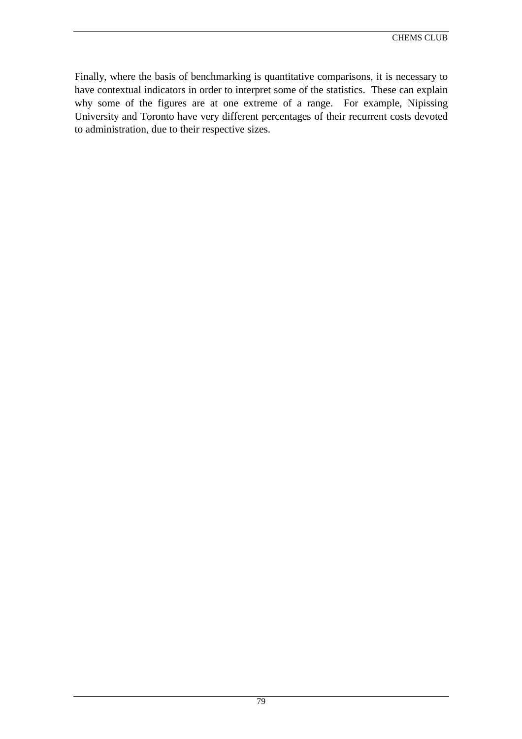Finally, where the basis of benchmarking is quantitative comparisons, it is necessary to have contextual indicators in order to interpret some of the statistics. These can explain why some of the figures are at one extreme of a range. For example, Nipissing University and Toronto have very different percentages of their recurrent costs devoted to administration, due to their respective sizes.